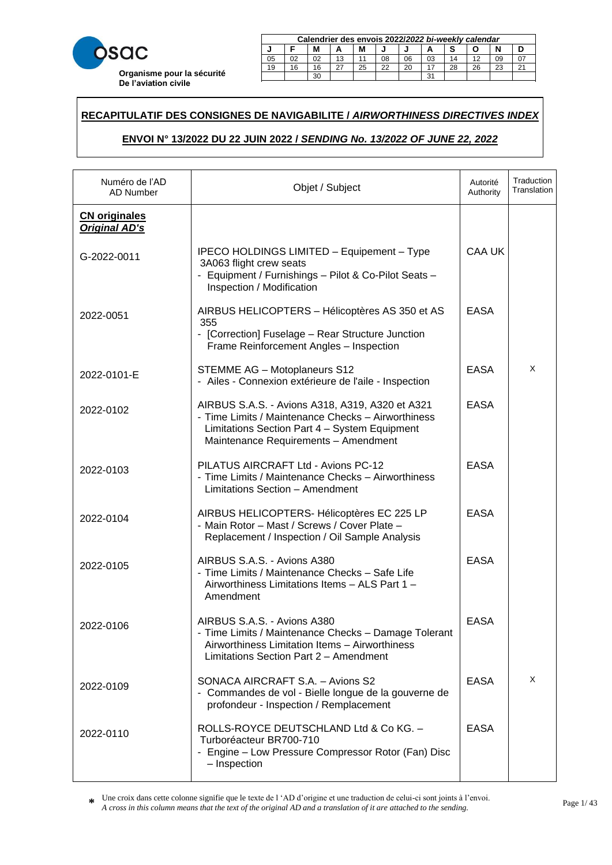

|    | Calendrier des envois 2022/2022 bi-weekly calendar     |  |    |  |    |    |    |    |  |    |  |
|----|--------------------------------------------------------|--|----|--|----|----|----|----|--|----|--|
| м  |                                                        |  |    |  |    |    |    |    |  |    |  |
| 05 | 02                                                     |  | 13 |  | 08 | 06 | 03 | 14 |  | 09 |  |
| 19 | 22<br>26<br>25<br>20<br>23<br>28<br>16<br>$\sim$<br>16 |  |    |  |    |    |    |    |  |    |  |
|    | ີ<br>oc                                                |  |    |  |    |    |    |    |  |    |  |

23 20 20 21 22 22 23 24 25 26 27 28 29 20 21 22 23 24 25 26 27 27 27 28 29 29 29 20 21 22 23 24 25 26 27 27 27

### **RECAPITULATIF DES CONSIGNES DE NAVIGABILITE /** *AIRWORTHINESS DIRECTIVES INDEX*  21 18 18 15 27 24 22 19 16 28 25 23 29 30

# **ENVOI N° 13/2022 DU 22 JUIN 2022 /** *SENDING No. 13/2022 OF JUNE 22, 2022* **Calendrier des envois 2017/***2017 bi-weekly calendar* **J F M A M J J A S O N D**

| Numéro de l'AD<br><b>AD Number</b>           | Objet / Subject                                                                                                                                                                                | Autorité<br>Authority | Traduction<br>Translation |
|----------------------------------------------|------------------------------------------------------------------------------------------------------------------------------------------------------------------------------------------------|-----------------------|---------------------------|
| <b>CN</b> originales<br><b>Original AD's</b> |                                                                                                                                                                                                |                       |                           |
| G-2022-0011                                  | IPECO HOLDINGS LIMITED - Equipement - Type<br>3A063 flight crew seats<br>- Equipment / Furnishings - Pilot & Co-Pilot Seats -<br>Inspection / Modification                                     | CAA UK                |                           |
| 2022-0051                                    | AIRBUS HELICOPTERS - Hélicoptères AS 350 et AS<br>355<br>- [Correction] Fuselage - Rear Structure Junction<br>Frame Reinforcement Angles - Inspection                                          | <b>EASA</b>           |                           |
| 2022-0101-E                                  | <b>STEMME AG - Motoplaneurs S12</b><br>- Ailes - Connexion extérieure de l'aile - Inspection                                                                                                   | <b>EASA</b>           | X                         |
| 2022-0102                                    | AIRBUS S.A.S. - Avions A318, A319, A320 et A321<br>- Time Limits / Maintenance Checks - Airworthiness<br>Limitations Section Part 4 - System Equipment<br>Maintenance Requirements - Amendment | <b>EASA</b>           |                           |
| 2022-0103                                    | PILATUS AIRCRAFT Ltd - Avions PC-12<br>- Time Limits / Maintenance Checks - Airworthiness<br>Limitations Section - Amendment                                                                   | <b>EASA</b>           |                           |
| 2022-0104                                    | AIRBUS HELICOPTERS- Hélicoptères EC 225 LP<br>- Main Rotor - Mast / Screws / Cover Plate -<br>Replacement / Inspection / Oil Sample Analysis                                                   | <b>EASA</b>           |                           |
| 2022-0105                                    | AIRBUS S.A.S. - Avions A380<br>- Time Limits / Maintenance Checks - Safe Life<br>Airworthiness Limitations Items - ALS Part 1 -<br>Amendment                                                   | <b>EASA</b>           |                           |
| 2022-0106                                    | AIRBUS S.A.S. - Avions A380<br>- Time Limits / Maintenance Checks - Damage Tolerant<br>Airworthiness Limitation Items - Airworthiness<br>Limitations Section Part 2 - Amendment                | <b>EASA</b>           |                           |
| 2022-0109                                    | SONACA AIRCRAFT S.A. - Avions S2<br>- Commandes de vol - Bielle longue de la gouverne de<br>profondeur - Inspection / Remplacement                                                             | <b>EASA</b>           | X                         |
| 2022-0110                                    | ROLLS-ROYCE DEUTSCHLAND Ltd & Co KG. -<br>Turboréacteur BR700-710<br>- Engine - Low Pressure Compressor Rotor (Fan) Disc<br>- Inspection                                                       | <b>EASA</b>           |                           |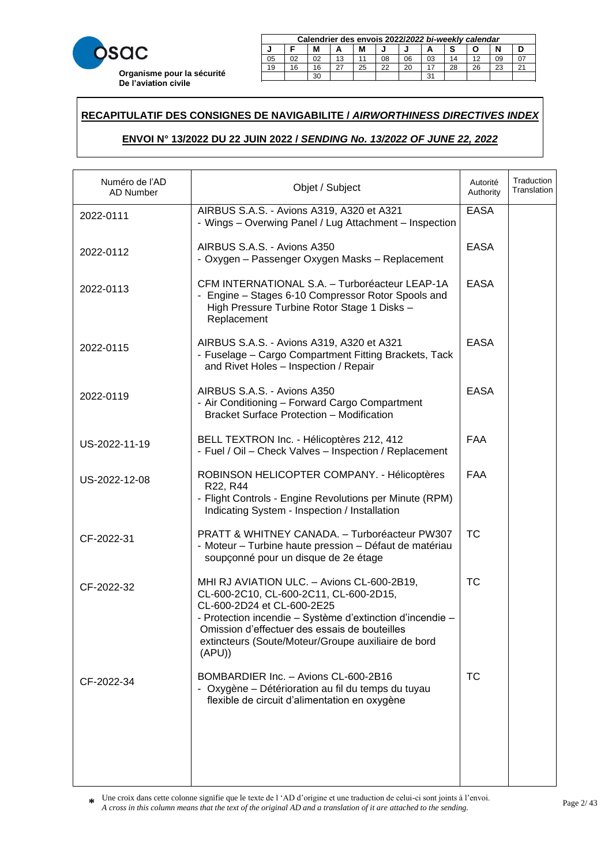

|        | Calendrier des envois 2022/2022 bi-weekly calendar |    |    |    |    |    |    |    |    |    |  |
|--------|----------------------------------------------------|----|----|----|----|----|----|----|----|----|--|
| М<br>М |                                                    |    |    |    |    |    |    |    |    |    |  |
| 05     |                                                    |    | 13 |    | 08 | 06 | 03 | 14 |    |    |  |
| 19     | 16                                                 | 16 |    | 25 | 22 | 20 |    | 28 | 26 | 23 |  |
|        | ີ                                                  |    |    |    |    |    |    |    |    |    |  |

23 20 20 21 22 22 23 24 25 26 27 28 29 20 21 22 23 24 25 26 27 27 27 28 29 29 29 20 21 22 23 24 25 26 27 27 27

### **RECAPITULATIF DES CONSIGNES DE NAVIGABILITE /** *AIRWORTHINESS DIRECTIVES INDEX*  21 18 18 15 27 24 22 19 16 28 25 23 29 30

# **ENVOI N° 13/2022 DU 22 JUIN 2022 /** *SENDING No. 13/2022 OF JUNE 22, 2022* **Calendrier des envois 2017/***2017 bi-weekly calendar* **J F M A M J J A S O N D**

| Numéro de l'AD<br><b>AD Number</b> | Objet / Subject                                                                                                                                                                                                                                                                                  | Autorité<br>Authority | Traduction<br>Translation |
|------------------------------------|--------------------------------------------------------------------------------------------------------------------------------------------------------------------------------------------------------------------------------------------------------------------------------------------------|-----------------------|---------------------------|
| 2022-0111                          | AIRBUS S.A.S. - Avions A319, A320 et A321<br>- Wings - Overwing Panel / Lug Attachment - Inspection                                                                                                                                                                                              | <b>EASA</b>           |                           |
| 2022-0112                          | AIRBUS S.A.S. - Avions A350<br>- Oxygen - Passenger Oxygen Masks - Replacement                                                                                                                                                                                                                   | <b>EASA</b>           |                           |
| 2022-0113                          | CFM INTERNATIONAL S.A. - Turboréacteur LEAP-1A<br>- Engine - Stages 6-10 Compressor Rotor Spools and<br>High Pressure Turbine Rotor Stage 1 Disks -<br>Replacement                                                                                                                               | <b>EASA</b>           |                           |
| 2022-0115                          | AIRBUS S.A.S. - Avions A319, A320 et A321<br>- Fuselage - Cargo Compartment Fitting Brackets, Tack<br>and Rivet Holes - Inspection / Repair                                                                                                                                                      | <b>EASA</b>           |                           |
| 2022-0119                          | AIRBUS S.A.S. - Avions A350<br>- Air Conditioning - Forward Cargo Compartment<br><b>Bracket Surface Protection - Modification</b>                                                                                                                                                                | <b>EASA</b>           |                           |
| US-2022-11-19                      | BELL TEXTRON Inc. - Hélicoptères 212, 412<br>- Fuel / Oil - Check Valves - Inspection / Replacement                                                                                                                                                                                              | <b>FAA</b>            |                           |
| US-2022-12-08                      | ROBINSON HELICOPTER COMPANY. - Hélicoptères<br>R22, R44<br>- Flight Controls - Engine Revolutions per Minute (RPM)<br>Indicating System - Inspection / Installation                                                                                                                              | <b>FAA</b>            |                           |
| CF-2022-31                         | PRATT & WHITNEY CANADA. - Turboréacteur PW307<br>- Moteur - Turbine haute pression - Défaut de matériau<br>soupçonné pour un disque de 2e étage                                                                                                                                                  | <b>TC</b>             |                           |
| CF-2022-32                         | MHI RJ AVIATION ULC. - Avions CL-600-2B19,<br>CL-600-2C10, CL-600-2C11, CL-600-2D15,<br>CL-600-2D24 et CL-600-2E25<br>- Protection incendie - Système d'extinction d'incendie -<br>Omission d'effectuer des essais de bouteilles<br>extincteurs (Soute/Moteur/Groupe auxiliaire de bord<br>(APU) | <b>TC</b>             |                           |
| CF-2022-34                         | BOMBARDIER Inc. - Avions CL-600-2B16<br>- Oxygène - Détérioration au fil du temps du tuyau<br>flexible de circuit d'alimentation en oxygène                                                                                                                                                      | <b>TC</b>             |                           |
|                                    |                                                                                                                                                                                                                                                                                                  |                       |                           |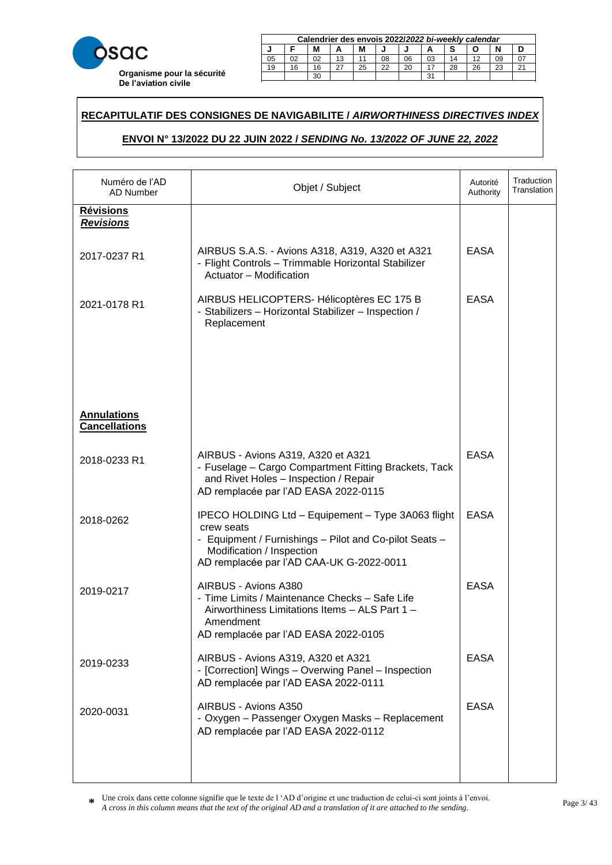

| Calendrier des envois 2022/2022 bi-weekly calendar |         |    |  |    |    |    |    |    |    |    |        |
|----------------------------------------------------|---------|----|--|----|----|----|----|----|----|----|--------|
| M<br>М                                             |         |    |  |    |    |    |    |    |    |    |        |
| 05                                                 | 02      | 02 |  |    | 08 | 06 | 03 | 14 |    | 09 |        |
| 19                                                 | 16      | 16 |  | 25 | 22 | 20 |    | 28 | 26 | 23 | $\sim$ |
|                                                    | 30<br>ີ |    |  |    |    |    |    |    |    |    |        |

23 20 20 21 22 22 23 24 25 26 27 28 29 20 21 22 23 24 25 26 27 27 27 28 29 29 29 20 21 22 23 24 25 26 27 27 27

### **RECAPITULATIF DES CONSIGNES DE NAVIGABILITE /** *AIRWORTHINESS DIRECTIVES INDEX*  21 18 18 15 27 24 22 19 16 28 25 23 29 30

# **ENVOI N° 13/2022 DU 22 JUIN 2022 /** *SENDING No. 13/2022 OF JUNE 22, 2022* **Calendrier des envois 2017/***2017 bi-weekly calendar* **J F M A M J J A S O N D**

| Numéro de l'AD<br>AD Number                | Objet / Subject                                                                                                                                                                                     | Autorité<br>Authority | Traduction<br>Translation |
|--------------------------------------------|-----------------------------------------------------------------------------------------------------------------------------------------------------------------------------------------------------|-----------------------|---------------------------|
| <u>Révisions</u><br><b>Revisions</b>       |                                                                                                                                                                                                     |                       |                           |
| 2017-0237 R1                               | AIRBUS S.A.S. - Avions A318, A319, A320 et A321<br>- Flight Controls - Trimmable Horizontal Stabilizer<br>Actuator - Modification                                                                   | <b>EASA</b>           |                           |
| 2021-0178 R1                               | AIRBUS HELICOPTERS- Hélicoptères EC 175 B<br>- Stabilizers - Horizontal Stabilizer - Inspection /<br>Replacement                                                                                    | <b>EASA</b>           |                           |
|                                            |                                                                                                                                                                                                     |                       |                           |
| <b>Annulations</b><br><b>Cancellations</b> |                                                                                                                                                                                                     |                       |                           |
| 2018-0233 R1                               | AIRBUS - Avions A319, A320 et A321<br>- Fuselage - Cargo Compartment Fitting Brackets, Tack<br>and Rivet Holes - Inspection / Repair<br>AD remplacée par l'AD EASA 2022-0115                        | <b>EASA</b>           |                           |
| 2018-0262                                  | IPECO HOLDING Ltd - Equipement - Type 3A063 flight<br>crew seats<br>- Equipment / Furnishings - Pilot and Co-pilot Seats -<br>Modification / Inspection<br>AD remplacée par l'AD CAA-UK G-2022-0011 | <b>EASA</b>           |                           |
| 2019-0217                                  | AIRBUS - Avions A380<br>- Time Limits / Maintenance Checks - Safe Life<br>Airworthiness Limitations Items - ALS Part 1 -<br>Amendment<br>AD remplacée par l'AD EASA 2022-0105                       | <b>EASA</b>           |                           |
| 2019-0233                                  | AIRBUS - Avions A319, A320 et A321<br>- [Correction] Wings - Overwing Panel - Inspection<br>AD remplacée par l'AD EASA 2022-0111                                                                    | <b>EASA</b>           |                           |
| 2020-0031                                  | AIRBUS - Avions A350<br>- Oxygen - Passenger Oxygen Masks - Replacement<br>AD remplacée par l'AD EASA 2022-0112                                                                                     | <b>EASA</b>           |                           |
|                                            |                                                                                                                                                                                                     |                       |                           |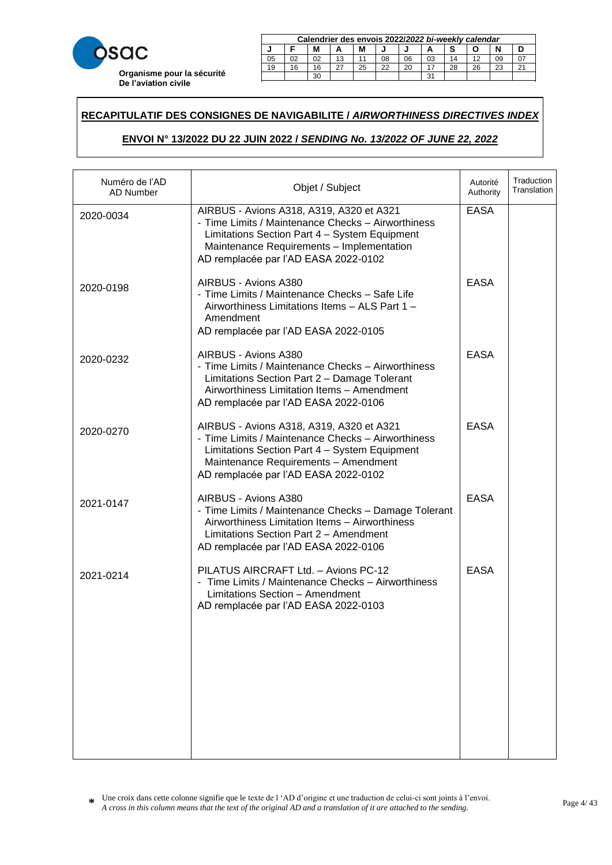

|    | Calendrier des envois 2022/2022 bi-weekly calendar     |  |    |  |    |    |    |    |  |    |  |
|----|--------------------------------------------------------|--|----|--|----|----|----|----|--|----|--|
| м  |                                                        |  |    |  |    |    |    |    |  |    |  |
| 05 | 02                                                     |  | 13 |  | 08 | 06 | 03 | 14 |  | 09 |  |
| 19 | 22<br>26<br>25<br>20<br>23<br>28<br>16<br>$\sim$<br>16 |  |    |  |    |    |    |    |  |    |  |
|    | ີ<br>oc                                                |  |    |  |    |    |    |    |  |    |  |

23 20 20 21 22 22 23 24 25 26 27 28 29 20 21 22 23 24 25 26 27 27 27 28 29 29 29 20 21 22 23 24 25 26 27 27 27

### **RECAPITULATIF DES CONSIGNES DE NAVIGABILITE /** *AIRWORTHINESS DIRECTIVES INDEX*  21 18 18 15 27 24 22 19 16 28 25 23 29 30

# **ENVOI N° 13/2022 DU 22 JUIN 2022 /** *SENDING No. 13/2022 OF JUNE 22, 2022* **Calendrier des envois 2017/***2017 bi-weekly calendar* **J F M A M J J A S O N D**

| Numéro de l'AD<br>AD Number | Objet / Subject                                                                                                                                                                                                                      | Autorité<br>Authority | Traduction<br>Translation |
|-----------------------------|--------------------------------------------------------------------------------------------------------------------------------------------------------------------------------------------------------------------------------------|-----------------------|---------------------------|
| 2020-0034                   | AIRBUS - Avions A318, A319, A320 et A321<br>- Time Limits / Maintenance Checks - Airworthiness<br>Limitations Section Part 4 - System Equipment<br>Maintenance Requirements - Implementation<br>AD remplacée par l'AD EASA 2022-0102 | <b>EASA</b>           |                           |
| 2020-0198                   | AIRBUS - Avions A380<br>- Time Limits / Maintenance Checks - Safe Life<br>Airworthiness Limitations Items - ALS Part 1 -<br>Amendment<br>AD remplacée par l'AD EASA 2022-0105                                                        | <b>EASA</b>           |                           |
| 2020-0232                   | AIRBUS - Avions A380<br>- Time Limits / Maintenance Checks - Airworthiness<br>Limitations Section Part 2 - Damage Tolerant<br>Airworthiness Limitation Items - Amendment<br>AD remplacée par l'AD EASA 2022-0106                     | <b>EASA</b>           |                           |
| 2020-0270                   | AIRBUS - Avions A318, A319, A320 et A321<br>- Time Limits / Maintenance Checks - Airworthiness<br>Limitations Section Part 4 - System Equipment<br>Maintenance Requirements - Amendment<br>AD remplacée par l'AD EASA 2022-0102      | <b>EASA</b>           |                           |
| 2021-0147                   | AIRBUS - Avions A380<br>- Time Limits / Maintenance Checks - Damage Tolerant<br>Airworthiness Limitation Items - Airworthiness<br>Limitations Section Part 2 - Amendment<br>AD remplacée par l'AD EASA 2022-0106                     | <b>EASA</b>           |                           |
| 2021-0214                   | PILATUS AIRCRAFT Ltd. - Avions PC-12<br>- Time Limits / Maintenance Checks - Airworthiness<br>Limitations Section - Amendment<br>AD remplacée par l'AD EASA 2022-0103                                                                | <b>EASA</b>           |                           |
|                             |                                                                                                                                                                                                                                      |                       |                           |
|                             |                                                                                                                                                                                                                                      |                       |                           |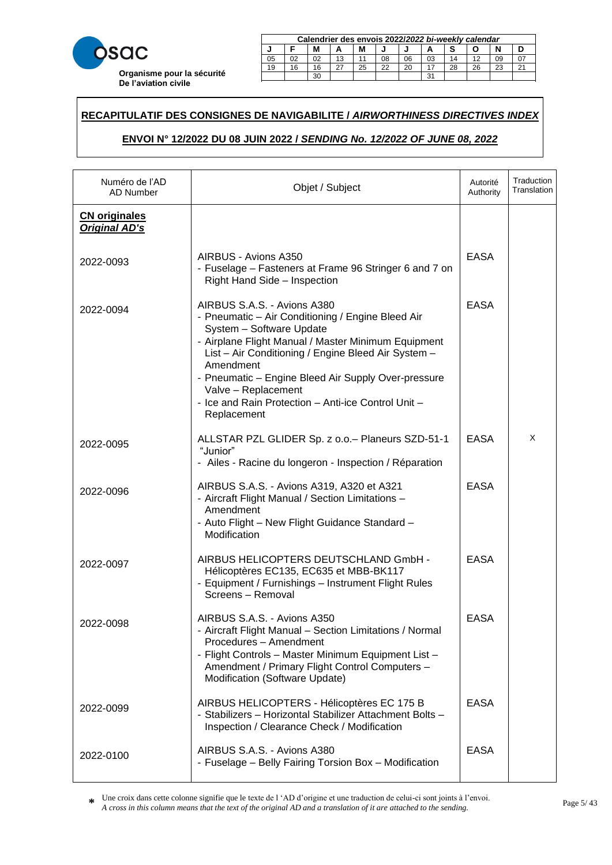

| Calendrier des envois 2022/2022 bi-weekly calendar |    |  |    |  |    |    |    |    |  |    |  |  |
|----------------------------------------------------|----|--|----|--|----|----|----|----|--|----|--|--|
| N<br>М                                             |    |  |    |  |    |    |    |    |  |    |  |  |
| 05                                                 | 02 |  | 13 |  | 08 | 06 | 03 | 14 |  | 09 |  |  |
| 19<br>22<br>28<br>25<br>20<br>26<br>23<br>16<br>16 |    |  |    |  |    |    |    |    |  |    |  |  |
|                                                    | ີ  |  |    |  |    |    |    |    |  |    |  |  |

23 20 20 21 22 22 23 24 25 26 27 28 29 20 21 22 23 24 25 26 27 27 27 28 29 29 29 20 21 22 23 24 25 26 27 27 27

### **RECAPITULATIF DES CONSIGNES DE NAVIGABILITE /** *AIRWORTHINESS DIRECTIVES INDEX*  21 18 18 15 27 24 22 19 16 28 25 23 29 30

# **ENVOI N° 12/2022 DU 08 JUIN 2022 /** *SENDING No. 12/2022 OF JUNE 08, 2022* **Calendrier des envois 2017/***2017 bi-weekly calendar* **J F M A M J J A S O N D**

| Numéro de l'AD<br>AD Number                  | Objet / Subject                                                                                                                                                                                                                                                                                                                                                                             | Autorité<br>Authority | Traduction<br>Translation |
|----------------------------------------------|---------------------------------------------------------------------------------------------------------------------------------------------------------------------------------------------------------------------------------------------------------------------------------------------------------------------------------------------------------------------------------------------|-----------------------|---------------------------|
| <b>CN</b> originales<br><b>Original AD's</b> |                                                                                                                                                                                                                                                                                                                                                                                             |                       |                           |
| 2022-0093                                    | AIRBUS - Avions A350<br>- Fuselage - Fasteners at Frame 96 Stringer 6 and 7 on<br>Right Hand Side - Inspection                                                                                                                                                                                                                                                                              | <b>EASA</b>           |                           |
| 2022-0094                                    | AIRBUS S.A.S. - Avions A380<br>- Pneumatic - Air Conditioning / Engine Bleed Air<br>System - Software Update<br>- Airplane Flight Manual / Master Minimum Equipment<br>List - Air Conditioning / Engine Bleed Air System -<br>Amendment<br>- Pneumatic - Engine Bleed Air Supply Over-pressure<br>Valve - Replacement<br>- Ice and Rain Protection - Anti-ice Control Unit -<br>Replacement | <b>EASA</b>           |                           |
| 2022-0095                                    | ALLSTAR PZL GLIDER Sp. z o.o. - Planeurs SZD-51-1<br>"Junior"<br>- Ailes - Racine du longeron - Inspection / Réparation                                                                                                                                                                                                                                                                     | <b>EASA</b>           | X                         |
| 2022-0096                                    | AIRBUS S.A.S. - Avions A319, A320 et A321<br>- Aircraft Flight Manual / Section Limitations -<br>Amendment<br>- Auto Flight - New Flight Guidance Standard -<br>Modification                                                                                                                                                                                                                | <b>EASA</b>           |                           |
| 2022-0097                                    | AIRBUS HELICOPTERS DEUTSCHLAND GmbH -<br>Hélicoptères EC135, EC635 et MBB-BK117<br>- Equipment / Furnishings - Instrument Flight Rules<br>Screens - Removal                                                                                                                                                                                                                                 | <b>EASA</b>           |                           |
| 2022-0098                                    | AIRBUS S.A.S. - Avions A350<br>- Aircraft Flight Manual – Section Limitations / Normal<br>Procedures - Amendment<br>- Flight Controls - Master Minimum Equipment List -<br>Amendment / Primary Flight Control Computers -<br>Modification (Software Update)                                                                                                                                 | <b>EASA</b>           |                           |
| 2022-0099                                    | AIRBUS HELICOPTERS - Hélicoptères EC 175 B<br>- Stabilizers - Horizontal Stabilizer Attachment Bolts -<br>Inspection / Clearance Check / Modification                                                                                                                                                                                                                                       | <b>EASA</b>           |                           |
| 2022-0100                                    | AIRBUS S.A.S. - Avions A380<br>- Fuselage - Belly Fairing Torsion Box - Modification                                                                                                                                                                                                                                                                                                        | <b>EASA</b>           |                           |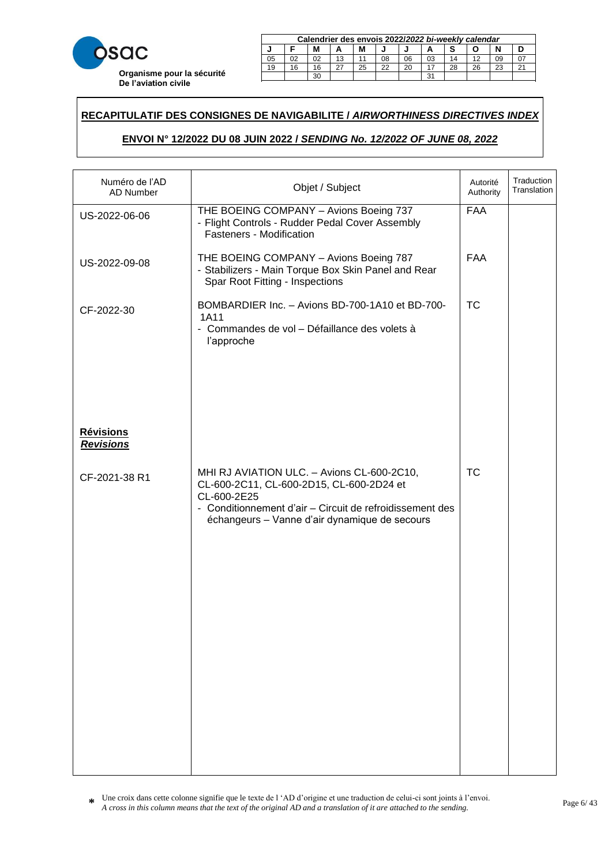

| Calendrier des envois 2022/2022 bi-weekly calendar |    |    |    |    |    |    |    |    |    |    |        |
|----------------------------------------------------|----|----|----|----|----|----|----|----|----|----|--------|
| М<br>М<br>А                                        |    |    |    |    |    |    |    |    |    |    |        |
| 05                                                 |    | 02 | 13 |    | 08 | 06 | 03 | 14 |    | 09 |        |
| 19                                                 | 16 | 16 |    | 25 | 22 | 20 |    | 28 | 26 | າາ | $\sim$ |
|                                                    | ີ  |    |    |    |    |    |    |    |    |    |        |

23 20 20 21 22 22 23 24 25 26 27 28 29 20 21 22 23 24 25 26 27 27 27 28 29 29 29 20 21 22 23 24 25 26 27 27 27

### **RECAPITULATIF DES CONSIGNES DE NAVIGABILITE /** *AIRWORTHINESS DIRECTIVES INDEX*  21 18 18 15 27 24 22 19 16 28 25 23 29 30

# **ENVOI N° 12/2022 DU 08 JUIN 2022 /** *SENDING No. 12/2022 OF JUNE 08, 2022* **Calendrier des envois 2017/***2017 bi-weekly calendar* **J F M A M J J A S O N D**

| Numéro de l'AD<br><b>AD Number</b>   | Objet / Subject                                                                                                                                                                                                    | Autorité<br>Authority | Traduction<br>Translation |
|--------------------------------------|--------------------------------------------------------------------------------------------------------------------------------------------------------------------------------------------------------------------|-----------------------|---------------------------|
| US-2022-06-06                        | THE BOEING COMPANY - Avions Boeing 737<br>- Flight Controls - Rudder Pedal Cover Assembly<br>Fasteners - Modification                                                                                              | <b>FAA</b>            |                           |
| US-2022-09-08                        | THE BOEING COMPANY - Avions Boeing 787<br>- Stabilizers - Main Torque Box Skin Panel and Rear<br>Spar Root Fitting - Inspections                                                                                   | <b>FAA</b>            |                           |
| CF-2022-30                           | BOMBARDIER Inc. - Avions BD-700-1A10 et BD-700-<br>1A11<br>- Commandes de vol - Défaillance des volets à<br>l'approche                                                                                             | <b>TC</b>             |                           |
| <b>Révisions</b><br><b>Revisions</b> |                                                                                                                                                                                                                    |                       |                           |
| CF-2021-38 R1                        | MHI RJ AVIATION ULC. - Avions CL-600-2C10,<br>CL-600-2C11, CL-600-2D15, CL-600-2D24 et<br>CL-600-2E25<br>- Conditionnement d'air - Circuit de refroidissement des<br>échangeurs - Vanne d'air dynamique de secours | <b>TC</b>             |                           |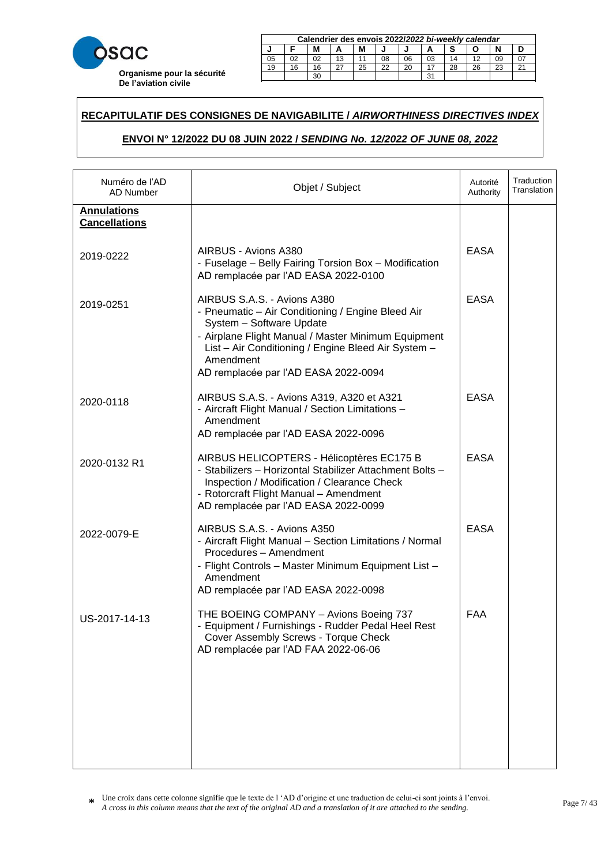

|    | Calendrier des envois 2022/2022 bi-weekly calendar |    |    |    |    |    |    |    |    |    |        |  |
|----|----------------------------------------------------|----|----|----|----|----|----|----|----|----|--------|--|
| м  |                                                    |    |    |    |    |    |    |    |    |    |        |  |
| 05 | 02                                                 |    | 13 |    | 08 | 06 | 03 | 14 |    | 09 |        |  |
| 19 | 16                                                 | 16 |    | 25 | 22 | 20 |    | 28 | 26 | 23 | $\sim$ |  |
|    | ີ<br>oc                                            |    |    |    |    |    |    |    |    |    |        |  |

23 20 20 21 22 22 23 24 25 26 27 28 29 20 21 22 23 24 25 26 27 27 27 28 29 29 29 20 21 22 23 24 25 26 27 27 27

### **RECAPITULATIF DES CONSIGNES DE NAVIGABILITE /** *AIRWORTHINESS DIRECTIVES INDEX*  21 18 18 15 27 24 22 19 16 28 25 23 29 30

# **ENVOI N° 12/2022 DU 08 JUIN 2022 /** *SENDING No. 12/2022 OF JUNE 08, 2022* **Calendrier des envois 2017/***2017 bi-weekly calendar* **J F M A M J J A S O N D**

| Numéro de l'AD<br>AD Number                | Objet / Subject                                                                                                                                                                                                                                                                 | Autorité<br>Authority | Traduction<br>Translation |
|--------------------------------------------|---------------------------------------------------------------------------------------------------------------------------------------------------------------------------------------------------------------------------------------------------------------------------------|-----------------------|---------------------------|
| <b>Annulations</b><br><b>Cancellations</b> |                                                                                                                                                                                                                                                                                 |                       |                           |
| 2019-0222                                  | AIRBUS - Avions A380<br>- Fuselage - Belly Fairing Torsion Box - Modification<br>AD remplacée par l'AD EASA 2022-0100                                                                                                                                                           | <b>EASA</b>           |                           |
| 2019-0251                                  | AIRBUS S.A.S. - Avions A380<br>- Pneumatic - Air Conditioning / Engine Bleed Air<br>System - Software Update<br>- Airplane Flight Manual / Master Minimum Equipment<br>List - Air Conditioning / Engine Bleed Air System -<br>Amendment<br>AD remplacée par l'AD EASA 2022-0094 | <b>EASA</b>           |                           |
| 2020-0118                                  | AIRBUS S.A.S. - Avions A319, A320 et A321<br>- Aircraft Flight Manual / Section Limitations -<br>Amendment<br>AD remplacée par l'AD EASA 2022-0096                                                                                                                              | <b>EASA</b>           |                           |
| 2020-0132 R1                               | AIRBUS HELICOPTERS - Hélicoptères EC175 B<br>- Stabilizers - Horizontal Stabilizer Attachment Bolts -<br>Inspection / Modification / Clearance Check<br>- Rotorcraft Flight Manual - Amendment<br>AD remplacée par l'AD EASA 2022-0099                                          | <b>EASA</b>           |                           |
| 2022-0079-E                                | AIRBUS S.A.S. - Avions A350<br>- Aircraft Flight Manual - Section Limitations / Normal<br>Procedures - Amendment<br>- Flight Controls - Master Minimum Equipment List -<br>Amendment<br>AD remplacée par l'AD EASA 2022-0098                                                    | <b>EASA</b>           |                           |
| US-2017-14-13                              | THE BOEING COMPANY - Avions Boeing 737<br>- Equipment / Furnishings - Rudder Pedal Heel Rest<br>Cover Assembly Screws - Torque Check<br>AD remplacée par l'AD FAA 2022-06-06                                                                                                    | <b>FAA</b>            |                           |
|                                            |                                                                                                                                                                                                                                                                                 |                       |                           |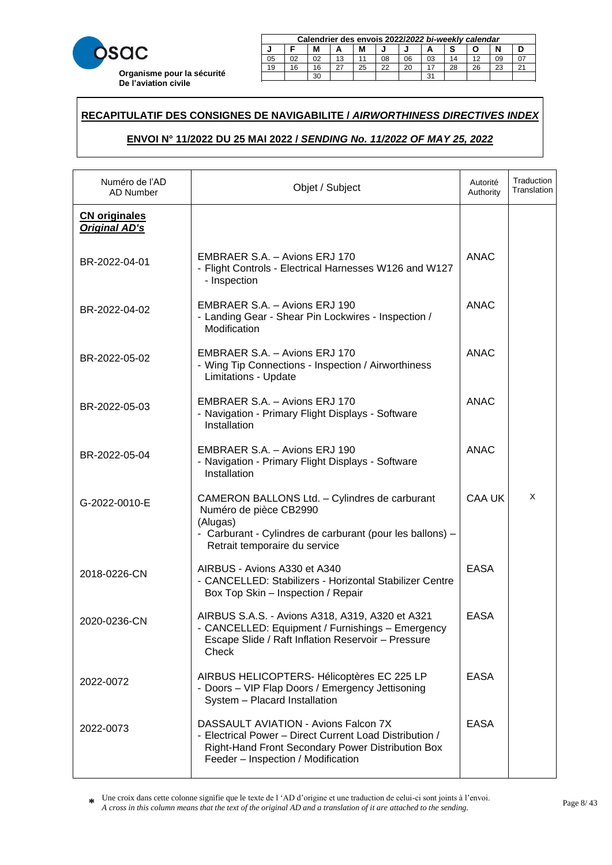

|    | Calendrier des envois 2022/2022 bi-weekly calendar |    |    |    |    |    |    |    |    |    |        |  |
|----|----------------------------------------------------|----|----|----|----|----|----|----|----|----|--------|--|
| м  |                                                    |    |    |    |    |    |    |    |    |    |        |  |
| 05 | 02                                                 |    | 13 |    | 08 | 06 | 03 | 14 |    | 09 |        |  |
| 19 | 16                                                 | 16 |    | 25 | 22 | 20 |    | 28 | 26 | 23 | $\sim$ |  |
|    | ີ<br>oc                                            |    |    |    |    |    |    |    |    |    |        |  |

23 20 20 21 22 22 23 24 25 26 27 28 29 20 21 22 23 24 25 26 27 27 27 28 29 29 29 20 21 22 23 24 25 26 27 27 27

### **RECAPITULATIF DES CONSIGNES DE NAVIGABILITE /** *AIRWORTHINESS DIRECTIVES INDEX*  21 18 18 15 27 24 22 19 16 28 25 23 29 30

# **ENVOI N° 11/2022 DU 25 MAI 2022 /** *SENDING No. 11/2022 OF MAY 25, 2022* **Calendrier des envois 2017/***2017 bi-weekly calendar* **J F M A M J J A S O N D**

| Numéro de l'AD<br><b>AD Number</b>           | Objet / Subject                                                                                                                                                                            | Autorité<br>Authority | Traduction<br>Translation |
|----------------------------------------------|--------------------------------------------------------------------------------------------------------------------------------------------------------------------------------------------|-----------------------|---------------------------|
| <b>CN</b> originales<br><b>Original AD's</b> |                                                                                                                                                                                            |                       |                           |
| BR-2022-04-01                                | EMBRAER S.A. - Avions ERJ 170<br>- Flight Controls - Electrical Harnesses W126 and W127<br>- Inspection                                                                                    | <b>ANAC</b>           |                           |
| BR-2022-04-02                                | EMBRAER S.A. - Avions ERJ 190<br>- Landing Gear - Shear Pin Lockwires - Inspection /<br>Modification                                                                                       | <b>ANAC</b>           |                           |
| BR-2022-05-02                                | EMBRAER S.A. - Avions ERJ 170<br>- Wing Tip Connections - Inspection / Airworthiness<br>Limitations - Update                                                                               | <b>ANAC</b>           |                           |
| BR-2022-05-03                                | EMBRAER S.A. - Avions ERJ 170<br>- Navigation - Primary Flight Displays - Software<br>Installation                                                                                         | <b>ANAC</b>           |                           |
| BR-2022-05-04                                | EMBRAER S.A. - Avions ERJ 190<br>- Navigation - Primary Flight Displays - Software<br>Installation                                                                                         | <b>ANAC</b>           |                           |
| G-2022-0010-E                                | CAMERON BALLONS Ltd. - Cylindres de carburant<br>Numéro de pièce CB2990<br>(Alugas)<br>- Carburant - Cylindres de carburant (pour les ballons) -<br>Retrait temporaire du service          | <b>CAA UK</b>         | X                         |
| 2018-0226-CN                                 | AIRBUS - Avions A330 et A340<br>- CANCELLED: Stabilizers - Horizontal Stabilizer Centre<br>Box Top Skin - Inspection / Repair                                                              | <b>EASA</b>           |                           |
| 2020-0236-CN                                 | AIRBUS S.A.S. - Avions A318, A319, A320 et A321<br>- CANCELLED: Equipment / Furnishings - Emergency<br>Escape Slide / Raft Inflation Reservoir - Pressure<br>Check                         | <b>EASA</b>           |                           |
| 2022-0072                                    | AIRBUS HELICOPTERS- Hélicoptères EC 225 LP<br>- Doors - VIP Flap Doors / Emergency Jettisoning<br>System - Placard Installation                                                            | <b>EASA</b>           |                           |
| 2022-0073                                    | DASSAULT AVIATION - Avions Falcon 7X<br>- Electrical Power - Direct Current Load Distribution /<br>Right-Hand Front Secondary Power Distribution Box<br>Feeder - Inspection / Modification | <b>EASA</b>           |                           |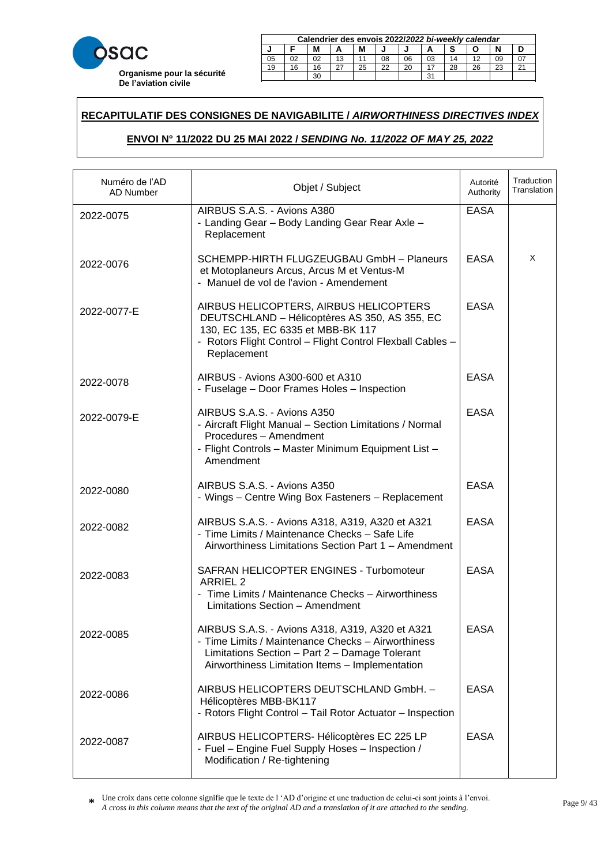

|        | Calendrier des envois 2022/2022 bi-weekly calendar |    |    |    |    |    |    |    |    |    |  |  |
|--------|----------------------------------------------------|----|----|----|----|----|----|----|----|----|--|--|
| M<br>М |                                                    |    |    |    |    |    |    |    |    |    |  |  |
| 05     |                                                    |    | 13 |    | 08 | 06 | 03 | 14 |    |    |  |  |
| 19     | 16                                                 | 16 |    | 25 | 22 | 20 |    | 28 | 26 | 23 |  |  |
|        | ີ                                                  |    |    |    |    |    |    |    |    |    |  |  |

23 20 20 21 22 22 23 24 25 26 27 28 29 20 21 22 23 24 25 26 27 27 27 28 29 29 29 20 21 22 23 24 25 26 27 27 27

### **RECAPITULATIF DES CONSIGNES DE NAVIGABILITE /** *AIRWORTHINESS DIRECTIVES INDEX*  21 18 18 15 27 24 22 19 16 28 25 23 29 30

# **ENVOI N° 11/2022 DU 25 MAI 2022 /** *SENDING No. 11/2022 OF MAY 25, 2022* **Calendrier des envois 2017/***2017 bi-weekly calendar* **J F M A M J J A S O N D**

| Numéro de l'AD<br><b>AD Number</b> | Objet / Subject                                                                                                                                                                                            | Autorité<br>Authority | Traduction<br>Translation |
|------------------------------------|------------------------------------------------------------------------------------------------------------------------------------------------------------------------------------------------------------|-----------------------|---------------------------|
| 2022-0075                          | AIRBUS S.A.S. - Avions A380<br>- Landing Gear - Body Landing Gear Rear Axle -<br>Replacement                                                                                                               | <b>EASA</b>           |                           |
| 2022-0076                          | SCHEMPP-HIRTH FLUGZEUGBAU GmbH - Planeurs<br>et Motoplaneurs Arcus, Arcus M et Ventus-M<br>- Manuel de vol de l'avion - Amendement                                                                         | <b>EASA</b>           | X                         |
| 2022-0077-E                        | AIRBUS HELICOPTERS, AIRBUS HELICOPTERS<br>DEUTSCHLAND - Hélicoptères AS 350, AS 355, EC<br>130, EC 135, EC 6335 et MBB-BK 117<br>- Rotors Flight Control - Flight Control Flexball Cables -<br>Replacement | <b>EASA</b>           |                           |
| 2022-0078                          | AIRBUS - Avions A300-600 et A310<br>- Fuselage - Door Frames Holes - Inspection                                                                                                                            | <b>EASA</b>           |                           |
| 2022-0079-E                        | AIRBUS S.A.S. - Avions A350<br>- Aircraft Flight Manual - Section Limitations / Normal<br>Procedures - Amendment<br>- Flight Controls - Master Minimum Equipment List -<br>Amendment                       | <b>EASA</b>           |                           |
| 2022-0080                          | AIRBUS S.A.S. - Avions A350<br>- Wings - Centre Wing Box Fasteners - Replacement                                                                                                                           | <b>EASA</b>           |                           |
| 2022-0082                          | AIRBUS S.A.S. - Avions A318, A319, A320 et A321<br>- Time Limits / Maintenance Checks - Safe Life<br>Airworthiness Limitations Section Part 1 - Amendment                                                  | <b>EASA</b>           |                           |
| 2022-0083                          | SAFRAN HELICOPTER ENGINES - Turbomoteur<br><b>ARRIEL 2</b><br>- Time Limits / Maintenance Checks - Airworthiness<br>Limitations Section - Amendment                                                        | <b>EASA</b>           |                           |
| 2022-0085                          | AIRBUS S.A.S. - Avions A318, A319, A320 et A321<br>- Time Limits / Maintenance Checks - Airworthiness<br>Limitations Section - Part 2 - Damage Tolerant<br>Airworthiness Limitation Items - Implementation | <b>EASA</b>           |                           |
| 2022-0086                          | AIRBUS HELICOPTERS DEUTSCHLAND GmbH. -<br>Hélicoptères MBB-BK117<br>- Rotors Flight Control - Tail Rotor Actuator - Inspection                                                                             | <b>EASA</b>           |                           |
| 2022-0087                          | AIRBUS HELICOPTERS- Hélicoptères EC 225 LP<br>- Fuel - Engine Fuel Supply Hoses - Inspection /<br>Modification / Re-tightening                                                                             | <b>EASA</b>           |                           |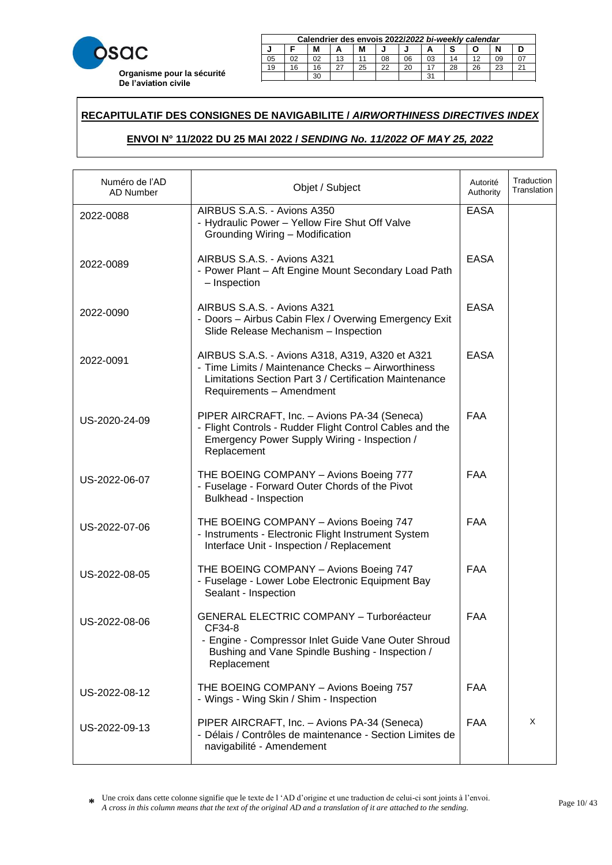

|    | Calendrier des envois 2022/2022 bi-weekly calendar |    |    |    |    |    |    |    |    |    |        |  |
|----|----------------------------------------------------|----|----|----|----|----|----|----|----|----|--------|--|
| м  |                                                    |    |    |    |    |    |    |    |    |    |        |  |
| 05 | 02                                                 |    | 13 |    | 08 | 06 | 03 | 14 |    | 09 |        |  |
| 19 | 16                                                 | 16 |    | 25 | 22 | 20 |    | 28 | 26 | 23 | $\sim$ |  |
|    | ີ<br>oc                                            |    |    |    |    |    |    |    |    |    |        |  |

23 20 20 21 22 22 23 24 25 26 27 28 29 20 21 22 23 24 25 26 27 27 27 28 29 29 29 20 21 22 23 24 25 26 27 27 27

### **RECAPITULATIF DES CONSIGNES DE NAVIGABILITE /** *AIRWORTHINESS DIRECTIVES INDEX*  21 18 18 15 27 24 22 19 16 28 25 23 29 30

# **ENVOI N° 11/2022 DU 25 MAI 2022 /** *SENDING No. 11/2022 OF MAY 25, 2022* **Calendrier des envois 2017/***2017 bi-weekly calendar* **J F M A M J J A S O N D**

| Numéro de l'AD<br>AD Number | Objet / Subject                                                                                                                                                                             | Autorité<br>Authority | Traduction<br>Translation |
|-----------------------------|---------------------------------------------------------------------------------------------------------------------------------------------------------------------------------------------|-----------------------|---------------------------|
| 2022-0088                   | AIRBUS S.A.S. - Avions A350<br>- Hydraulic Power - Yellow Fire Shut Off Valve<br>Grounding Wiring - Modification                                                                            | <b>EASA</b>           |                           |
| 2022-0089                   | AIRBUS S.A.S. - Avions A321<br>- Power Plant - Aft Engine Mount Secondary Load Path<br>- Inspection                                                                                         | <b>EASA</b>           |                           |
| 2022-0090                   | AIRBUS S.A.S. - Avions A321<br>- Doors - Airbus Cabin Flex / Overwing Emergency Exit<br>Slide Release Mechanism - Inspection                                                                | <b>EASA</b>           |                           |
| 2022-0091                   | AIRBUS S.A.S. - Avions A318, A319, A320 et A321<br>- Time Limits / Maintenance Checks - Airworthiness<br>Limitations Section Part 3 / Certification Maintenance<br>Requirements - Amendment | <b>EASA</b>           |                           |
| US-2020-24-09               | PIPER AIRCRAFT, Inc. - Avions PA-34 (Seneca)<br>- Flight Controls - Rudder Flight Control Cables and the<br>Emergency Power Supply Wiring - Inspection /<br>Replacement                     | <b>FAA</b>            |                           |
| US-2022-06-07               | THE BOEING COMPANY - Avions Boeing 777<br>- Fuselage - Forward Outer Chords of the Pivot<br>Bulkhead - Inspection                                                                           | <b>FAA</b>            |                           |
| US-2022-07-06               | THE BOEING COMPANY - Avions Boeing 747<br>- Instruments - Electronic Flight Instrument System<br>Interface Unit - Inspection / Replacement                                                  | <b>FAA</b>            |                           |
| US-2022-08-05               | THE BOEING COMPANY - Avions Boeing 747<br>- Fuselage - Lower Lobe Electronic Equipment Bay<br>Sealant - Inspection                                                                          | <b>FAA</b>            |                           |
| US-2022-08-06               | <b>GENERAL ELECTRIC COMPANY - Turboréacteur</b><br>CF34-8<br>- Engine - Compressor Inlet Guide Vane Outer Shroud<br>Bushing and Vane Spindle Bushing - Inspection /<br>Replacement          | <b>FAA</b>            |                           |
| US-2022-08-12               | THE BOEING COMPANY - Avions Boeing 757<br>- Wings - Wing Skin / Shim - Inspection                                                                                                           | FAA                   |                           |
| US-2022-09-13               | PIPER AIRCRAFT, Inc. - Avions PA-34 (Seneca)<br>- Délais / Contrôles de maintenance - Section Limites de<br>navigabilité - Amendement                                                       | <b>FAA</b>            | X                         |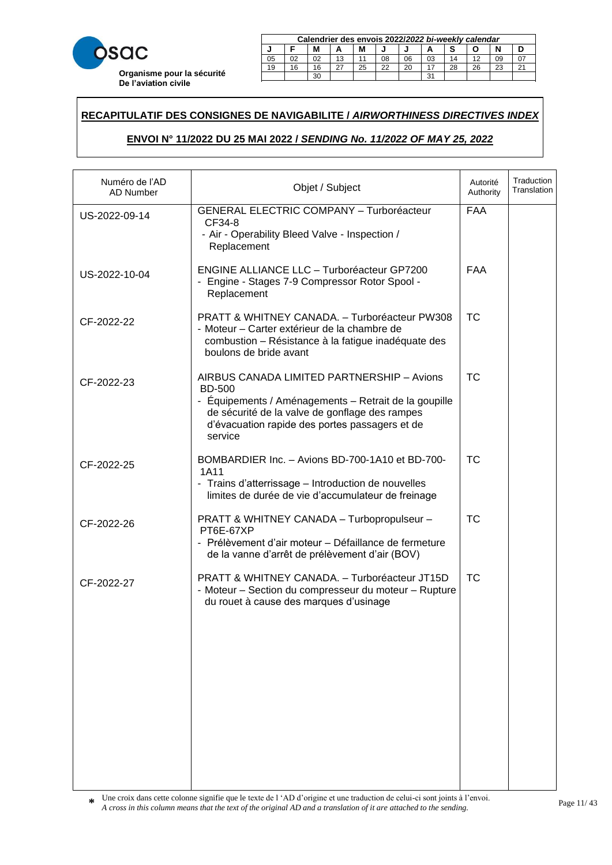

|             | Calendrier des envois 2022/2022 bi-weekly calendar |    |    |    |    |    |    |    |    |    |  |  |
|-------------|----------------------------------------------------|----|----|----|----|----|----|----|----|----|--|--|
| М<br>М<br>ш |                                                    |    |    |    |    |    |    |    |    |    |  |  |
| 05          |                                                    | 02 | 13 |    | 08 | 06 | 03 | 14 |    |    |  |  |
| 19          | 16                                                 | 16 |    | 25 | 22 | 20 |    | 28 | 26 | າາ |  |  |
|             | $\sim$<br>30                                       |    |    |    |    |    |    |    |    |    |  |  |

**J F M A M J J A S O N D**

23 20 20 21 22 22 23 24 25 26 27 28 29 20 21 22 23 24 25 26 27 27 27 28 29 29 29 20 21 22 23 24 25 26 27 27 27

### **RECAPITULATIF DES CONSIGNES DE NAVIGABILITE /** *AIRWORTHINESS DIRECTIVES INDEX*  21 18 18 15 27 24 22 19 16 28 25 23 29 30

# **ENVOI N° 11/2022 DU 25 MAI 2022 /** *SENDING No. 11/2022 OF MAY 25, 2022* **Calendrier des envois 2017/***2017 bi-weekly calendar* **J F M A M J J A S O N D**

| Numéro de l'AD<br>AD Number | Objet / Subject                                                                                                                                                                                                                     | Autorité<br>Authority | Traduction<br>Translation |
|-----------------------------|-------------------------------------------------------------------------------------------------------------------------------------------------------------------------------------------------------------------------------------|-----------------------|---------------------------|
| US-2022-09-14               | <b>GENERAL ELECTRIC COMPANY - Turboréacteur</b><br>CF34-8<br>- Air - Operability Bleed Valve - Inspection /<br>Replacement                                                                                                          | <b>FAA</b>            |                           |
| US-2022-10-04               | <b>ENGINE ALLIANCE LLC - Turboréacteur GP7200</b><br>- Engine - Stages 7-9 Compressor Rotor Spool -<br>Replacement                                                                                                                  | <b>FAA</b>            |                           |
| CF-2022-22                  | PRATT & WHITNEY CANADA. - Turboréacteur PW308<br>- Moteur - Carter extérieur de la chambre de<br>combustion - Résistance à la fatigue inadéquate des<br>boulons de bride avant                                                      | <b>TC</b>             |                           |
| CF-2022-23                  | AIRBUS CANADA LIMITED PARTNERSHIP - Avions<br><b>BD-500</b><br>- Équipements / Aménagements – Retrait de la goupille<br>de sécurité de la valve de gonflage des rampes<br>d'évacuation rapide des portes passagers et de<br>service | <b>TC</b>             |                           |
| CF-2022-25                  | BOMBARDIER Inc. - Avions BD-700-1A10 et BD-700-<br>1A11<br>- Trains d'atterrissage - Introduction de nouvelles<br>limites de durée de vie d'accumulateur de freinage                                                                | <b>TC</b>             |                           |
| CF-2022-26                  | PRATT & WHITNEY CANADA - Turbopropulseur -<br>PT6E-67XP<br>- Prélèvement d'air moteur - Défaillance de fermeture<br>de la vanne d'arrêt de prélèvement d'air (BOV)                                                                  | <b>TC</b>             |                           |
| CF-2022-27                  | PRATT & WHITNEY CANADA. - Turboréacteur JT15D<br>- Moteur - Section du compresseur du moteur - Rupture<br>du rouet à cause des marques d'usinage                                                                                    | <b>TC</b>             |                           |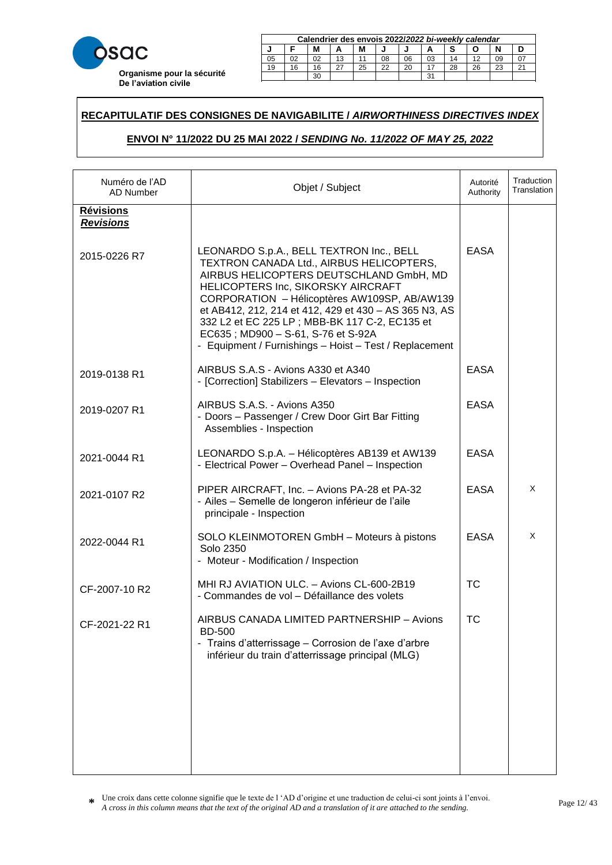

|        | Calendrier des envois 2022/2022 bi-weekly calendar |    |    |    |    |    |    |    |    |    |        |  |
|--------|----------------------------------------------------|----|----|----|----|----|----|----|----|----|--------|--|
| М<br>м |                                                    |    |    |    |    |    |    |    |    |    |        |  |
| 05     |                                                    | 02 | 13 |    | 08 | 06 | 03 | 14 |    | 09 |        |  |
| 19     | 16                                                 | 16 |    | 25 | 22 | 20 |    | 28 | 26 | 23 | $\sim$ |  |
|        |                                                    |    |    |    |    |    | ີ  |    |    |    |        |  |

23 20 20 21 22 22 23 24 25 26 27 28 29 20 21 22 23 24 25 26 27 27 27 28 29 29 29 20 21 22 23 24 25 26 27 27 27

### **RECAPITULATIF DES CONSIGNES DE NAVIGABILITE /** *AIRWORTHINESS DIRECTIVES INDEX*  21 18 18 15 27 24 22 19 16 28 25 23 29 30

# **ENVOI N° 11/2022 DU 25 MAI 2022 /** *SENDING No. 11/2022 OF MAY 25, 2022* **Calendrier des envois 2017/***2017 bi-weekly calendar* **J F M A M J J A S O N D**

| Numéro de l'AD<br><b>AD Number</b>   | Objet / Subject                                                                                                                                                                                                                                                                                                                                                                                                                 | Autorité<br>Authority | Traduction<br>Translation |
|--------------------------------------|---------------------------------------------------------------------------------------------------------------------------------------------------------------------------------------------------------------------------------------------------------------------------------------------------------------------------------------------------------------------------------------------------------------------------------|-----------------------|---------------------------|
| <b>Révisions</b><br><b>Revisions</b> |                                                                                                                                                                                                                                                                                                                                                                                                                                 |                       |                           |
| 2015-0226 R7                         | LEONARDO S.p.A., BELL TEXTRON Inc., BELL<br>TEXTRON CANADA Ltd., AIRBUS HELICOPTERS,<br>AIRBUS HELICOPTERS DEUTSCHLAND GmbH, MD<br>HELICOPTERS Inc, SIKORSKY AIRCRAFT<br>CORPORATION - Hélicoptères AW109SP, AB/AW139<br>et AB412, 212, 214 et 412, 429 et 430 - AS 365 N3, AS<br>332 L2 et EC 225 LP; MBB-BK 117 C-2, EC135 et<br>EC635; MD900 - S-61, S-76 et S-92A<br>- Equipment / Furnishings - Hoist - Test / Replacement | <b>EASA</b>           |                           |
| 2019-0138 R1                         | AIRBUS S.A.S - Avions A330 et A340<br>- [Correction] Stabilizers - Elevators - Inspection                                                                                                                                                                                                                                                                                                                                       | <b>EASA</b>           |                           |
| 2019-0207 R1                         | AIRBUS S.A.S. - Avions A350<br>- Doors - Passenger / Crew Door Girt Bar Fitting<br>Assemblies - Inspection                                                                                                                                                                                                                                                                                                                      | <b>EASA</b>           |                           |
| 2021-0044 R1                         | LEONARDO S.p.A. - Hélicoptères AB139 et AW139<br>- Electrical Power - Overhead Panel - Inspection                                                                                                                                                                                                                                                                                                                               | <b>EASA</b>           |                           |
| 2021-0107 R2                         | PIPER AIRCRAFT, Inc. - Avions PA-28 et PA-32<br>- Ailes - Semelle de longeron inférieur de l'aile<br>principale - Inspection                                                                                                                                                                                                                                                                                                    | <b>EASA</b>           | X                         |
| 2022-0044 R1                         | SOLO KLEINMOTOREN GmbH - Moteurs à pistons<br>Solo 2350<br>- Moteur - Modification / Inspection                                                                                                                                                                                                                                                                                                                                 | <b>EASA</b>           | X                         |
| CF-2007-10 R2                        | MHI RJ AVIATION ULC. - Avions CL-600-2B19<br>- Commandes de vol - Défaillance des volets                                                                                                                                                                                                                                                                                                                                        | <b>TC</b>             |                           |
| CF-2021-22 R1                        | AIRBUS CANADA LIMITED PARTNERSHIP - Avions<br><b>BD-500</b><br>- Trains d'atterrissage - Corrosion de l'axe d'arbre<br>inférieur du train d'atterrissage principal (MLG)                                                                                                                                                                                                                                                        | <b>TC</b>             |                           |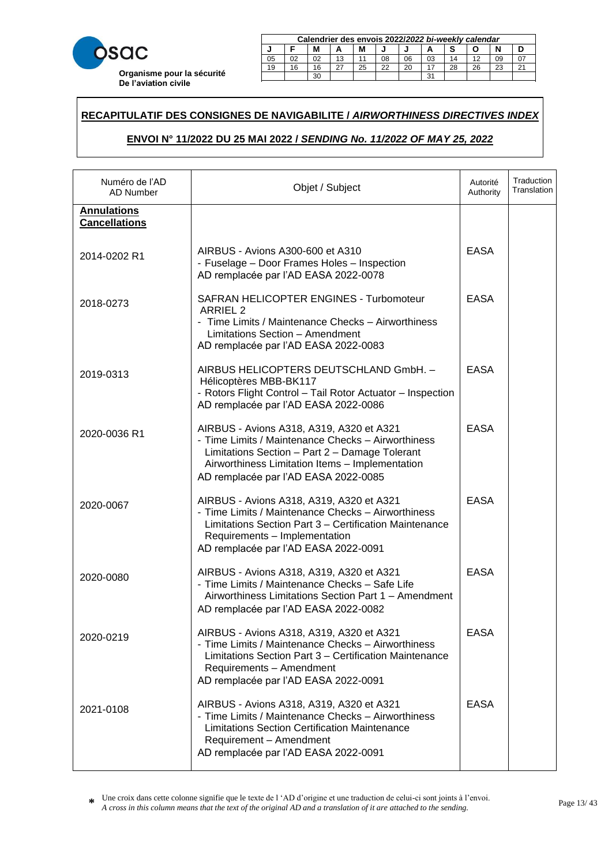

|        | Calendrier des envois 2022/2022 bi-weekly calendar |  |    |  |    |    |    |    |  |    |  |  |
|--------|----------------------------------------------------|--|----|--|----|----|----|----|--|----|--|--|
| N<br>М |                                                    |  |    |  |    |    |    |    |  |    |  |  |
| 05     | 02                                                 |  | 13 |  | 08 | 06 | 03 | 14 |  | 09 |  |  |
| 19     | 22<br>28<br>25<br>20<br>26<br>23<br>16<br>16       |  |    |  |    |    |    |    |  |    |  |  |
|        | ີ                                                  |  |    |  |    |    |    |    |  |    |  |  |

23 20 20 21 22 22 23 24 25 26 27 28 29 20 21 22 23 24 25 26 27 27 27 28 29 29 29 20 21 22 23 24 25 26 27 27 27

### **RECAPITULATIF DES CONSIGNES DE NAVIGABILITE /** *AIRWORTHINESS DIRECTIVES INDEX*  21 18 18 15 27 24 22 19 16 28 25 23 29 30

# **ENVOI N° 11/2022 DU 25 MAI 2022 /** *SENDING No. 11/2022 OF MAY 25, 2022* **Calendrier des envois 2017/***2017 bi-weekly calendar* **J F M A M J J A S O N D**

| Numéro de l'AD<br>AD Number                | Objet / Subject                                                                                                                                                                                                                             | Autorité<br>Authority | Traduction<br>Translation |
|--------------------------------------------|---------------------------------------------------------------------------------------------------------------------------------------------------------------------------------------------------------------------------------------------|-----------------------|---------------------------|
| <b>Annulations</b><br><b>Cancellations</b> |                                                                                                                                                                                                                                             |                       |                           |
| 2014-0202 R1                               | AIRBUS - Avions A300-600 et A310<br>- Fuselage - Door Frames Holes - Inspection<br>AD remplacée par l'AD EASA 2022-0078                                                                                                                     | <b>EASA</b>           |                           |
| 2018-0273                                  | SAFRAN HELICOPTER ENGINES - Turbomoteur<br><b>ARRIEL 2</b><br>- Time Limits / Maintenance Checks - Airworthiness<br>Limitations Section - Amendment<br>AD remplacée par l'AD EASA 2022-0083                                                 | <b>EASA</b>           |                           |
| 2019-0313                                  | AIRBUS HELICOPTERS DEUTSCHLAND GmbH. -<br>Hélicoptères MBB-BK117<br>- Rotors Flight Control - Tail Rotor Actuator - Inspection<br>AD remplacée par l'AD EASA 2022-0086                                                                      | <b>EASA</b>           |                           |
| 2020-0036 R1                               | AIRBUS - Avions A318, A319, A320 et A321<br>- Time Limits / Maintenance Checks - Airworthiness<br>Limitations Section - Part 2 - Damage Tolerant<br>Airworthiness Limitation Items - Implementation<br>AD remplacée par l'AD EASA 2022-0085 | <b>EASA</b>           |                           |
| 2020-0067                                  | AIRBUS - Avions A318, A319, A320 et A321<br>- Time Limits / Maintenance Checks - Airworthiness<br>Limitations Section Part 3 - Certification Maintenance<br>Requirements - Implementation<br>AD remplacée par l'AD EASA 2022-0091           | <b>EASA</b>           |                           |
| 2020-0080                                  | AIRBUS - Avions A318, A319, A320 et A321<br>- Time Limits / Maintenance Checks - Safe Life<br>Airworthiness Limitations Section Part 1 - Amendment<br>AD remplacée par l'AD EASA 2022-0082                                                  | <b>EASA</b>           |                           |
| 2020-0219                                  | AIRBUS - Avions A318, A319, A320 et A321<br>- Time Limits / Maintenance Checks - Airworthiness<br>Limitations Section Part 3 - Certification Maintenance<br>Requirements - Amendment<br>AD remplacée par l'AD EASA 2022-0091                | <b>EASA</b>           |                           |
| 2021-0108                                  | AIRBUS - Avions A318, A319, A320 et A321<br>- Time Limits / Maintenance Checks - Airworthiness<br><b>Limitations Section Certification Maintenance</b><br>Requirement - Amendment<br>AD remplacée par l'AD EASA 2022-0091                   | <b>EASA</b>           |                           |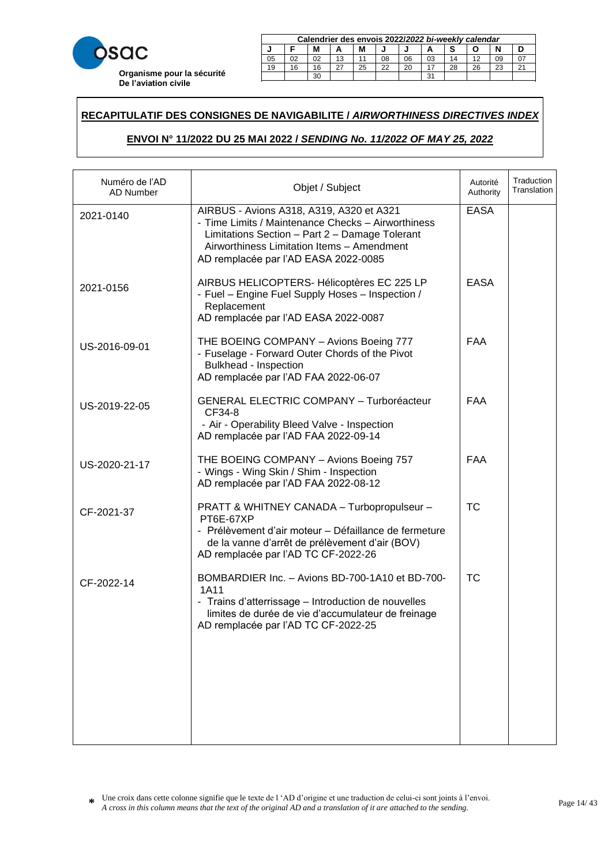

|    | Calendrier des envois 2022/2022 bi-weekly calendar     |    |    |  |    |    |    |    |  |    |  |  |
|----|--------------------------------------------------------|----|----|--|----|----|----|----|--|----|--|--|
|    | М<br>М                                                 |    |    |  |    |    |    |    |  |    |  |  |
| 05 |                                                        | 02 | 13 |  | 08 | 06 | 03 | 14 |  | 09 |  |  |
| 19 | 25<br>22<br>26<br>20<br>28<br>23<br>16<br>16<br>$\sim$ |    |    |  |    |    |    |    |  |    |  |  |
|    | ີ<br>30                                                |    |    |  |    |    |    |    |  |    |  |  |

23 20 20 21 22 22 23 24 25 26 27 28 29 20 21 22 23 24 25 26 27 27 27 28 29 29 29 20 21 22 23 24 25 26 27 27 27

### **RECAPITULATIF DES CONSIGNES DE NAVIGABILITE /** *AIRWORTHINESS DIRECTIVES INDEX*  21 18 18 15 27 24 22 19 16 28 25 23 29 30

# **ENVOI N° 11/2022 DU 25 MAI 2022 /** *SENDING No. 11/2022 OF MAY 25, 2022* **Calendrier des envois 2017/***2017 bi-weekly calendar* **J F M A M J J A S O N D**

| Numéro de l'AD<br>AD Number | Objet / Subject                                                                                                                                                                                                                        | Autorité<br>Authority | Traduction<br>Translation |
|-----------------------------|----------------------------------------------------------------------------------------------------------------------------------------------------------------------------------------------------------------------------------------|-----------------------|---------------------------|
| 2021-0140                   | AIRBUS - Avions A318, A319, A320 et A321<br>- Time Limits / Maintenance Checks - Airworthiness<br>Limitations Section - Part 2 - Damage Tolerant<br>Airworthiness Limitation Items - Amendment<br>AD remplacée par l'AD EASA 2022-0085 | <b>EASA</b>           |                           |
| 2021-0156                   | AIRBUS HELICOPTERS- Hélicoptères EC 225 LP<br>- Fuel - Engine Fuel Supply Hoses - Inspection /<br>Replacement<br>AD remplacée par l'AD EASA 2022-0087                                                                                  | <b>EASA</b>           |                           |
| US-2016-09-01               | THE BOEING COMPANY - Avions Boeing 777<br>- Fuselage - Forward Outer Chords of the Pivot<br>Bulkhead - Inspection<br>AD remplacée par l'AD FAA 2022-06-07                                                                              | <b>FAA</b>            |                           |
| US-2019-22-05               | <b>GENERAL ELECTRIC COMPANY - Turboréacteur</b><br>CF34-8<br>- Air - Operability Bleed Valve - Inspection<br>AD remplacée par l'AD FAA 2022-09-14                                                                                      | <b>FAA</b>            |                           |
| US-2020-21-17               | THE BOEING COMPANY - Avions Boeing 757<br>- Wings - Wing Skin / Shim - Inspection<br>AD remplacée par l'AD FAA 2022-08-12                                                                                                              | <b>FAA</b>            |                           |
| CF-2021-37                  | PRATT & WHITNEY CANADA - Turbopropulseur -<br>PT6E-67XP<br>- Prélèvement d'air moteur - Défaillance de fermeture<br>de la vanne d'arrêt de prélèvement d'air (BOV)<br>AD remplacée par l'AD TC CF-2022-26                              | <b>TC</b>             |                           |
| CF-2022-14                  | BOMBARDIER Inc. - Avions BD-700-1A10 et BD-700-<br>1A11<br>- Trains d'atterrissage - Introduction de nouvelles<br>limites de durée de vie d'accumulateur de freinage<br>AD remplacée par l'AD TC CF-2022-25                            | <b>TC</b>             |                           |
|                             |                                                                                                                                                                                                                                        |                       |                           |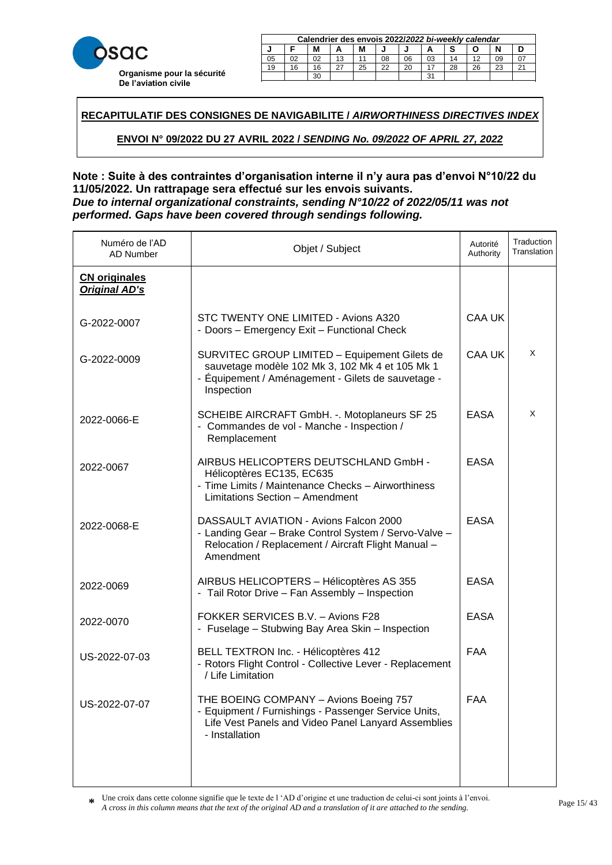

|                  | Calendrier des envois 2022/2022 bi-weekly calendar     |    |    |  |    |    |    |    |  |    |  |  |
|------------------|--------------------------------------------------------|----|----|--|----|----|----|----|--|----|--|--|
| М<br>М<br>N<br>А |                                                        |    |    |  |    |    |    |    |  |    |  |  |
| 05               |                                                        | 02 | 13 |  | 08 | 06 | 03 | 14 |  | 09 |  |  |
| 19               | 16<br>25<br>28<br>26<br>22<br>16<br>20<br>23<br>$\sim$ |    |    |  |    |    |    |    |  |    |  |  |
|                  | 30<br>31                                               |    |    |  |    |    |    |    |  |    |  |  |

23 20 20 21 22 22 23 24 25 26 27 28 29 20 21 22 23 24 25 26 27 27 27 28 29 29 29 20 21 22 23 24 25 26 27 27 27

**RECAPITULATIF DES CONSIGNES DE NAVIGABILITE /** *AIRWORTHINESS DIRECTIVES INDEX*  21 18 18 15 27 24 22 19 16 28 25 23 29 30

**ENVOI N° 09/2022 DU 27 AVRIL 2022 /** *SENDING No. 09/2022 OF APRIL 27, 2022* **Calendrier des envois 2017/***2017 bi-weekly calendar* <u> EXECUTIVE AND AND INCOME AND IN ARRIL 27, 2022 AND **A** DISCOVER AND  $\alpha$  and  $\alpha$   $\beta$   $\gamma$ </u>

# 30 29 **Note : Suite à des contraintes d'organisation interne il n'y aura pas d'envoi N°10/22 du 11/05/2022. Un rattrapage sera effectué sur les envois suivants.** *Due to internal organizational constraints, sending N°10/22 of 2022/05/11 was not performed. Gaps have been covered through sendings following.*

| Numéro de l'AD<br>AD Number                  | Objet / Subject                                                                                                                                                         | Autorité<br>Authority | Traduction<br>Translation |
|----------------------------------------------|-------------------------------------------------------------------------------------------------------------------------------------------------------------------------|-----------------------|---------------------------|
| <b>CN originales</b><br><b>Original AD's</b> |                                                                                                                                                                         |                       |                           |
| G-2022-0007                                  | STC TWENTY ONE LIMITED - Avions A320<br>- Doors - Emergency Exit - Functional Check                                                                                     | <b>CAA UK</b>         |                           |
| G-2022-0009                                  | SURVITEC GROUP LIMITED - Equipement Gilets de<br>sauvetage modèle 102 Mk 3, 102 Mk 4 et 105 Mk 1<br>- Équipement / Aménagement - Gilets de sauvetage -<br>Inspection    | <b>CAA UK</b>         | X                         |
| 2022-0066-E                                  | SCHEIBE AIRCRAFT GmbH. -. Motoplaneurs SF 25<br>- Commandes de vol - Manche - Inspection /<br>Remplacement                                                              | <b>EASA</b>           | X                         |
| 2022-0067                                    | AIRBUS HELICOPTERS DEUTSCHLAND GmbH -<br>Hélicoptères EC135, EC635<br>- Time Limits / Maintenance Checks - Airworthiness<br>Limitations Section - Amendment             | <b>EASA</b>           |                           |
| 2022-0068-E                                  | DASSAULT AVIATION - Avions Falcon 2000<br>- Landing Gear - Brake Control System / Servo-Valve -<br>Relocation / Replacement / Aircraft Flight Manual -<br>Amendment     | <b>EASA</b>           |                           |
| 2022-0069                                    | AIRBUS HELICOPTERS - Hélicoptères AS 355<br>- Tail Rotor Drive - Fan Assembly - Inspection                                                                              | <b>EASA</b>           |                           |
| 2022-0070                                    | FOKKER SERVICES B.V. - Avions F28<br>- Fuselage - Stubwing Bay Area Skin - Inspection                                                                                   | <b>EASA</b>           |                           |
| US-2022-07-03                                | BELL TEXTRON Inc. - Hélicoptères 412<br>- Rotors Flight Control - Collective Lever - Replacement<br>/ Life Limitation                                                   | <b>FAA</b>            |                           |
| US-2022-07-07                                | THE BOEING COMPANY - Avions Boeing 757<br>- Equipment / Furnishings - Passenger Service Units,<br>Life Vest Panels and Video Panel Lanyard Assemblies<br>- Installation | <b>FAA</b>            |                           |
|                                              |                                                                                                                                                                         |                       |                           |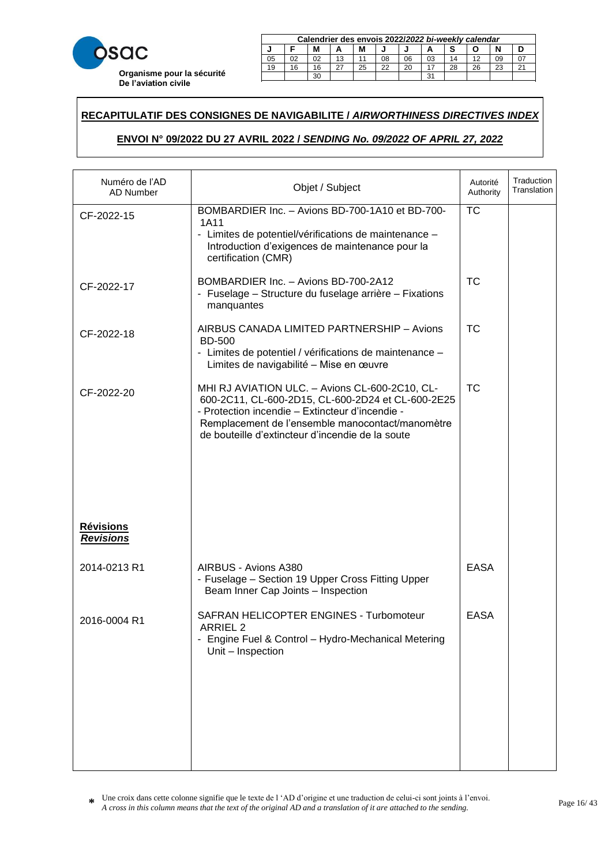

|    | Calendrier des envois 2022/2022 bi-weekly calendar     |  |    |  |    |    |    |    |  |    |  |  |  |
|----|--------------------------------------------------------|--|----|--|----|----|----|----|--|----|--|--|--|
|    | м                                                      |  |    |  |    |    |    |    |  |    |  |  |  |
| 05 | 02                                                     |  | 13 |  | 08 | 06 | 03 | 14 |  | 09 |  |  |  |
| 19 | 22<br>26<br>25<br>20<br>23<br>28<br>16<br>$\sim$<br>16 |  |    |  |    |    |    |    |  |    |  |  |  |
|    | ີ<br>oc                                                |  |    |  |    |    |    |    |  |    |  |  |  |

23 20 20 21 22 22 23 24 25 26 27 28 29 20 21 22 23 24 25 26 27 27 27 28 29 29 29 20 21 22 23 24 25 26 27 27 27

### **RECAPITULATIF DES CONSIGNES DE NAVIGABILITE /** *AIRWORTHINESS DIRECTIVES INDEX*  21 18 18 15 27 24 22 19 16 28 25 23 29 30

# **ENVOI N° 09/2022 DU 27 AVRIL 2022 /** *SENDING No. 09/2022 OF APRIL 27, 2022* **Calendrier des envois 2017/***2017 bi-weekly calendar* <u> EXECUTIVE AND AND INCOME AND IN ARRIL 27, 2022 AND **A** DISCOVER AND  $\alpha$  and  $\alpha$   $\beta$   $\gamma$ </u>

| Numéro de l'AD<br><b>AD Number</b>   | Objet / Subject                                                                                                                                                                                                                                                | Autorité<br>Authority | Traduction<br>Translation |
|--------------------------------------|----------------------------------------------------------------------------------------------------------------------------------------------------------------------------------------------------------------------------------------------------------------|-----------------------|---------------------------|
| CF-2022-15                           | BOMBARDIER Inc. - Avions BD-700-1A10 et BD-700-<br>1A11<br>- Limites de potentiel/vérifications de maintenance -<br>Introduction d'exigences de maintenance pour la<br>certification (CMR)                                                                     | <b>TC</b>             |                           |
| CF-2022-17                           | BOMBARDIER Inc. - Avions BD-700-2A12<br>- Fuselage – Structure du fuselage arrière – Fixations<br>manquantes                                                                                                                                                   | <b>TC</b>             |                           |
| CF-2022-18                           | AIRBUS CANADA LIMITED PARTNERSHIP - Avions<br><b>BD-500</b><br>- Limites de potentiel / vérifications de maintenance -<br>Limites de navigabilité - Mise en œuvre                                                                                              | <b>TC</b>             |                           |
| CF-2022-20                           | MHI RJ AVIATION ULC. - Avions CL-600-2C10, CL-<br>600-2C11, CL-600-2D15, CL-600-2D24 et CL-600-2E25<br>- Protection incendie - Extincteur d'incendie -<br>Remplacement de l'ensemble manocontact/manomètre<br>de bouteille d'extincteur d'incendie de la soute | <b>TC</b>             |                           |
| <b>Révisions</b><br><b>Revisions</b> |                                                                                                                                                                                                                                                                |                       |                           |
| 2014-0213 R1                         | AIRBUS - Avions A380<br>- Fuselage - Section 19 Upper Cross Fitting Upper<br>Beam Inner Cap Joints - Inspection                                                                                                                                                | <b>EASA</b>           |                           |
| 2016-0004 R1                         | SAFRAN HELICOPTER ENGINES - Turbomoteur<br>ARRIEL <sub>2</sub><br>- Engine Fuel & Control - Hydro-Mechanical Metering<br>Unit - Inspection                                                                                                                     | <b>EASA</b>           |                           |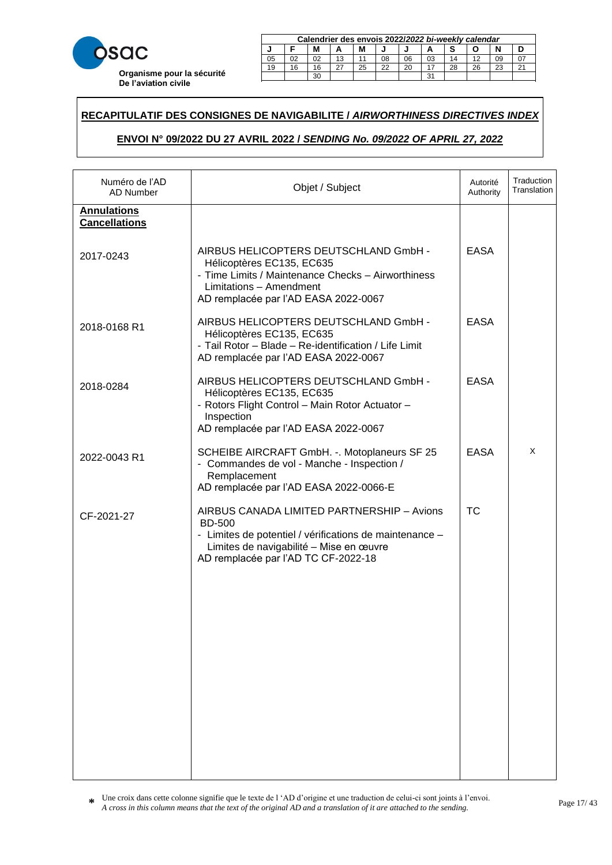

|    | Calendrier des envois 2022/2022 bi-weekly calendar     |    |    |  |    |    |    |    |  |    |  |  |
|----|--------------------------------------------------------|----|----|--|----|----|----|----|--|----|--|--|
|    | M<br>М                                                 |    |    |  |    |    |    |    |  |    |  |  |
| 05 | 02                                                     | 02 | 13 |  | 08 | 06 | 03 | 14 |  | 09 |  |  |
| 19 | 22<br>28<br>26<br>25<br>20<br>23<br>16<br>$\sim$<br>16 |    |    |  |    |    |    |    |  |    |  |  |
|    | 31<br>30                                               |    |    |  |    |    |    |    |  |    |  |  |

23 20 20 21 22 22 23 24 25 26 27 28 29 20 21 22 23 24 25 26 27 27 27 28 29 29 29 20 21 22 23 24 25 26 27 27 27

### **RECAPITULATIF DES CONSIGNES DE NAVIGABILITE /** *AIRWORTHINESS DIRECTIVES INDEX*  21 18 18 15 27 24 22 19 16 28 25 23 29 30

# **ENVOI N° 09/2022 DU 27 AVRIL 2022 /** *SENDING No. 09/2022 OF APRIL 27, 2022* **Calendrier des envois 2017/***2017 bi-weekly calendar* <u> EXECUTIVE AND AND INCOME AND IN ARRIL 27, 2022 AND **A** DISCOVER AND  $\alpha$  and  $\alpha$   $\beta$   $\gamma$ </u>

| Numéro de l'AD<br><b>AD Number</b>         | Objet / Subject                                                                                                                                                                                          | Autorité<br>Authority | Traduction<br>Translation |
|--------------------------------------------|----------------------------------------------------------------------------------------------------------------------------------------------------------------------------------------------------------|-----------------------|---------------------------|
| <b>Annulations</b><br><b>Cancellations</b> |                                                                                                                                                                                                          |                       |                           |
| 2017-0243                                  | AIRBUS HELICOPTERS DEUTSCHLAND GmbH -<br>Hélicoptères EC135, EC635<br>- Time Limits / Maintenance Checks - Airworthiness<br>Limitations - Amendment<br>AD remplacée par l'AD EASA 2022-0067              | <b>EASA</b>           |                           |
| 2018-0168 R1                               | AIRBUS HELICOPTERS DEUTSCHLAND GmbH -<br>Hélicoptères EC135, EC635<br>- Tail Rotor - Blade - Re-identification / Life Limit<br>AD remplacée par l'AD EASA 2022-0067                                      | <b>EASA</b>           |                           |
| 2018-0284                                  | AIRBUS HELICOPTERS DEUTSCHLAND GmbH -<br>Hélicoptères EC135, EC635<br>- Rotors Flight Control - Main Rotor Actuator -<br>Inspection<br>AD remplacée par l'AD EASA 2022-0067                              | <b>EASA</b>           |                           |
| 2022-0043 R1                               | SCHEIBE AIRCRAFT GmbH. -. Motoplaneurs SF 25<br>- Commandes de vol - Manche - Inspection /<br>Remplacement<br>AD remplacée par l'AD EASA 2022-0066-E                                                     | <b>EASA</b>           | X                         |
| CF-2021-27                                 | AIRBUS CANADA LIMITED PARTNERSHIP - Avions<br><b>BD-500</b><br>- Limites de potentiel / vérifications de maintenance -<br>Limites de navigabilité - Mise en œuvre<br>AD remplacée par l'AD TC CF-2022-18 | <b>TC</b>             |                           |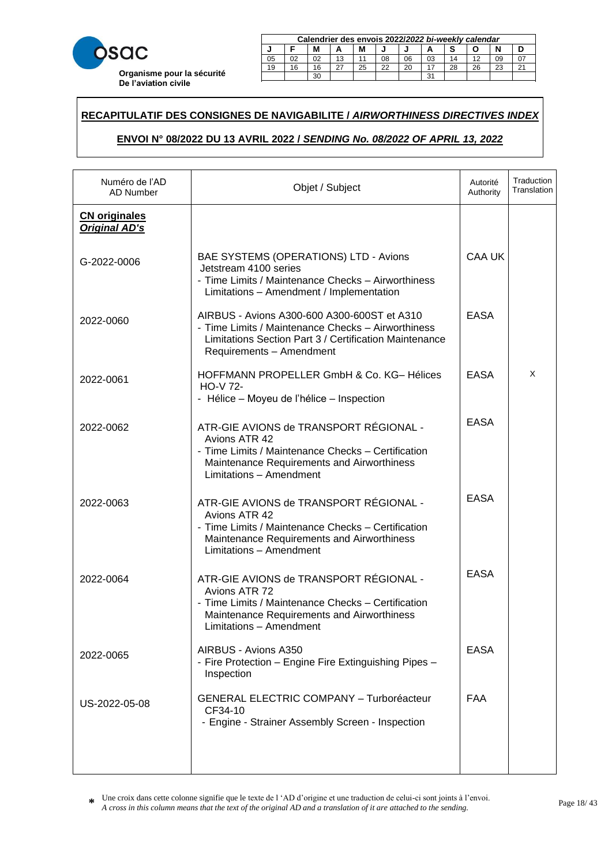

| Calendrier des envois 2022/2022 bi-weekly calendar |                                              |  |    |  |    |    |    |    |  |    |  |  |
|----------------------------------------------------|----------------------------------------------|--|----|--|----|----|----|----|--|----|--|--|
| N<br>М                                             |                                              |  |    |  |    |    |    |    |  |    |  |  |
| 05                                                 | 02                                           |  | 13 |  | 08 | 06 | 03 | 14 |  | 09 |  |  |
| 19                                                 | 22<br>28<br>26<br>25<br>20<br>23<br>16<br>16 |  |    |  |    |    |    |    |  |    |  |  |
|                                                    | ີ                                            |  |    |  |    |    |    |    |  |    |  |  |

23 20 20 21 22 22 23 24 25 26 27 28 29 20 21 22 23 24 25 26 27 27 27 28 29 29 29 20 21 22 23 24 25 26 27 27 27

### **RECAPITULATIF DES CONSIGNES DE NAVIGABILITE /** *AIRWORTHINESS DIRECTIVES INDEX*  21 18 18 15 27 24 22 19 16 28 25 23 29 30

# **ENVOI N° 08/2022 DU 13 AVRIL 2022 /** *SENDING No. 08/2022 OF APRIL 13, 2022* **Calendrier des envois 2017/***2017 bi-weekly calendar* <u> EXECUTIVE 2007 NO. 08/2022 OF APRIL 13, 2022 NO. 18, 2022 I</u>

| Numéro de l'AD<br>AD Number                  | Objet / Subject                                                                                                                                                                         | Autorité<br>Authority | Traduction<br>Translation |
|----------------------------------------------|-----------------------------------------------------------------------------------------------------------------------------------------------------------------------------------------|-----------------------|---------------------------|
| <b>CN originales</b><br><b>Original AD's</b> |                                                                                                                                                                                         |                       |                           |
| G-2022-0006                                  | BAE SYSTEMS (OPERATIONS) LTD - Avions<br>Jetstream 4100 series<br>- Time Limits / Maintenance Checks - Airworthiness<br>Limitations - Amendment / Implementation                        | <b>CAA UK</b>         |                           |
| 2022-0060                                    | AIRBUS - Avions A300-600 A300-600ST et A310<br>- Time Limits / Maintenance Checks - Airworthiness<br>Limitations Section Part 3 / Certification Maintenance<br>Requirements - Amendment | <b>EASA</b>           |                           |
| 2022-0061                                    | HOFFMANN PROPELLER GmbH & Co. KG-Hélices<br><b>HO-V 72-</b><br>- Hélice – Moyeu de l'hélice – Inspection                                                                                | <b>EASA</b>           | X                         |
| 2022-0062                                    | ATR-GIE AVIONS de TRANSPORT RÉGIONAL -<br>Avions ATR 42<br>- Time Limits / Maintenance Checks - Certification<br>Maintenance Requirements and Airworthiness<br>Limitations - Amendment  | <b>EASA</b>           |                           |
| 2022-0063                                    | ATR-GIE AVIONS de TRANSPORT RÉGIONAL -<br>Avions ATR 42<br>- Time Limits / Maintenance Checks - Certification<br>Maintenance Requirements and Airworthiness<br>Limitations - Amendment  | <b>EASA</b>           |                           |
| 2022-0064                                    | ATR-GIE AVIONS de TRANSPORT RÉGIONAL -<br>Avions ATR 72<br>- Time Limits / Maintenance Checks - Certification<br>Maintenance Requirements and Airworthiness<br>Limitations - Amendment  | <b>EASA</b>           |                           |
| 2022-0065                                    | AIRBUS - Avions A350<br>- Fire Protection - Engine Fire Extinguishing Pipes -<br>Inspection                                                                                             | <b>EASA</b>           |                           |
| US-2022-05-08                                | <b>GENERAL ELECTRIC COMPANY - Turboréacteur</b><br>CF34-10<br>- Engine - Strainer Assembly Screen - Inspection                                                                          | FAA                   |                           |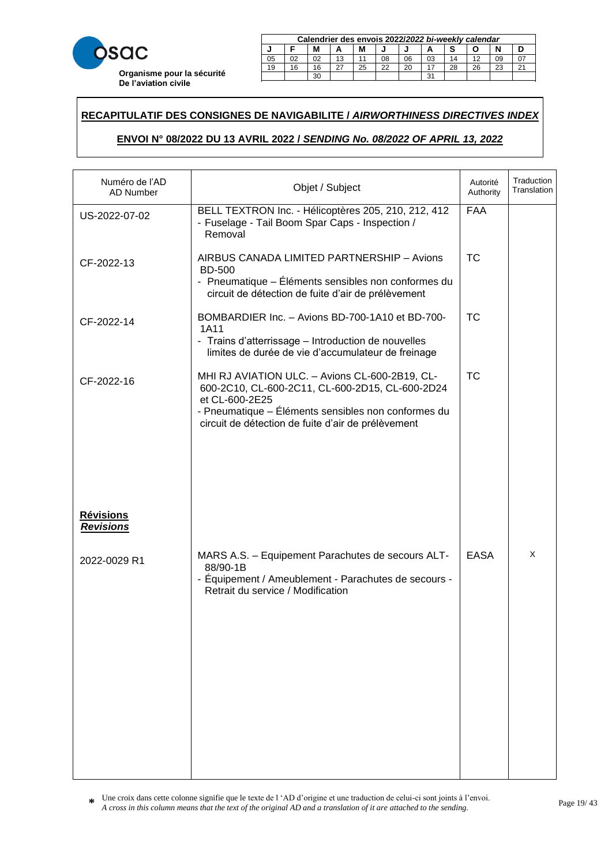

|    | Calendrier des envois 2022/2022 bi-weekly calendar     |  |    |  |    |    |    |    |  |    |  |
|----|--------------------------------------------------------|--|----|--|----|----|----|----|--|----|--|
| м  |                                                        |  |    |  |    |    |    |    |  |    |  |
| 05 | 02                                                     |  | 13 |  | 08 | 06 | 03 | 14 |  | 09 |  |
| 19 | 22<br>26<br>25<br>20<br>23<br>28<br>16<br>$\sim$<br>16 |  |    |  |    |    |    |    |  |    |  |
|    | ີ<br>oc                                                |  |    |  |    |    |    |    |  |    |  |

23 20 20 21 22 22 23 24 25 26 27 28 29 20 21 22 23 24 25 26 27 27 27 28 29 29 29 20 21 22 23 24 25 26 27 27 27

### **RECAPITULATIF DES CONSIGNES DE NAVIGABILITE /** *AIRWORTHINESS DIRECTIVES INDEX*  21 18 18 15 27 24 22 19 16 28 25 23 29 30

# **ENVOI N° 08/2022 DU 13 AVRIL 2022 /** *SENDING No. 08/2022 OF APRIL 13, 2022* **Calendrier des envois 2017/***2017 bi-weekly calendar* <u> EXECUTIVE 2007 NO. 08/2022 OF APRIL 13, 2022 NO. 18, 2022 I</u>

| Numéro de l'AD<br><b>AD Number</b> | Objet / Subject                                                                                                                                                                                                                  | Autorité<br>Authority | Traduction<br>Translation |
|------------------------------------|----------------------------------------------------------------------------------------------------------------------------------------------------------------------------------------------------------------------------------|-----------------------|---------------------------|
| US-2022-07-02                      | BELL TEXTRON Inc. - Hélicoptères 205, 210, 212, 412<br>- Fuselage - Tail Boom Spar Caps - Inspection /<br>Removal                                                                                                                | <b>FAA</b>            |                           |
| CF-2022-13                         | AIRBUS CANADA LIMITED PARTNERSHIP - Avions<br><b>BD-500</b><br>- Pneumatique – Éléments sensibles non conformes du<br>circuit de détection de fuite d'air de prélèvement                                                         | <b>TC</b>             |                           |
| CF-2022-14                         | BOMBARDIER Inc. - Avions BD-700-1A10 et BD-700-<br>1A11<br>- Trains d'atterrissage - Introduction de nouvelles<br>limites de durée de vie d'accumulateur de freinage                                                             | <b>TC</b>             |                           |
| CF-2022-16<br><b>Révisions</b>     | MHI RJ AVIATION ULC. - Avions CL-600-2B19, CL-<br>600-2C10, CL-600-2C11, CL-600-2D15, CL-600-2D24<br>et CL-600-2E25<br>- Pneumatique – Éléments sensibles non conformes du<br>circuit de détection de fuite d'air de prélèvement | <b>TC</b>             |                           |
| <b>Revisions</b><br>2022-0029 R1   | MARS A.S. - Equipement Parachutes de secours ALT-<br>88/90-1B<br>- Équipement / Ameublement - Parachutes de secours -<br>Retrait du service / Modification                                                                       | <b>EASA</b>           | X                         |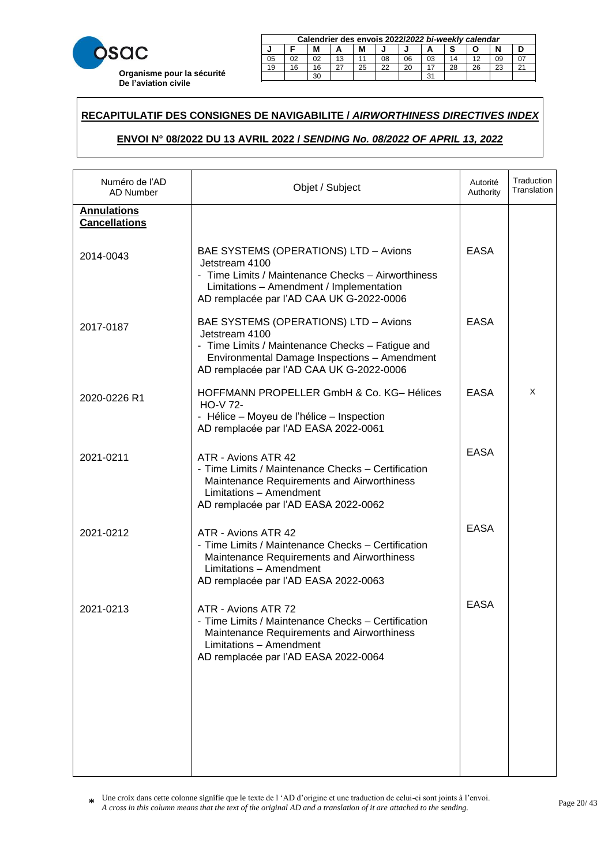

|        | Calendrier des envois 2022/2022 bi-weekly calendar |    |    |    |    |    |    |    |    |    |        |
|--------|----------------------------------------------------|----|----|----|----|----|----|----|----|----|--------|
| M<br>М |                                                    |    |    |    |    |    |    |    |    |    |        |
| 05     | 02                                                 | 02 | 13 |    | 08 | 06 | 03 | 14 |    | 09 |        |
| 19     | 16                                                 | 16 |    | 25 | 22 | 20 |    | 28 | 26 | 23 | $\sim$ |
|        | 31<br>30                                           |    |    |    |    |    |    |    |    |    |        |

23 20 20 21 22 22 23 24 25 26 27 28 29 20 21 22 23 24 25 26 27 27 27 28 29 29 29 20 21 22 23 24 25 26 27 27 27

### **RECAPITULATIF DES CONSIGNES DE NAVIGABILITE /** *AIRWORTHINESS DIRECTIVES INDEX*  21 18 18 15 27 24 22 19 16 28 25 23 29 30

# **ENVOI N° 08/2022 DU 13 AVRIL 2022 /** *SENDING No. 08/2022 OF APRIL 13, 2022* **Calendrier des envois 2017/***2017 bi-weekly calendar* <u> EXECUTIVE 2007 NO. 08/2022 OF APRIL 13, 2022 NO. 18, 2022 I</u>

| Numéro de l'AD<br>AD Number                | Objet / Subject                                                                                                                                                                                         | Autorité<br>Authority | Traduction<br>Translation |
|--------------------------------------------|---------------------------------------------------------------------------------------------------------------------------------------------------------------------------------------------------------|-----------------------|---------------------------|
| <b>Annulations</b><br><b>Cancellations</b> |                                                                                                                                                                                                         |                       |                           |
| 2014-0043                                  | BAE SYSTEMS (OPERATIONS) LTD - Avions<br>Jetstream 4100<br>- Time Limits / Maintenance Checks - Airworthiness<br>Limitations - Amendment / Implementation<br>AD remplacée par l'AD CAA UK G-2022-0006   | <b>EASA</b>           |                           |
| 2017-0187                                  | BAE SYSTEMS (OPERATIONS) LTD - Avions<br>Jetstream 4100<br>- Time Limits / Maintenance Checks - Fatigue and<br>Environmental Damage Inspections - Amendment<br>AD remplacée par l'AD CAA UK G-2022-0006 | <b>EASA</b>           |                           |
| 2020-0226 R1                               | HOFFMANN PROPELLER GmbH & Co. KG-Hélices<br><b>HO-V 72-</b><br>- Hélice – Moyeu de l'hélice – Inspection<br>AD remplacée par l'AD EASA 2022-0061                                                        | <b>EASA</b>           | X                         |
| 2021-0211                                  | ATR - Avions ATR 42<br>- Time Limits / Maintenance Checks - Certification<br>Maintenance Requirements and Airworthiness<br>Limitations - Amendment<br>AD remplacée par l'AD EASA 2022-0062              | <b>EASA</b>           |                           |
| 2021-0212                                  | ATR - Avions ATR 42<br>- Time Limits / Maintenance Checks - Certification<br>Maintenance Requirements and Airworthiness<br>Limitations - Amendment<br>AD remplacée par l'AD EASA 2022-0063              | <b>EASA</b>           |                           |
| 2021-0213                                  | ATR - Avions ATR 72<br>- Time Limits / Maintenance Checks - Certification<br>Maintenance Requirements and Airworthiness<br>Limitations - Amendment<br>AD remplacée par l'AD EASA 2022-0064              | <b>EASA</b>           |                           |
|                                            |                                                                                                                                                                                                         |                       |                           |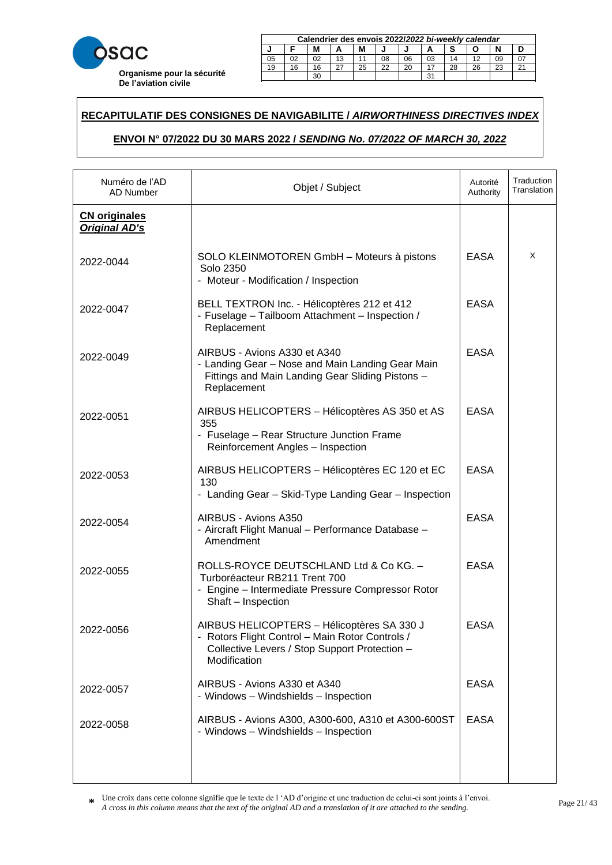

|        | Calendrier des envois 2022/2022 bi-weekly calendar |          |    |    |    |    |    |    |    |    |        |  |
|--------|----------------------------------------------------|----------|----|----|----|----|----|----|----|----|--------|--|
| M<br>М |                                                    |          |    |    |    |    |    |    |    |    |        |  |
| 05     | 02                                                 | 02       | 13 |    | 08 | 06 | 03 | 14 |    | 09 |        |  |
| 19     | 16                                                 | 16       |    | 25 | 22 | 20 |    | 28 | 26 | 23 | $\sim$ |  |
|        |                                                    | 31<br>30 |    |    |    |    |    |    |    |    |        |  |

23 20 20 21 22 22 23 24 25 26 27 28 29 20 21 22 23 24 25 26 27 27 27 28 29 29 29 20 21 22 23 24 25 26 27 27 27

### **RECAPITULATIF DES CONSIGNES DE NAVIGABILITE /** *AIRWORTHINESS DIRECTIVES INDEX*  21 18 18 15 27 24 22 19 16 28 25 23 29 30

# **ENVOI N° 07/2022 DU 30 MARS 2022 /** *SENDING No. 07/2022 OF MARCH 30, 2022* **Calendrier des envois 2017/***2017 bi-weekly calendar* <u>**ZUZZ I SENDING NO. 07/ZUZZ OF MARCH 30, ZUZZ**</u>

| Numéro de l'AD<br>AD Number                  | Objet / Subject                                                                                                                                                | Autorité<br>Authority | Traduction<br>Translation |
|----------------------------------------------|----------------------------------------------------------------------------------------------------------------------------------------------------------------|-----------------------|---------------------------|
| <b>CN</b> originales<br><b>Original AD's</b> |                                                                                                                                                                |                       |                           |
| 2022-0044                                    | SOLO KLEINMOTOREN GmbH - Moteurs à pistons<br>Solo 2350<br>- Moteur - Modification / Inspection                                                                | <b>EASA</b>           | X                         |
| 2022-0047                                    | BELL TEXTRON Inc. - Hélicoptères 212 et 412<br>- Fuselage - Tailboom Attachment - Inspection /<br>Replacement                                                  | <b>EASA</b>           |                           |
| 2022-0049                                    | AIRBUS - Avions A330 et A340<br>- Landing Gear - Nose and Main Landing Gear Main<br>Fittings and Main Landing Gear Sliding Pistons -<br>Replacement            | <b>EASA</b>           |                           |
| 2022-0051                                    | AIRBUS HELICOPTERS - Hélicoptères AS 350 et AS<br>355<br>- Fuselage - Rear Structure Junction Frame<br>Reinforcement Angles - Inspection                       | <b>EASA</b>           |                           |
| 2022-0053                                    | AIRBUS HELICOPTERS - Hélicoptères EC 120 et EC<br>130<br>- Landing Gear - Skid-Type Landing Gear - Inspection                                                  | <b>EASA</b>           |                           |
| 2022-0054                                    | AIRBUS - Avions A350<br>- Aircraft Flight Manual - Performance Database -<br>Amendment                                                                         | <b>EASA</b>           |                           |
| 2022-0055                                    | ROLLS-ROYCE DEUTSCHLAND Ltd & Co KG. -<br>Turboréacteur RB211 Trent 700<br>- Engine - Intermediate Pressure Compressor Rotor<br>Shaft - Inspection             | <b>EASA</b>           |                           |
| 2022-0056                                    | AIRBUS HELICOPTERS - Hélicoptères SA 330 J<br>- Rotors Flight Control - Main Rotor Controls /<br>Collective Levers / Stop Support Protection -<br>Modification | EASA                  |                           |
| 2022-0057                                    | AIRBUS - Avions A330 et A340<br>- Windows - Windshields - Inspection                                                                                           | <b>EASA</b>           |                           |
| 2022-0058                                    | AIRBUS - Avions A300, A300-600, A310 et A300-600ST<br>- Windows - Windshields - Inspection                                                                     | <b>EASA</b>           |                           |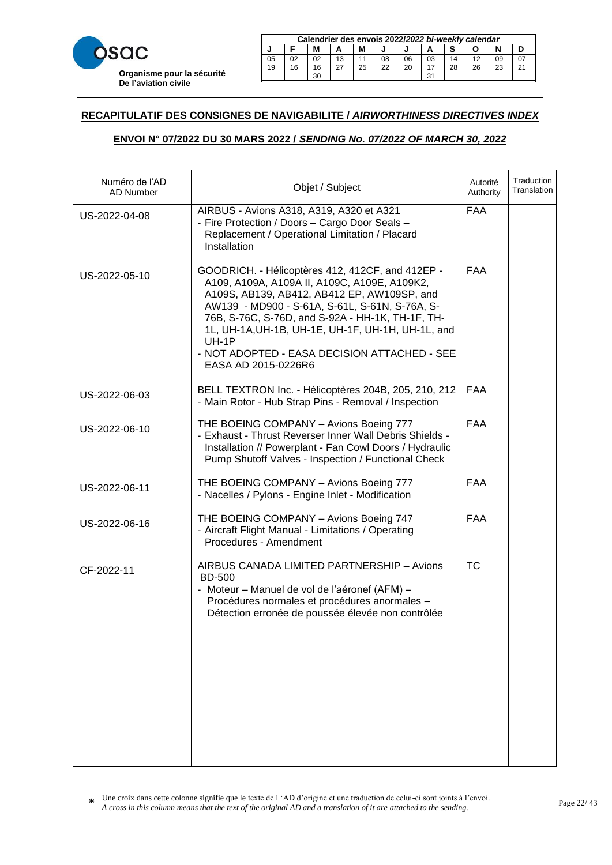

|        | Calendrier des envois 2022/2022 bi-weekly calendar |          |    |    |    |    |    |    |    |    |        |  |
|--------|----------------------------------------------------|----------|----|----|----|----|----|----|----|----|--------|--|
| M<br>М |                                                    |          |    |    |    |    |    |    |    |    |        |  |
| 05     | 02                                                 | 02       | 13 |    | 08 | 06 | 03 | 14 |    | 09 |        |  |
| 19     | 16                                                 | 16       |    | 25 | 22 | 20 |    | 28 | 26 | 23 | $\sim$ |  |
|        |                                                    | 31<br>30 |    |    |    |    |    |    |    |    |        |  |

23 20 20 21 22 22 23 24 25 26 27 28 29 20 21 22 23 24 25 26 27 27 27 28 29 29 29 20 21 22 23 24 25 26 27 27 27

### **RECAPITULATIF DES CONSIGNES DE NAVIGABILITE /** *AIRWORTHINESS DIRECTIVES INDEX*  21 18 18 15 27 24 22 19 16 28 25 23 29 30

# **ENVOI N° 07/2022 DU 30 MARS 2022 /** *SENDING No. 07/2022 OF MARCH 30, 2022* **Calendrier des envois 2017/***2017 bi-weekly calendar* <u>**ZUZZ I SENDING NO. 07/ZUZZ OF MARCH 30, ZUZZ**</u>

| Numéro de l'AD<br><b>AD Number</b> | Objet / Subject                                                                                                                                                                                                                                                                                                                                                                            | Autorité<br>Authority | Traduction<br>Translation |
|------------------------------------|--------------------------------------------------------------------------------------------------------------------------------------------------------------------------------------------------------------------------------------------------------------------------------------------------------------------------------------------------------------------------------------------|-----------------------|---------------------------|
| US-2022-04-08                      | AIRBUS - Avions A318, A319, A320 et A321<br>- Fire Protection / Doors - Cargo Door Seals -<br>Replacement / Operational Limitation / Placard<br>Installation                                                                                                                                                                                                                               | <b>FAA</b>            |                           |
| US-2022-05-10                      | GOODRICH. - Hélicoptères 412, 412CF, and 412EP -<br>A109, A109A, A109A II, A109C, A109E, A109K2,<br>A109S, AB139, AB412, AB412 EP, AW109SP, and<br>AW139 - MD900 - S-61A, S-61L, S-61N, S-76A, S-<br>76B, S-76C, S-76D, and S-92A - HH-1K, TH-1F, TH-<br>1L, UH-1A, UH-1B, UH-1E, UH-1F, UH-1H, UH-1L, and<br>UH-1P<br>- NOT ADOPTED - EASA DECISION ATTACHED - SEE<br>EASA AD 2015-0226R6 | <b>FAA</b>            |                           |
| US-2022-06-03                      | BELL TEXTRON Inc. - Hélicoptères 204B, 205, 210, 212<br>- Main Rotor - Hub Strap Pins - Removal / Inspection                                                                                                                                                                                                                                                                               | <b>FAA</b>            |                           |
| US-2022-06-10                      | THE BOEING COMPANY - Avions Boeing 777<br>- Exhaust - Thrust Reverser Inner Wall Debris Shields -<br>Installation // Powerplant - Fan Cowl Doors / Hydraulic<br>Pump Shutoff Valves - Inspection / Functional Check                                                                                                                                                                        | <b>FAA</b>            |                           |
| US-2022-06-11                      | THE BOEING COMPANY - Avions Boeing 777<br>- Nacelles / Pylons - Engine Inlet - Modification                                                                                                                                                                                                                                                                                                | <b>FAA</b>            |                           |
| US-2022-06-16                      | THE BOEING COMPANY - Avions Boeing 747<br>- Aircraft Flight Manual - Limitations / Operating<br>Procedures - Amendment                                                                                                                                                                                                                                                                     | <b>FAA</b>            |                           |
| CF-2022-11                         | AIRBUS CANADA LIMITED PARTNERSHIP - Avions<br><b>BD-500</b><br>- Moteur – Manuel de vol de l'aéronef (AFM) –<br>Procédures normales et procédures anormales -<br>Détection erronée de poussée élevée non contrôlée                                                                                                                                                                         | <b>TC</b>             |                           |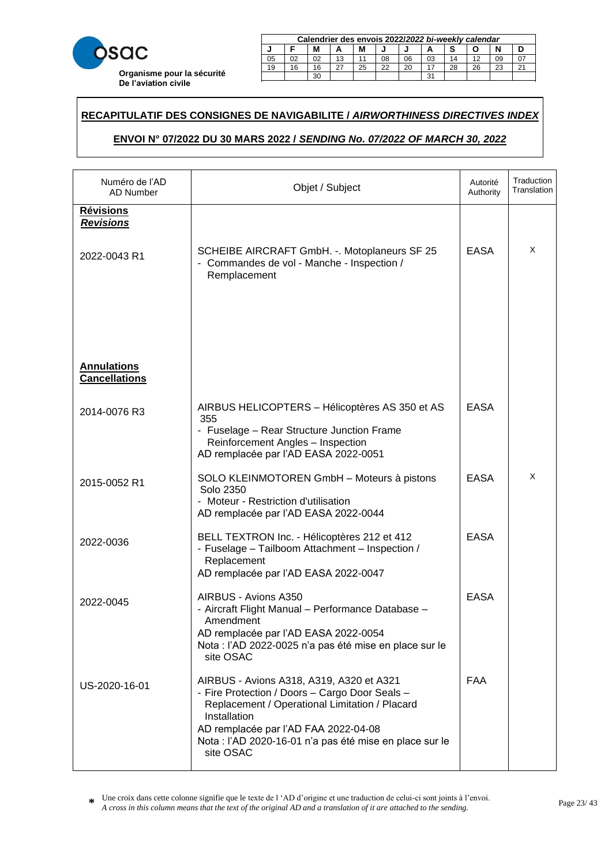

|             | Calendrier des envois 2022/2022 bi-weekly calendar |    |    |    |    |    |    |    |    |    |        |
|-------------|----------------------------------------------------|----|----|----|----|----|----|----|----|----|--------|
| М<br>М<br>А |                                                    |    |    |    |    |    |    |    |    |    |        |
| 05          |                                                    | 02 | 13 |    | 08 | 06 | 03 | 14 |    | 09 |        |
| 19          | 16                                                 | 16 |    | 25 | 22 | 20 |    | 28 | 26 | າາ | $\sim$ |
|             |                                                    |    |    |    |    |    | ີ  |    |    |    |        |

23 20 20 21 22 22 23 24 25 26 27 28 29 20 21 22 23 24 25 26 27 27 27 28 29 29 29 20 21 22 23 24 25 26 27 27 27

### **RECAPITULATIF DES CONSIGNES DE NAVIGABILITE /** *AIRWORTHINESS DIRECTIVES INDEX*  21 18 18 15 27 24 22 19 16 28 25 23 29 30

# **ENVOI N° 07/2022 DU 30 MARS 2022 /** *SENDING No. 07/2022 OF MARCH 30, 2022* **Calendrier des envois 2017/***2017 bi-weekly calendar* <u>**ZUZZ I SENDING NO. 07/ZUZZ OF MARCH 30, ZUZZ**</u>

| Numéro de l'AD<br>AD Number                | Objet / Subject                                                                                                                                                                                                                                                                           | Autorité<br>Authority | Traduction<br>Translation |
|--------------------------------------------|-------------------------------------------------------------------------------------------------------------------------------------------------------------------------------------------------------------------------------------------------------------------------------------------|-----------------------|---------------------------|
| <b>Révisions</b><br><b>Revisions</b>       | SCHEIBE AIRCRAFT GmbH. -. Motoplaneurs SF 25                                                                                                                                                                                                                                              | EASA                  | X                         |
| 2022-0043 R1                               | - Commandes de vol - Manche - Inspection /<br>Remplacement                                                                                                                                                                                                                                |                       |                           |
| <b>Annulations</b><br><b>Cancellations</b> |                                                                                                                                                                                                                                                                                           |                       |                           |
| 2014-0076 R3                               | AIRBUS HELICOPTERS - Hélicoptères AS 350 et AS<br>355<br>- Fuselage - Rear Structure Junction Frame<br>Reinforcement Angles - Inspection<br>AD remplacée par l'AD EASA 2022-0051                                                                                                          | <b>EASA</b>           |                           |
| 2015-0052 R1                               | SOLO KLEINMOTOREN GmbH - Moteurs à pistons<br>Solo 2350<br>- Moteur - Restriction d'utilisation<br>AD remplacée par l'AD EASA 2022-0044                                                                                                                                                   | <b>EASA</b>           | X                         |
| 2022-0036                                  | BELL TEXTRON Inc. - Hélicoptères 212 et 412<br>- Fuselage - Tailboom Attachment - Inspection /<br>Replacement<br>AD remplacée par l'AD EASA 2022-0047                                                                                                                                     | <b>EASA</b>           |                           |
| 2022-0045                                  | AIRBUS - Avions A350<br>- Aircraft Flight Manual - Performance Database -<br>Amendment<br>AD remplacée par l'AD EASA 2022-0054<br>Nota : l'AD 2022-0025 n'a pas été mise en place sur le                                                                                                  | <b>EASA</b>           |                           |
| US-2020-16-01                              | site OSAC<br>AIRBUS - Avions A318, A319, A320 et A321<br>- Fire Protection / Doors - Cargo Door Seals -<br>Replacement / Operational Limitation / Placard<br>Installation<br>AD remplacée par l'AD FAA 2022-04-08<br>Nota : l'AD 2020-16-01 n'a pas été mise en place sur le<br>site OSAC | <b>FAA</b>            |                           |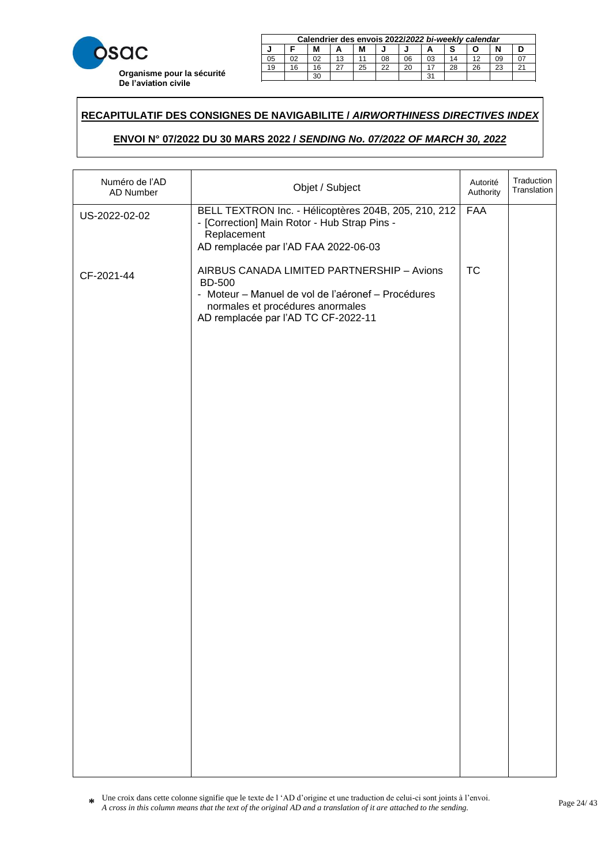

|        | Calendrier des envois 2022/2022 bi-weekly calendar |    |    |    |    |    |    |    |    |    |        |
|--------|----------------------------------------------------|----|----|----|----|----|----|----|----|----|--------|
| М<br>А |                                                    |    |    |    |    |    |    |    |    |    |        |
| 05     | 02                                                 | 02 | 13 |    | 08 | 06 | 03 | 14 | 10 | 09 |        |
| 19     | 16                                                 | 16 |    | 25 | 22 | 20 |    | 28 | 26 | 23 | $\sim$ |
|        |                                                    |    |    |    |    |    | ີ  |    |    |    |        |

23 20 20 21 22 22 23 24 25 26 27 28 29 20 21 22 23 24 25 26 27 27 27 28 29 29 29 20 21 22 23 24 25 26 27 27 27

### **RECAPITULATIF DES CONSIGNES DE NAVIGABILITE /** *AIRWORTHINESS DIRECTIVES INDEX*  21 18 18 15 27 24 22 19 16 28 25 23 29 30

# **ENVOI N° 07/2022 DU 30 MARS 2022 /** *SENDING No. 07/2022 OF MARCH 30, 2022* **Calendrier des envois 2017/***2017 bi-weekly calendar* <u>**ZUZZ I SENDING NO. 07/ZUZZ OF MARCH 30, ZUZZ**</u>

| Numéro de l'AD<br>AD Number | Objet / Subject                                                                                                                                                                              | Autorité<br>Authority | Traduction<br>Translation |
|-----------------------------|----------------------------------------------------------------------------------------------------------------------------------------------------------------------------------------------|-----------------------|---------------------------|
| US-2022-02-02               | BELL TEXTRON Inc. - Hélicoptères 204B, 205, 210, 212<br>- [Correction] Main Rotor - Hub Strap Pins -<br>Replacement<br>AD remplacée par l'AD FAA 2022-06-03                                  | FAA                   |                           |
| CF-2021-44                  | AIRBUS CANADA LIMITED PARTNERSHIP - Avions<br><b>BD-500</b><br>- Moteur - Manuel de vol de l'aéronef - Procédures<br>normales et procédures anormales<br>AD remplacée par l'AD TC CF-2022-11 | <b>TC</b>             |                           |
|                             |                                                                                                                                                                                              |                       |                           |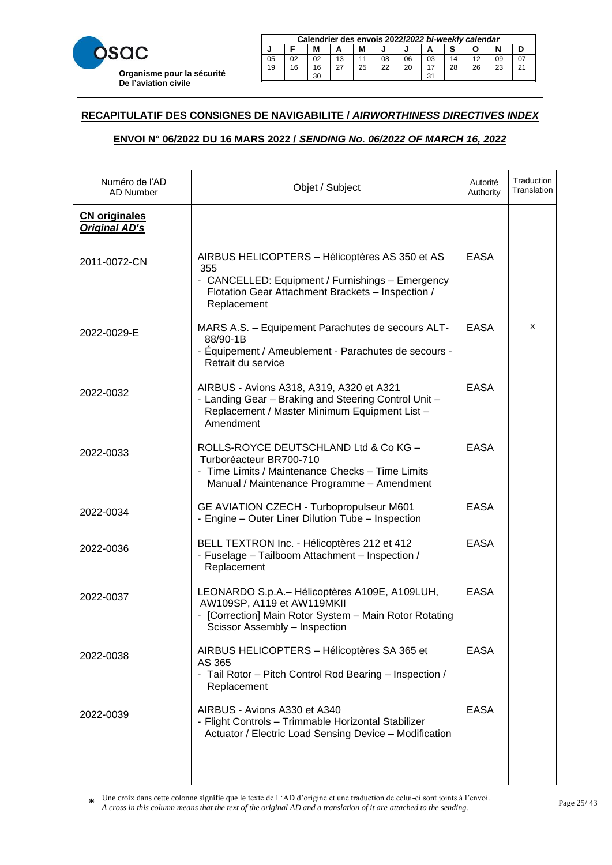

|    | Calendrier des envois 2022/2022 bi-weekly calendar     |    |    |  |    |    |    |    |  |    |  |  |
|----|--------------------------------------------------------|----|----|--|----|----|----|----|--|----|--|--|
|    | M<br>М                                                 |    |    |  |    |    |    |    |  |    |  |  |
| 05 | 02                                                     | 02 | 13 |  | 08 | 06 | 03 | 14 |  | 09 |  |  |
| 19 | 22<br>28<br>26<br>25<br>20<br>23<br>16<br>$\sim$<br>16 |    |    |  |    |    |    |    |  |    |  |  |
|    | 31<br>30                                               |    |    |  |    |    |    |    |  |    |  |  |

23 20 20 21 22 22 23 24 25 26 27 28 29 20 21 22 23 24 25 26 27 27 27 28 29 29 29 20 21 22 23 24 25 26 27 27 27

### **RECAPITULATIF DES CONSIGNES DE NAVIGABILITE /** *AIRWORTHINESS DIRECTIVES INDEX*  21 18 18 15 27 24 22 19 16 28 25 23 29 30

# **ENVOI N° 06/2022 DU 16 MARS 2022 /** *SENDING No. 06/2022 OF MARCH 16, 2022* **Calendrier des envois 2017/***2017 bi-weekly calendar* **ZUZZ I SENDING NO. 00/ZUZZ OF MARCH 10, ZUZZ**

| Numéro de l'AD<br>AD Number                  | Objet / Subject                                                                                                                                                               | Autorité<br>Authority | Traduction<br>Translation |
|----------------------------------------------|-------------------------------------------------------------------------------------------------------------------------------------------------------------------------------|-----------------------|---------------------------|
| <b>CN</b> originales<br><b>Original AD's</b> |                                                                                                                                                                               |                       |                           |
| 2011-0072-CN                                 | AIRBUS HELICOPTERS - Hélicoptères AS 350 et AS<br>355<br>- CANCELLED: Equipment / Furnishings - Emergency<br>Flotation Gear Attachment Brackets - Inspection /<br>Replacement | <b>EASA</b>           |                           |
| 2022-0029-E                                  | MARS A.S. - Equipement Parachutes de secours ALT-<br>88/90-1B<br>- Équipement / Ameublement - Parachutes de secours -<br>Retrait du service                                   | <b>EASA</b>           | X                         |
| 2022-0032                                    | AIRBUS - Avions A318, A319, A320 et A321<br>- Landing Gear - Braking and Steering Control Unit -<br>Replacement / Master Minimum Equipment List -<br>Amendment                | <b>EASA</b>           |                           |
| 2022-0033                                    | ROLLS-ROYCE DEUTSCHLAND Ltd & Co KG -<br>Turboréacteur BR700-710<br>- Time Limits / Maintenance Checks - Time Limits<br>Manual / Maintenance Programme - Amendment            | <b>EASA</b>           |                           |
| 2022-0034                                    | GE AVIATION CZECH - Turbopropulseur M601<br>- Engine - Outer Liner Dilution Tube - Inspection                                                                                 | <b>EASA</b>           |                           |
| 2022-0036                                    | BELL TEXTRON Inc. - Hélicoptères 212 et 412<br>- Fuselage - Tailboom Attachment - Inspection /<br>Replacement                                                                 | <b>EASA</b>           |                           |
| 2022-0037                                    | LEONARDO S.p.A. - Hélicoptères A109E, A109LUH,<br>AW109SP, A119 et AW119MKII<br>- [Correction] Main Rotor System - Main Rotor Rotating<br>Scissor Assembly - Inspection       | <b>EASA</b>           |                           |
| 2022-0038                                    | AIRBUS HELICOPTERS - Hélicoptères SA 365 et<br>AS 365<br>- Tail Rotor - Pitch Control Rod Bearing - Inspection /<br>Replacement                                               | <b>EASA</b>           |                           |
| 2022-0039                                    | AIRBUS - Avions A330 et A340<br>- Flight Controls - Trimmable Horizontal Stabilizer<br>Actuator / Electric Load Sensing Device - Modification                                 | <b>EASA</b>           |                           |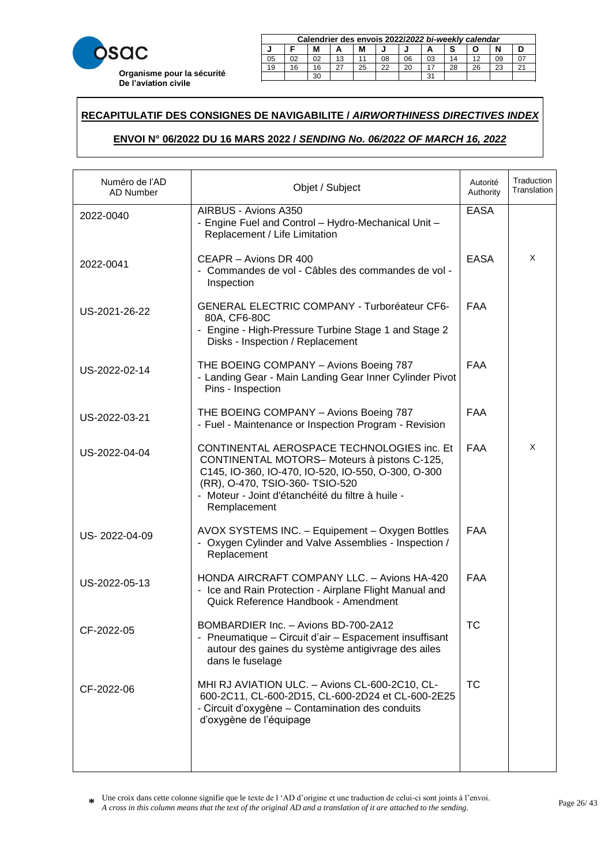

| Calendrier des envois 2022/2022 bi-weekly calendar |                                                        |    |    |  |    |    |    |    |    |    |  |  |
|----------------------------------------------------|--------------------------------------------------------|----|----|--|----|----|----|----|----|----|--|--|
| М<br>М                                             |                                                        |    |    |  |    |    |    |    |    |    |  |  |
| 05                                                 | 02                                                     | 02 | 13 |  | 08 | 06 | 03 | 14 | 12 | 09 |  |  |
| 19                                                 | 25<br>22<br>28<br>26<br>つつ<br>20<br>$\sim$<br>16<br>16 |    |    |  |    |    |    |    |    |    |  |  |
|                                                    | 31<br>30                                               |    |    |  |    |    |    |    |    |    |  |  |

23 20 20 21 22 22 23 24 25 26 27 28 29 20 21 22 23 24 25 26 27 27 27 28 29 29 29 20 21 22 23 24 25 26 27 27 27

### **RECAPITULATIF DES CONSIGNES DE NAVIGABILITE /** *AIRWORTHINESS DIRECTIVES INDEX*  21 18 18 15 27 24 22 19 16 28 25 23 29 30

# **ENVOI N° 06/2022 DU 16 MARS 2022 /** *SENDING No. 06/2022 OF MARCH 16, 2022* **Calendrier des envois 2017/***2017 bi-weekly calendar* **ZUZZ I SENDING NO. 00/ZUZZ OF MARCH 10, ZUZZ**

| Numéro de l'AD<br><b>AD Number</b> | Objet / Subject                                                                                                                                                                                                                                         | Autorité<br>Authority | Traduction<br>Translation |
|------------------------------------|---------------------------------------------------------------------------------------------------------------------------------------------------------------------------------------------------------------------------------------------------------|-----------------------|---------------------------|
| 2022-0040                          | AIRBUS - Avions A350<br>- Engine Fuel and Control - Hydro-Mechanical Unit -<br>Replacement / Life Limitation                                                                                                                                            | <b>EASA</b>           |                           |
| 2022-0041                          | CEAPR - Avions DR 400<br>- Commandes de vol - Câbles des commandes de vol -<br>Inspection                                                                                                                                                               | <b>EASA</b>           | X                         |
| US-2021-26-22                      | <b>GENERAL ELECTRIC COMPANY - Turboréateur CF6-</b><br>80A, CF6-80C<br>- Engine - High-Pressure Turbine Stage 1 and Stage 2<br>Disks - Inspection / Replacement                                                                                         | <b>FAA</b>            |                           |
| US-2022-02-14                      | THE BOEING COMPANY - Avions Boeing 787<br>- Landing Gear - Main Landing Gear Inner Cylinder Pivot<br>Pins - Inspection                                                                                                                                  | <b>FAA</b>            |                           |
| US-2022-03-21                      | THE BOEING COMPANY - Avions Boeing 787<br>- Fuel - Maintenance or Inspection Program - Revision                                                                                                                                                         | <b>FAA</b>            |                           |
| US-2022-04-04                      | CONTINENTAL AEROSPACE TECHNOLOGIES inc. Et<br>CONTINENTAL MOTORS-Moteurs à pistons C-125,<br>C145, IO-360, IO-470, IO-520, IO-550, O-300, O-300<br>(RR), O-470, TSIO-360- TSIO-520<br>- Moteur - Joint d'étanchéité du filtre à huile -<br>Remplacement | <b>FAA</b>            | X                         |
| US-2022-04-09                      | AVOX SYSTEMS INC. - Equipement - Oxygen Bottles<br>- Oxygen Cylinder and Valve Assemblies - Inspection /<br>Replacement                                                                                                                                 | <b>FAA</b>            |                           |
| US-2022-05-13                      | HONDA AIRCRAFT COMPANY LLC. - Avions HA-420<br>- Ice and Rain Protection - Airplane Flight Manual and<br>Quick Reference Handbook - Amendment                                                                                                           | <b>FAA</b>            |                           |
| CF-2022-05                         | BOMBARDIER Inc. - Avions BD-700-2A12<br>- Pneumatique - Circuit d'air - Espacement insuffisant<br>autour des gaines du système antigivrage des ailes<br>dans le fuselage                                                                                | TC.                   |                           |
| CF-2022-06                         | MHI RJ AVIATION ULC. - Avions CL-600-2C10, CL-<br>600-2C11, CL-600-2D15, CL-600-2D24 et CL-600-2E25<br>- Circuit d'oxygène - Contamination des conduits<br>d'oxygène de l'équipage                                                                      | <b>TC</b>             |                           |
|                                    |                                                                                                                                                                                                                                                         |                       |                           |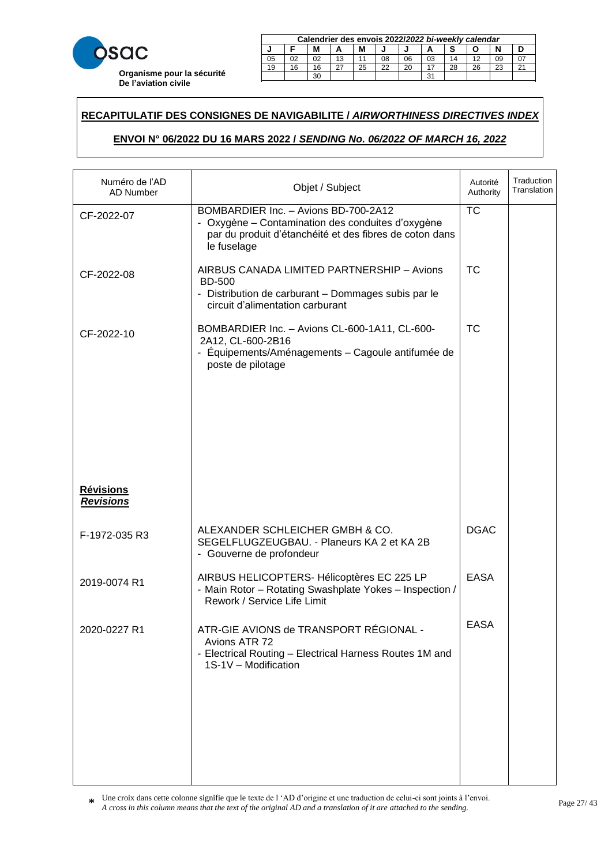

|    | Calendrier des envois 2022/2022 bi-weekly calendar     |  |    |  |    |    |    |    |  |    |  |  |  |
|----|--------------------------------------------------------|--|----|--|----|----|----|----|--|----|--|--|--|
|    | м                                                      |  |    |  |    |    |    |    |  |    |  |  |  |
| 05 | 02                                                     |  | 13 |  | 08 | 06 | 03 | 14 |  | 09 |  |  |  |
| 19 | 22<br>26<br>25<br>20<br>23<br>28<br>16<br>$\sim$<br>16 |  |    |  |    |    |    |    |  |    |  |  |  |
|    | ີ<br>oc                                                |  |    |  |    |    |    |    |  |    |  |  |  |

23 20 20 21 22 22 23 24 25 26 27 28 29 20 21 22 23 24 25 26 27 27 27 28 29 29 29 20 21 22 23 24 25 26 27 27 27

### **RECAPITULATIF DES CONSIGNES DE NAVIGABILITE /** *AIRWORTHINESS DIRECTIVES INDEX*  21 18 18 15 27 24 22 19 16 28 25 23 29 30

# **ENVOI N° 06/2022 DU 16 MARS 2022 /** *SENDING No. 06/2022 OF MARCH 16, 2022* **Calendrier des envois 2017/***2017 bi-weekly calendar* **ZUZZ I SENDING NO. 00/ZUZZ OF MARCH 10, ZUZZ**

| Numéro de l'AD<br><b>AD Number</b>   | Objet / Subject                                                                                                                                                     | Autorité<br>Authority  | Traduction<br>Translation |
|--------------------------------------|---------------------------------------------------------------------------------------------------------------------------------------------------------------------|------------------------|---------------------------|
| CF-2022-07                           | BOMBARDIER Inc. - Avions BD-700-2A12<br>- Oxygène – Contamination des conduites d'oxygène<br>par du produit d'étanchéité et des fibres de coton dans<br>le fuselage | $\overline{\text{TC}}$ |                           |
| CF-2022-08                           | AIRBUS CANADA LIMITED PARTNERSHIP - Avions<br><b>BD-500</b><br>- Distribution de carburant - Dommages subis par le<br>circuit d'alimentation carburant              | <b>TC</b>              |                           |
| CF-2022-10                           | BOMBARDIER Inc. - Avions CL-600-1A11, CL-600-<br>2A12, CL-600-2B16<br>- Équipements/Aménagements - Cagoule antifumée de<br>poste de pilotage                        | <b>TC</b>              |                           |
| <b>Révisions</b><br><b>Revisions</b> |                                                                                                                                                                     |                        |                           |
| F-1972-035 R3                        | ALEXANDER SCHLEICHER GMBH & CO.<br>SEGELFLUGZEUGBAU. - Planeurs KA 2 et KA 2B<br>- Gouverne de profondeur                                                           | <b>DGAC</b>            |                           |
| 2019-0074 R1                         | AIRBUS HELICOPTERS- Hélicoptères EC 225 LP<br>- Main Rotor - Rotating Swashplate Yokes - Inspection /<br>Rework / Service Life Limit                                | <b>EASA</b>            |                           |
| 2020-0227 R1                         | ATR-GIE AVIONS de TRANSPORT RÉGIONAL -<br>Avions ATR 72<br>- Electrical Routing - Electrical Harness Routes 1M and<br>1S-1V - Modification                          | <b>EASA</b>            |                           |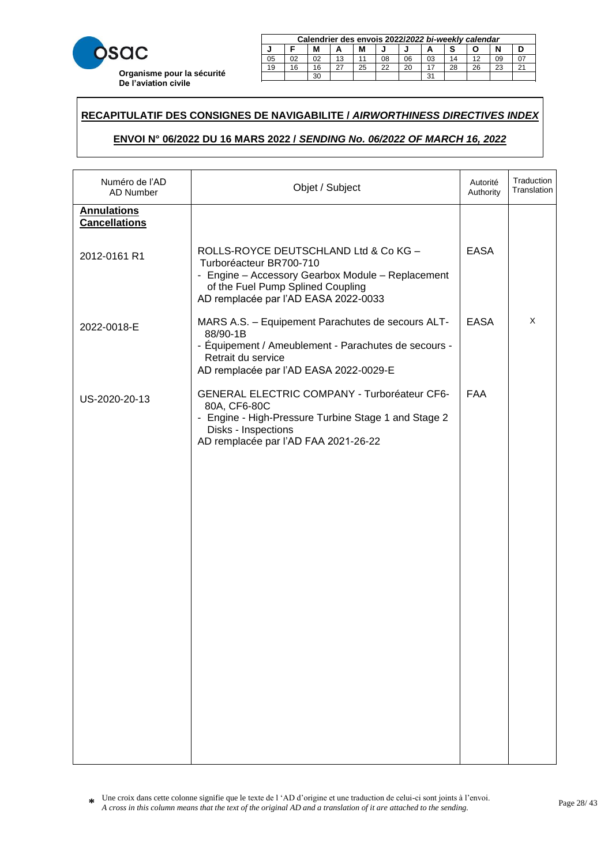

|             | Calendrier des envois 2022/2022 bi-weekly calendar |    |    |  |    |    |    |    |  |    |  |  |
|-------------|----------------------------------------------------|----|----|--|----|----|----|----|--|----|--|--|
| M<br>N<br>м |                                                    |    |    |  |    |    |    |    |  |    |  |  |
| 05          | 02                                                 | 02 | 13 |  | 08 | 06 | 03 | 14 |  | 09 |  |  |
| 19          | 22<br>28<br>25<br>20<br>26<br>16<br>23<br>16       |    |    |  |    |    |    |    |  |    |  |  |
|             | 31<br>30                                           |    |    |  |    |    |    |    |  |    |  |  |

23 20 20 21 22 22 23 24 25 26 27 28 29 20 21 22 23 24 25 26 27 27 27 28 29 29 29 20 21 22 23 24 25 26 27 27 27

### **RECAPITULATIF DES CONSIGNES DE NAVIGABILITE /** *AIRWORTHINESS DIRECTIVES INDEX*  21 18 18 15 27 24 22 19 16 28 25 23 29 30

# **ENVOI N° 06/2022 DU 16 MARS 2022 /** *SENDING No. 06/2022 OF MARCH 16, 2022* **Calendrier des envois 2017/***2017 bi-weekly calendar* **ZUZZ I SENDING NO. 00/ZUZZ OF MARCH 10, ZUZZ**

| Numéro de l'AD<br>AD Number                | Objet / Subject                                                                                                                                                                                    | Autorité<br>Authority | Traduction<br>Translation |
|--------------------------------------------|----------------------------------------------------------------------------------------------------------------------------------------------------------------------------------------------------|-----------------------|---------------------------|
| <b>Annulations</b><br><b>Cancellations</b> |                                                                                                                                                                                                    |                       |                           |
| 2012-0161 R1                               | ROLLS-ROYCE DEUTSCHLAND Ltd & Co KG -<br>Turboréacteur BR700-710<br>- Engine - Accessory Gearbox Module - Replacement<br>of the Fuel Pump Splined Coupling<br>AD remplacée par l'AD EASA 2022-0033 | <b>EASA</b>           |                           |
| 2022-0018-E                                | MARS A.S. - Equipement Parachutes de secours ALT-<br>88/90-1B<br>- Équipement / Ameublement - Parachutes de secours -<br>Retrait du service<br>AD remplacée par l'AD EASA 2022-0029-E              | <b>EASA</b>           | X                         |
| US-2020-20-13                              | <b>GENERAL ELECTRIC COMPANY - Turboréateur CF6-</b><br>80A, CF6-80C<br>- Engine - High-Pressure Turbine Stage 1 and Stage 2<br>Disks - Inspections<br>AD remplacée par l'AD FAA 2021-26-22         | <b>FAA</b>            |                           |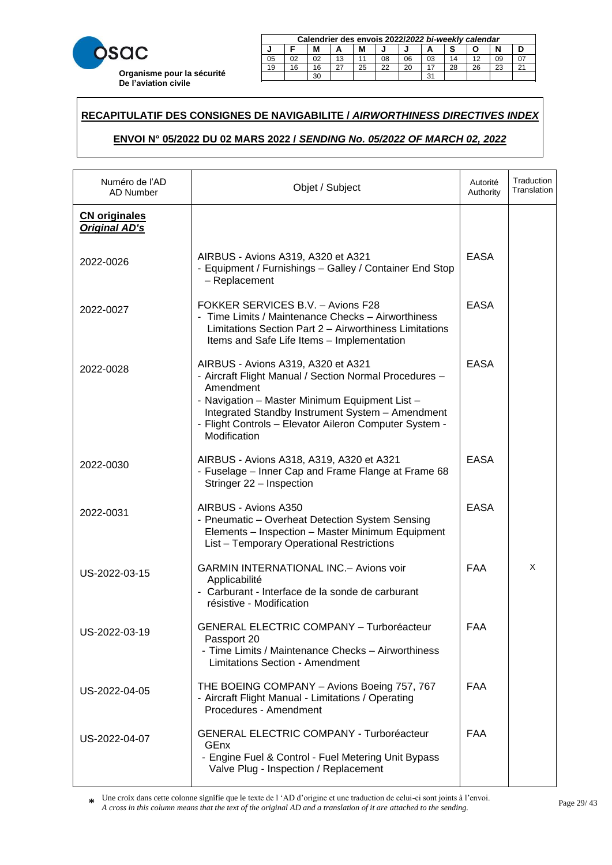

|    | Calendrier des envois 2022/2022 bi-weekly calendar     |    |    |  |    |    |    |    |  |    |  |  |
|----|--------------------------------------------------------|----|----|--|----|----|----|----|--|----|--|--|
|    | M<br>М                                                 |    |    |  |    |    |    |    |  |    |  |  |
| 05 | 02                                                     | 02 | 13 |  | 08 | 06 | 03 | 14 |  | 09 |  |  |
| 19 | 22<br>28<br>26<br>25<br>20<br>23<br>16<br>$\sim$<br>16 |    |    |  |    |    |    |    |  |    |  |  |
|    | 31<br>30                                               |    |    |  |    |    |    |    |  |    |  |  |

23 20 20 21 22 22 23 24 25 26 27 28 29 20 21 22 23 24 25 26 27 27 27 28 29 29 29 20 21 22 23 24 25 26 27 27 27

### **RECAPITULATIF DES CONSIGNES DE NAVIGABILITE /** *AIRWORTHINESS DIRECTIVES INDEX*  21 18 18 15 27 24 22 19 16 28 25 23 29 30

# **ENVOI N° 05/2022 DU 02 MARS 2022 /** *SENDING No. 05/2022 OF MARCH 02, 2022* **Calendrier des envois 2017/***2017 bi-weekly calendar* <u>**ZUZZ I SENDING NO. 05/ZUZZ OF MARCH 02, ZUZZ**</u>

| Numéro de l'AD<br>AD Number                  | Objet / Subject                                                                                                                                                                                                                                                                           | Autorité<br>Authority | Traduction<br>Translation |
|----------------------------------------------|-------------------------------------------------------------------------------------------------------------------------------------------------------------------------------------------------------------------------------------------------------------------------------------------|-----------------------|---------------------------|
| <b>CN</b> originales<br><b>Original AD's</b> |                                                                                                                                                                                                                                                                                           |                       |                           |
| 2022-0026                                    | AIRBUS - Avions A319, A320 et A321<br>- Equipment / Furnishings - Galley / Container End Stop<br>- Replacement                                                                                                                                                                            | <b>EASA</b>           |                           |
| 2022-0027                                    | FOKKER SERVICES B.V. - Avions F28<br>- Time Limits / Maintenance Checks - Airworthiness<br>Limitations Section Part 2 - Airworthiness Limitations<br>Items and Safe Life Items - Implementation                                                                                           | <b>EASA</b>           |                           |
| 2022-0028                                    | AIRBUS - Avions A319, A320 et A321<br>- Aircraft Flight Manual / Section Normal Procedures -<br>Amendment<br>- Navigation - Master Minimum Equipment List -<br>Integrated Standby Instrument System - Amendment<br>- Flight Controls - Elevator Aileron Computer System -<br>Modification | <b>EASA</b>           |                           |
| 2022-0030                                    | AIRBUS - Avions A318, A319, A320 et A321<br>- Fuselage – Inner Cap and Frame Flange at Frame 68<br>Stringer 22 - Inspection                                                                                                                                                               | <b>EASA</b>           |                           |
| 2022-0031                                    | AIRBUS - Avions A350<br>- Pneumatic - Overheat Detection System Sensing<br>Elements - Inspection - Master Minimum Equipment<br>List - Temporary Operational Restrictions                                                                                                                  | <b>EASA</b>           |                           |
| US-2022-03-15                                | <b>GARMIN INTERNATIONAL INC.- Avions voir</b><br>Applicabilité<br>Carburant - Interface de la sonde de carburant<br>résistive - Modification                                                                                                                                              | <b>FAA</b>            | X                         |
| US-2022-03-19                                | <b>GENERAL ELECTRIC COMPANY - Turboréacteur</b><br>Passport 20<br>- Time Limits / Maintenance Checks - Airworthiness<br><b>Limitations Section - Amendment</b>                                                                                                                            | FAA                   |                           |
| US-2022-04-05                                | THE BOEING COMPANY - Avions Boeing 757, 767<br>- Aircraft Flight Manual - Limitations / Operating<br>Procedures - Amendment                                                                                                                                                               | <b>FAA</b>            |                           |
| US-2022-04-07                                | <b>GENERAL ELECTRIC COMPANY - Turboréacteur</b><br>GEnx<br>- Engine Fuel & Control - Fuel Metering Unit Bypass<br>Valve Plug - Inspection / Replacement                                                                                                                                   | <b>FAA</b>            |                           |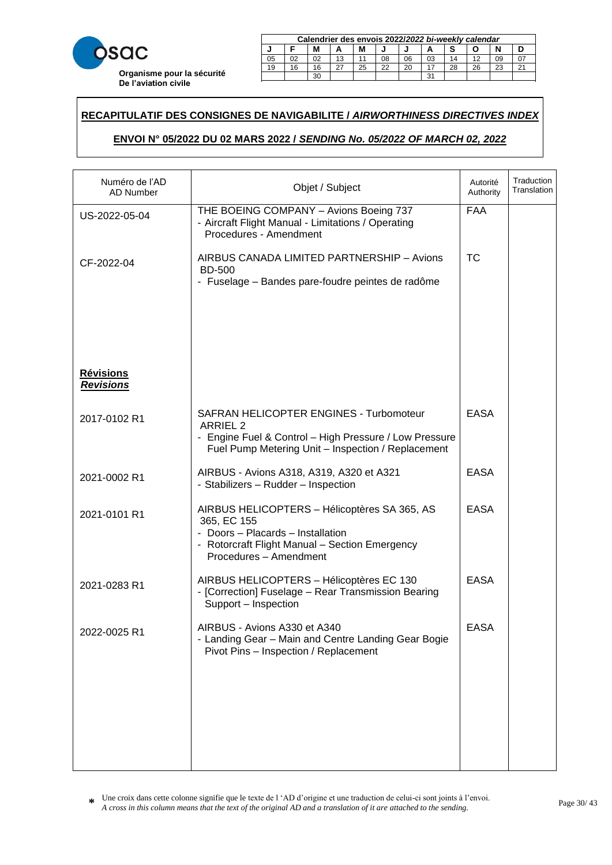

|    | Calendrier des envois 2022/2022 bi-weekly calendar     |  |    |  |    |    |    |    |  |    |  |  |  |
|----|--------------------------------------------------------|--|----|--|----|----|----|----|--|----|--|--|--|
|    | м                                                      |  |    |  |    |    |    |    |  |    |  |  |  |
| 05 | 02                                                     |  | 13 |  | 08 | 06 | 03 | 14 |  | 09 |  |  |  |
| 19 | 22<br>26<br>25<br>20<br>28<br>23<br>16<br>$\sim$<br>16 |  |    |  |    |    |    |    |  |    |  |  |  |
|    | ີ<br>oc                                                |  |    |  |    |    |    |    |  |    |  |  |  |

23 20 20 21 22 22 23 24 25 26 27 28 29 20 21 22 23 24 25 26 27 27 27 28 29 29 29 20 21 22 23 24 25 26 27 27 27

### **RECAPITULATIF DES CONSIGNES DE NAVIGABILITE /** *AIRWORTHINESS DIRECTIVES INDEX*  21 18 18 15 27 24 22 19 16 28 25 23 29 30

# **ENVOI N° 05/2022 DU 02 MARS 2022 /** *SENDING No. 05/2022 OF MARCH 02, 2022* **Calendrier des envois 2017/***2017 bi-weekly calendar* <u>**ZUZZ I SENDING NO. 05/ZUZZ OF MARCH 02, ZUZZ**</u>

| Numéro de l'AD<br><b>AD Number</b>   | Objet / Subject                                                                                                                                                              | Autorité<br>Authority | Traduction<br>Translation |
|--------------------------------------|------------------------------------------------------------------------------------------------------------------------------------------------------------------------------|-----------------------|---------------------------|
| US-2022-05-04                        | THE BOEING COMPANY - Avions Boeing 737<br>- Aircraft Flight Manual - Limitations / Operating<br>Procedures - Amendment                                                       | <b>FAA</b>            |                           |
| CF-2022-04                           | AIRBUS CANADA LIMITED PARTNERSHIP - Avions<br><b>BD-500</b><br>- Fuselage – Bandes pare-foudre peintes de radôme                                                             | <b>TC</b>             |                           |
|                                      |                                                                                                                                                                              |                       |                           |
| <b>Révisions</b><br><b>Revisions</b> |                                                                                                                                                                              |                       |                           |
| 2017-0102 R1                         | SAFRAN HELICOPTER ENGINES - Turbomoteur<br><b>ARRIEL 2</b><br>- Engine Fuel & Control - High Pressure / Low Pressure<br>Fuel Pump Metering Unit - Inspection / Replacement   | <b>EASA</b>           |                           |
| 2021-0002 R1                         | AIRBUS - Avions A318, A319, A320 et A321<br>- Stabilizers - Rudder - Inspection                                                                                              | <b>EASA</b>           |                           |
| 2021-0101 R1                         | AIRBUS HELICOPTERS - Hélicoptères SA 365, AS<br>365, EC 155<br>- Doors - Placards - Installation<br>- Rotorcraft Flight Manual - Section Emergency<br>Procedures - Amendment | <b>EASA</b>           |                           |
| 2021-0283 R1                         | AIRBUS HELICOPTERS - Hélicoptères EC 130<br>- [Correction] Fuselage - Rear Transmission Bearing<br>Support - Inspection                                                      | <b>EASA</b>           |                           |
| 2022-0025 R1                         | AIRBUS - Avions A330 et A340<br>- Landing Gear - Main and Centre Landing Gear Bogie<br>Pivot Pins - Inspection / Replacement                                                 | <b>EASA</b>           |                           |
|                                      |                                                                                                                                                                              |                       |                           |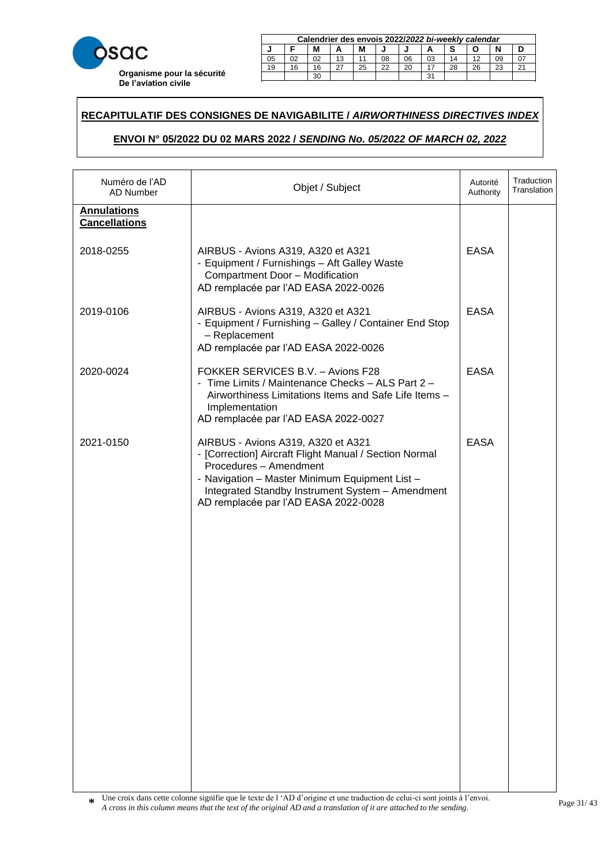

| Calendrier des envois 2022/2022 bi-weekly calendar |          |    |    |    |    |    |    |    |    |    |  |
|----------------------------------------------------|----------|----|----|----|----|----|----|----|----|----|--|
| M<br>N<br>м                                        |          |    |    |    |    |    |    |    |    |    |  |
| 05                                                 | 02       | 02 | 13 |    | 08 | 06 | 03 | 14 |    | 09 |  |
| 19                                                 | 16       | 16 |    | 25 | 22 | 20 |    | 28 | 26 | 23 |  |
|                                                    | 31<br>30 |    |    |    |    |    |    |    |    |    |  |

23 20 20 21 22 22 23 24 25 26 27 28 29 20 21 22 23 24 25 26 27 27 27 28 29 29 29 20 21 22 23 24 25 26 27 27 27

### **RECAPITULATIF DES CONSIGNES DE NAVIGABILITE /** *AIRWORTHINESS DIRECTIVES INDEX*  21 18 18 15 27 24 22 19 16 28 25 23 29 30

# **ENVOI N° 05/2022 DU 02 MARS 2022 /** *SENDING No. 05/2022 OF MARCH 02, 2022* **Calendrier des envois 2017/***2017 bi-weekly calendar* <u>**ZUZZ I SENDING NO. 05/ZUZZ OF MARCH 02, ZUZZ**</u>

| Numéro de l'AD<br>AD Number                | Objet / Subject                                                                                                                                                                                                                                                      | Autorité<br>Authority | Traduction<br>Translation |
|--------------------------------------------|----------------------------------------------------------------------------------------------------------------------------------------------------------------------------------------------------------------------------------------------------------------------|-----------------------|---------------------------|
| <b>Annulations</b><br><b>Cancellations</b> |                                                                                                                                                                                                                                                                      |                       |                           |
| 2018-0255                                  | AIRBUS - Avions A319, A320 et A321<br>- Equipment / Furnishings - Aft Galley Waste<br>Compartment Door - Modification<br>AD remplacée par l'AD EASA 2022-0026                                                                                                        | <b>EASA</b>           |                           |
| 2019-0106                                  | AIRBUS - Avions A319, A320 et A321<br>- Equipment / Furnishing - Galley / Container End Stop<br>- Replacement<br>AD remplacée par l'AD EASA 2022-0026                                                                                                                | <b>EASA</b>           |                           |
| 2020-0024                                  | FOKKER SERVICES B.V. - Avions F28<br>- Time Limits / Maintenance Checks - ALS Part 2 -<br>Airworthiness Limitations Items and Safe Life Items -<br>Implementation<br>AD remplacée par l'AD EASA 2022-0027                                                            | <b>EASA</b>           |                           |
| 2021-0150                                  | AIRBUS - Avions A319, A320 et A321<br>- [Correction] Aircraft Flight Manual / Section Normal<br>Procedures - Amendment<br>- Navigation - Master Minimum Equipment List -<br>Integrated Standby Instrument System - Amendment<br>AD remplacée par l'AD EASA 2022-0028 | <b>EASA</b>           |                           |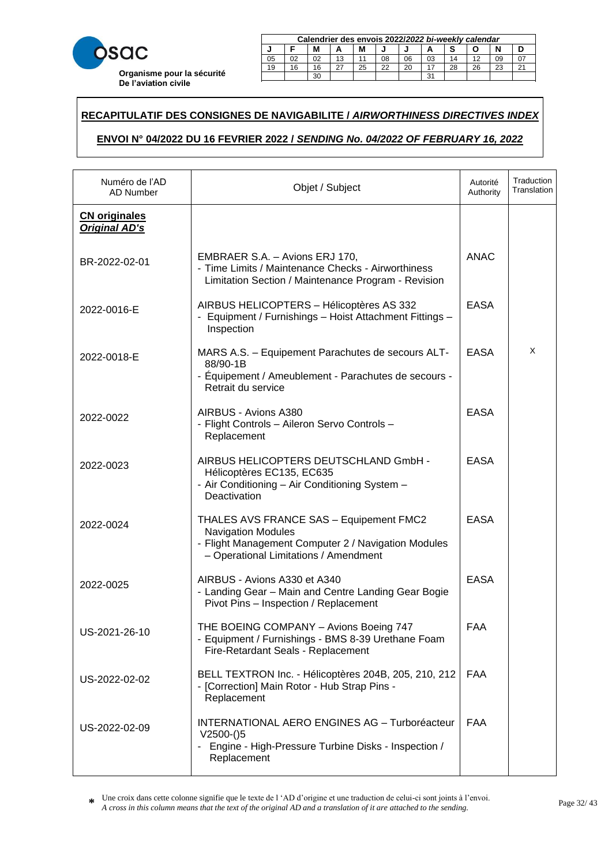

|    | Calendrier des envois 2022/2022 bi-weekly calendar |    |    |    |    |    |    |    |    |    |        |
|----|----------------------------------------------------|----|----|----|----|----|----|----|----|----|--------|
|    | М<br>М                                             |    |    |    |    |    |    |    |    |    |        |
| 05 |                                                    | 02 | 13 |    | 08 | 06 | 03 | 14 |    | 09 |        |
| 19 | 16                                                 | 16 |    | 25 | 22 | 20 |    | 28 | 26 | 23 | $\sim$ |
|    | ີ<br>30                                            |    |    |    |    |    |    |    |    |    |        |

23 20 20 21 22 22 23 24 25 26 27 28 29 20 21 22 23 24 25 26 27 27 27 28 29 29 29 20 21 22 23 24 25 26 27 27 27

### **RECAPITULATIF DES CONSIGNES DE NAVIGABILITE /** *AIRWORTHINESS DIRECTIVES INDEX*  21 18 18 15 27 24 22 19 16 28 25 23 29 30

# **ENVOI N° 04/2022 DU 16 FEVRIER 2022 /** *SENDING No. 04/2022 OF FEBRUARY 16, 2022* **Calendrier des envois 2017/***2017 bi-weekly calendar* **J F M A M J J A S O N D**

| Numéro de l'AD<br>AD Number                  | Objet / Subject                                                                                                                                                      | Autorité<br>Authority | Traduction<br>Translation |
|----------------------------------------------|----------------------------------------------------------------------------------------------------------------------------------------------------------------------|-----------------------|---------------------------|
| <b>CN originales</b><br><b>Original AD's</b> |                                                                                                                                                                      |                       |                           |
| BR-2022-02-01                                | EMBRAER S.A. - Avions ERJ 170,<br>- Time Limits / Maintenance Checks - Airworthiness<br>Limitation Section / Maintenance Program - Revision                          | <b>ANAC</b>           |                           |
| 2022-0016-E                                  | AIRBUS HELICOPTERS - Hélicoptères AS 332<br>- Equipment / Furnishings - Hoist Attachment Fittings -<br>Inspection                                                    | <b>EASA</b>           |                           |
| 2022-0018-E                                  | MARS A.S. - Equipement Parachutes de secours ALT-<br>88/90-1B<br>- Équipement / Ameublement - Parachutes de secours -<br>Retrait du service                          | <b>EASA</b>           | X                         |
| 2022-0022                                    | AIRBUS - Avions A380<br>- Flight Controls - Aileron Servo Controls -<br>Replacement                                                                                  | <b>EASA</b>           |                           |
| 2022-0023                                    | AIRBUS HELICOPTERS DEUTSCHLAND GmbH -<br>Hélicoptères EC135, EC635<br>- Air Conditioning - Air Conditioning System -<br>Deactivation                                 | <b>EASA</b>           |                           |
| 2022-0024                                    | THALES AVS FRANCE SAS - Equipement FMC2<br><b>Navigation Modules</b><br>- Flight Management Computer 2 / Navigation Modules<br>- Operational Limitations / Amendment | <b>EASA</b>           |                           |
| 2022-0025                                    | AIRBUS - Avions A330 et A340<br>- Landing Gear - Main and Centre Landing Gear Bogie<br>Pivot Pins - Inspection / Replacement                                         | <b>EASA</b>           |                           |
| US-2021-26-10                                | THE BOEING COMPANY - Avions Boeing 747<br>- Equipment / Furnishings - BMS 8-39 Urethane Foam<br>Fire-Retardant Seals - Replacement                                   | FAA                   |                           |
| US-2022-02-02                                | BELL TEXTRON Inc. - Hélicoptères 204B, 205, 210, 212<br>- [Correction] Main Rotor - Hub Strap Pins -<br>Replacement                                                  | <b>FAA</b>            |                           |
| US-2022-02-09                                | <b>INTERNATIONAL AERO ENGINES AG - Turboréacteur</b><br>$V2500-(5)$<br>Engine - High-Pressure Turbine Disks - Inspection /<br>Replacement                            | <b>FAA</b>            |                           |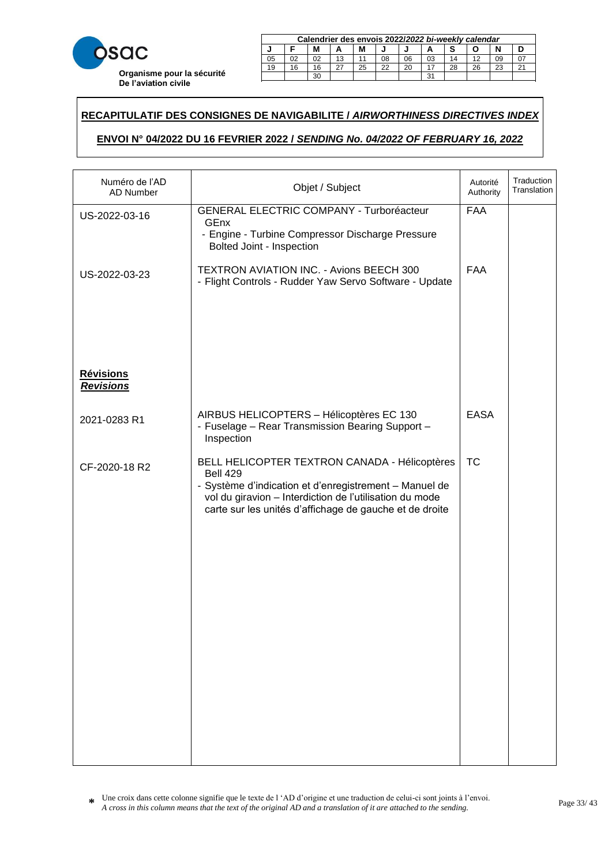

|    | Calendrier des envois 2022/2022 bi-weekly calendar |    |    |    |    |    |    |    |    |    |        |
|----|----------------------------------------------------|----|----|----|----|----|----|----|----|----|--------|
|    | M<br>М                                             |    |    |    |    |    |    |    |    |    |        |
| 05 | 02                                                 | 02 | 13 |    | 08 | 06 | 03 | 14 |    | 09 |        |
| 19 | 16                                                 | 16 |    | 25 | 22 | 20 |    | 28 | 26 | 23 | $\sim$ |
|    |                                                    | 30 |    |    |    |    | 31 |    |    |    |        |

23 20 20 21 22 22 23 24 25 26 27 28 29 20 21 22 23 24 25 26 27 27 27 28 29 29 29 20 21 22 23 24 25 26 27 27 27

### **RECAPITULATIF DES CONSIGNES DE NAVIGABILITE /** *AIRWORTHINESS DIRECTIVES INDEX*  21 18 18 15 27 24 22 19 16 28 25 23 29 30

# **ENVOI N° 04/2022 DU 16 FEVRIER 2022 /** *SENDING No. 04/2022 OF FEBRUARY 16, 2022* **Calendrier des envois 2017/***2017 bi-weekly calendar* **J F M A M J J A S O N D**

| Objet / Subject                                                                                                                                                                                                                                  | Autorité<br>Authority | Traduction<br>Translation |
|--------------------------------------------------------------------------------------------------------------------------------------------------------------------------------------------------------------------------------------------------|-----------------------|---------------------------|
| <b>GENERAL ELECTRIC COMPANY - Turboréacteur</b><br>GEnx<br>- Engine - Turbine Compressor Discharge Pressure<br>Bolted Joint - Inspection                                                                                                         | <b>FAA</b>            |                           |
| TEXTRON AVIATION INC. - Avions BEECH 300<br>- Flight Controls - Rudder Yaw Servo Software - Update                                                                                                                                               | <b>FAA</b>            |                           |
|                                                                                                                                                                                                                                                  |                       |                           |
| AIRBUS HELICOPTERS - Hélicoptères EC 130<br>- Fuselage - Rear Transmission Bearing Support -<br>Inspection                                                                                                                                       | <b>EASA</b>           |                           |
| BELL HELICOPTER TEXTRON CANADA - Hélicoptères<br><b>Bell 429</b><br>- Système d'indication et d'enregistrement - Manuel de<br>vol du giravion - Interdiction de l'utilisation du mode<br>carte sur les unités d'affichage de gauche et de droite | <b>TC</b>             |                           |
|                                                                                                                                                                                                                                                  |                       |                           |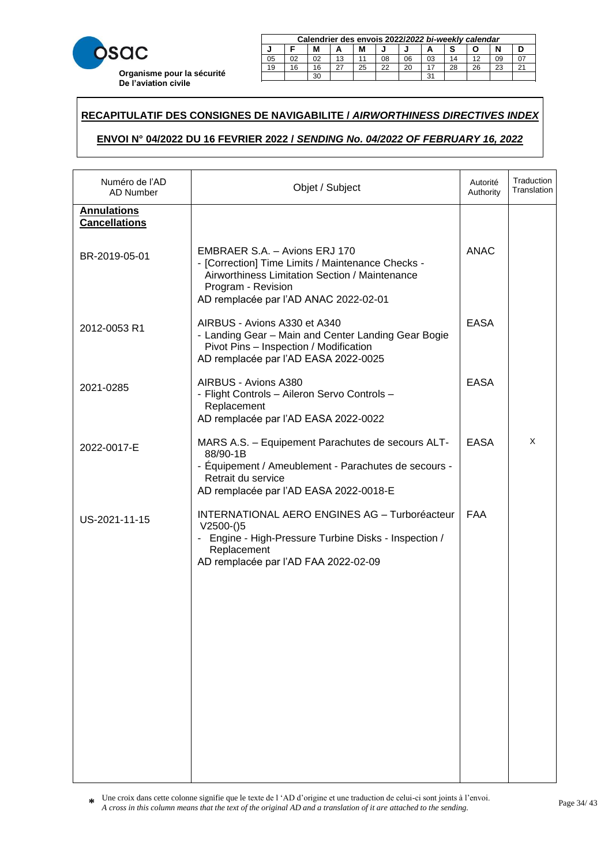

|    | Calendrier des envois 2022/2022 bi-weekly calendar |    |    |    |    |    |    |    |    |    |        |
|----|----------------------------------------------------|----|----|----|----|----|----|----|----|----|--------|
|    | М<br>М                                             |    |    |    |    |    |    |    |    |    |        |
| 05 |                                                    | 02 | 13 |    | 08 | 06 | 03 | 14 |    | 09 |        |
| 19 | 16                                                 | 16 |    | 25 | 22 | 20 |    | 28 | 26 | 23 | $\sim$ |
|    | ີ<br>30                                            |    |    |    |    |    |    |    |    |    |        |

23 20 20 21 22 22 23 24 25 26 27 28 29 20 21 22 23 24 25 26 27 27 27 28 29 29 29 20 21 22 23 24 25 26 27 27 27

### **RECAPITULATIF DES CONSIGNES DE NAVIGABILITE /** *AIRWORTHINESS DIRECTIVES INDEX*  21 18 18 15 27 24 22 19 16 28 25 23 29 30

# **ENVOI N° 04/2022 DU 16 FEVRIER 2022 /** *SENDING No. 04/2022 OF FEBRUARY 16, 2022* **Calendrier des envois 2017/***2017 bi-weekly calendar* **J F M A M J J A S O N D**

| Numéro de l'AD<br><b>AD Number</b>         | Objet / Subject                                                                                                                                                                                     | Autorité<br>Authority | Traduction<br>Translation |
|--------------------------------------------|-----------------------------------------------------------------------------------------------------------------------------------------------------------------------------------------------------|-----------------------|---------------------------|
| <b>Annulations</b><br><b>Cancellations</b> |                                                                                                                                                                                                     |                       |                           |
| BR-2019-05-01                              | EMBRAER S.A. - Avions ERJ 170<br>- [Correction] Time Limits / Maintenance Checks -<br>Airworthiness Limitation Section / Maintenance<br>Program - Revision<br>AD remplacée par l'AD ANAC 2022-02-01 | <b>ANAC</b>           |                           |
| 2012-0053 R1                               | AIRBUS - Avions A330 et A340<br>- Landing Gear - Main and Center Landing Gear Bogie<br>Pivot Pins - Inspection / Modification<br>AD remplacée par l'AD EASA 2022-0025                               | <b>EASA</b>           |                           |
| 2021-0285                                  | AIRBUS - Avions A380<br>- Flight Controls - Aileron Servo Controls -<br>Replacement<br>AD remplacée par l'AD EASA 2022-0022                                                                         | <b>EASA</b>           |                           |
| 2022-0017-E                                | MARS A.S. - Equipement Parachutes de secours ALT-<br>88/90-1B<br>- Équipement / Ameublement - Parachutes de secours -<br>Retrait du service<br>AD remplacée par l'AD EASA 2022-0018-E               | <b>EASA</b>           | X                         |
| US-2021-11-15                              | <b>INTERNATIONAL AERO ENGINES AG - Turboréacteur</b><br>$V2500-(5)$<br>- Engine - High-Pressure Turbine Disks - Inspection /<br>Replacement<br>AD remplacée par l'AD FAA 2022-02-09                 | <b>FAA</b>            |                           |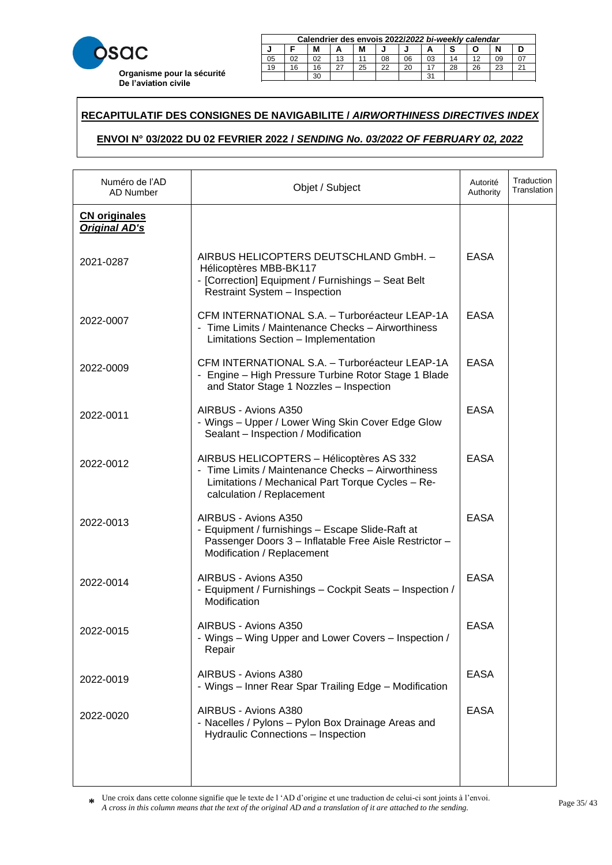

|    | Calendrier des envois 2022/2022 bi-weekly calendar |    |    |    |    |    |    |    |    |    |        |
|----|----------------------------------------------------|----|----|----|----|----|----|----|----|----|--------|
|    | M<br>М                                             |    |    |    |    |    |    |    |    |    |        |
| 05 | 02                                                 | 02 | 13 |    | 08 | 06 | 03 | 14 |    | 09 |        |
| 19 | 16                                                 | 16 |    | 25 | 22 | 20 |    | 28 | 26 | 23 | $\sim$ |
|    |                                                    | 30 |    |    |    |    | 31 |    |    |    |        |

23 20 20 21 22 22 23 24 25 26 27 28 29 20 21 22 23 24 25 26 27 27 27 28 29 29 29 20 21 22 23 24 25 26 27 27 27

### **RECAPITULATIF DES CONSIGNES DE NAVIGABILITE /** *AIRWORTHINESS DIRECTIVES INDEX*  21 18 18 15 27 24 22 19 16 28 25 23 29 30

# **ENVOI N° 03/2022 DU 02 FEVRIER 2022 /** *SENDING No. 03/2022 OF FEBRUARY 02, 2022* **Calendrier des envois 2017/***2017 bi-weekly calendar* **J F M A M J J A S O N D**

| Numéro de l'AD<br>AD Number                  | Objet / Subject                                                                                                                                                                  | Autorité<br>Authority | Traduction<br>Translation |
|----------------------------------------------|----------------------------------------------------------------------------------------------------------------------------------------------------------------------------------|-----------------------|---------------------------|
| <b>CN</b> originales<br><b>Original AD's</b> |                                                                                                                                                                                  |                       |                           |
| 2021-0287                                    | AIRBUS HELICOPTERS DEUTSCHLAND GmbH. -<br>Hélicoptères MBB-BK117<br>- [Correction] Equipment / Furnishings - Seat Belt<br><b>Restraint System - Inspection</b>                   | <b>EASA</b>           |                           |
| 2022-0007                                    | CFM INTERNATIONAL S.A. - Turboréacteur LEAP-1A<br>- Time Limits / Maintenance Checks - Airworthiness<br>Limitations Section - Implementation                                     | <b>EASA</b>           |                           |
| 2022-0009                                    | CFM INTERNATIONAL S.A. - Turboréacteur LEAP-1A<br>- Engine - High Pressure Turbine Rotor Stage 1 Blade<br>and Stator Stage 1 Nozzles - Inspection                                | <b>EASA</b>           |                           |
| 2022-0011                                    | AIRBUS - Avions A350<br>- Wings - Upper / Lower Wing Skin Cover Edge Glow<br>Sealant - Inspection / Modification                                                                 | <b>EASA</b>           |                           |
| 2022-0012                                    | AIRBUS HELICOPTERS - Hélicoptères AS 332<br>- Time Limits / Maintenance Checks - Airworthiness<br>Limitations / Mechanical Part Torque Cycles - Re-<br>calculation / Replacement | <b>EASA</b>           |                           |
| 2022-0013                                    | AIRBUS - Avions A350<br>- Equipment / furnishings - Escape Slide-Raft at<br>Passenger Doors 3 - Inflatable Free Aisle Restrictor -<br>Modification / Replacement                 | <b>EASA</b>           |                           |
| 2022-0014                                    | AIRBUS - Avions A350<br>- Equipment / Furnishings - Cockpit Seats - Inspection /<br>Modification                                                                                 | <b>EASA</b>           |                           |
| 2022-0015                                    | AIRBUS - Avions A350<br>- Wings - Wing Upper and Lower Covers - Inspection /<br>Repair                                                                                           | <b>EASA</b>           |                           |
| 2022-0019                                    | AIRBUS - Avions A380<br>- Wings - Inner Rear Spar Trailing Edge - Modification                                                                                                   | <b>EASA</b>           |                           |
| 2022-0020                                    | AIRBUS - Avions A380<br>- Nacelles / Pylons - Pylon Box Drainage Areas and<br><b>Hydraulic Connections - Inspection</b>                                                          | <b>EASA</b>           |                           |
|                                              |                                                                                                                                                                                  |                       |                           |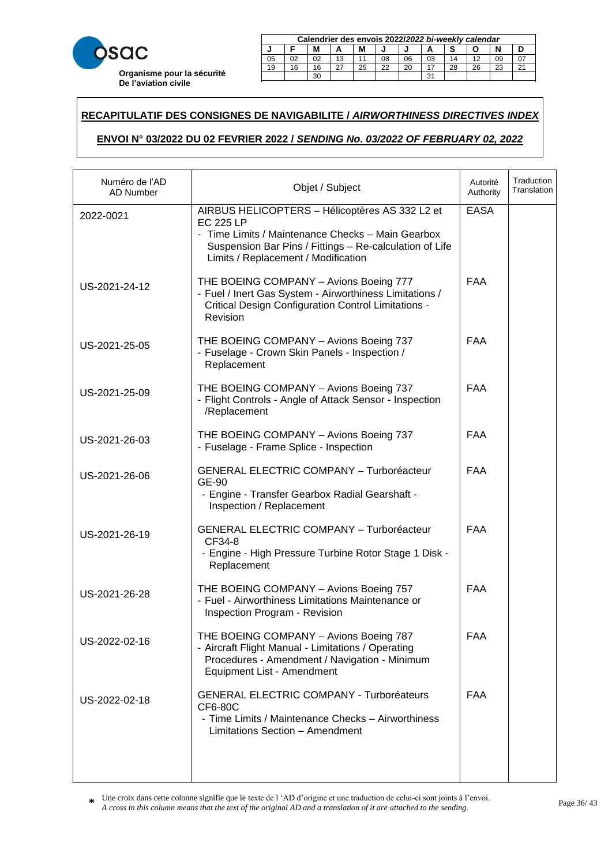

|    | Calendrier des envois 2022/2022 bi-weekly calendar |    |    |    |    |    |    |    |    |    |        |
|----|----------------------------------------------------|----|----|----|----|----|----|----|----|----|--------|
|    | м                                                  |    |    |    |    |    |    |    |    |    |        |
| 05 | 02                                                 |    | 13 |    | 08 | 06 | 03 | 14 |    | 09 |        |
| 19 | 16                                                 | 16 |    | 25 | 22 | 20 |    | 28 | 26 | 23 | $\sim$ |
|    | ີ<br>oc                                            |    |    |    |    |    |    |    |    |    |        |

23 20 20 21 22 22 23 24 25 26 27 28 29 20 21 22 23 24 25 26 27 27 27 28 29 29 29 20 21 22 23 24 25 26 27 27 27

### **RECAPITULATIF DES CONSIGNES DE NAVIGABILITE /** *AIRWORTHINESS DIRECTIVES INDEX*  21 18 18 15 27 24 22 19 16 28 25 23 29 30

# **ENVOI N° 03/2022 DU 02 FEVRIER 2022 /** *SENDING No. 03/2022 OF FEBRUARY 02, 2022* **Calendrier des envois 2017/***2017 bi-weekly calendar* **J F M A M J J A S O N D**

| Numéro de l'AD<br>AD Number | Objet / Subject                                                                                                                                                                                                           | Autorité<br>Authority | Traduction<br>Translation |
|-----------------------------|---------------------------------------------------------------------------------------------------------------------------------------------------------------------------------------------------------------------------|-----------------------|---------------------------|
| 2022-0021                   | AIRBUS HELICOPTERS - Hélicoptères AS 332 L2 et<br><b>EC 225 LP</b><br>- Time Limits / Maintenance Checks - Main Gearbox<br>Suspension Bar Pins / Fittings - Re-calculation of Life<br>Limits / Replacement / Modification | <b>EASA</b>           |                           |
| US-2021-24-12               | THE BOEING COMPANY - Avions Boeing 777<br>- Fuel / Inert Gas System - Airworthiness Limitations /<br><b>Critical Design Configuration Control Limitations -</b><br>Revision                                               | <b>FAA</b>            |                           |
| US-2021-25-05               | THE BOEING COMPANY - Avions Boeing 737<br>- Fuselage - Crown Skin Panels - Inspection /<br>Replacement                                                                                                                    | FAA                   |                           |
| US-2021-25-09               | THE BOEING COMPANY - Avions Boeing 737<br>- Flight Controls - Angle of Attack Sensor - Inspection<br>/Replacement                                                                                                         | <b>FAA</b>            |                           |
| US-2021-26-03               | THE BOEING COMPANY - Avions Boeing 737<br>- Fuselage - Frame Splice - Inspection                                                                                                                                          | <b>FAA</b>            |                           |
| US-2021-26-06               | <b>GENERAL ELECTRIC COMPANY - Turboréacteur</b><br>GE-90<br>- Engine - Transfer Gearbox Radial Gearshaft -<br>Inspection / Replacement                                                                                    | <b>FAA</b>            |                           |
| US-2021-26-19               | <b>GENERAL ELECTRIC COMPANY - Turboréacteur</b><br>CF34-8<br>- Engine - High Pressure Turbine Rotor Stage 1 Disk -<br>Replacement                                                                                         | <b>FAA</b>            |                           |
| US-2021-26-28               | THE BOEING COMPANY - Avions Boeing 757<br>- Fuel - Airworthiness Limitations Maintenance or<br>Inspection Program - Revision                                                                                              | <b>FAA</b>            |                           |
| US-2022-02-16               | THE BOEING COMPANY - Avions Boeing 787<br>- Aircraft Flight Manual - Limitations / Operating<br>Procedures - Amendment / Navigation - Minimum<br>Equipment List - Amendment                                               | <b>FAA</b>            |                           |
| US-2022-02-18               | <b>GENERAL ELECTRIC COMPANY - Turboréateurs</b><br><b>CF6-80C</b><br>- Time Limits / Maintenance Checks - Airworthiness<br>Limitations Section - Amendment                                                                | FAA                   |                           |
|                             |                                                                                                                                                                                                                           |                       |                           |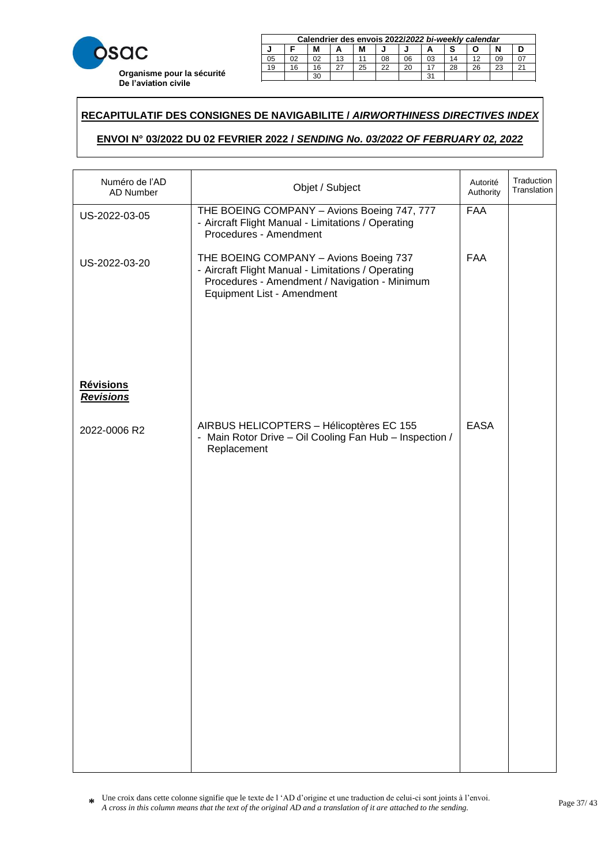

|    | Calendrier des envois 2022/2022 bi-weekly calendar |    |    |    |    |    |    |    |    |    |        |
|----|----------------------------------------------------|----|----|----|----|----|----|----|----|----|--------|
|    | M<br>М                                             |    |    |    |    |    |    |    |    |    |        |
| 05 | 02                                                 | 02 | 13 |    | 08 | 06 | 03 | 14 |    | 09 |        |
| 19 | 16                                                 | 16 |    | 25 | 22 | 20 |    | 28 | 26 | 23 | $\sim$ |
|    | 31<br>30                                           |    |    |    |    |    |    |    |    |    |        |

23 20 20 21 22 22 23 24 25 26 27 28 29 20 21 22 23 24 25 26 27 27 27 28 29 29 29 20 21 22 23 24 25 26 27 27 27

### **RECAPITULATIF DES CONSIGNES DE NAVIGABILITE /** *AIRWORTHINESS DIRECTIVES INDEX*  21 18 18 15 27 24 22 19 16 28 25 23 29 30

# **ENVOI N° 03/2022 DU 02 FEVRIER 2022 /** *SENDING No. 03/2022 OF FEBRUARY 02, 2022* **Calendrier des envois 2017/***2017 bi-weekly calendar* **J F M A M J J A S O N D**

| Numéro de l'AD<br><b>AD Number</b>   | Objet / Subject                                                                                                                                                             | Autorité<br>Authority | Traduction<br>Translation |
|--------------------------------------|-----------------------------------------------------------------------------------------------------------------------------------------------------------------------------|-----------------------|---------------------------|
| US-2022-03-05                        | THE BOEING COMPANY - Avions Boeing 747, 777<br>- Aircraft Flight Manual - Limitations / Operating<br>Procedures - Amendment                                                 | <b>FAA</b>            |                           |
| US-2022-03-20                        | THE BOEING COMPANY - Avions Boeing 737<br>- Aircraft Flight Manual - Limitations / Operating<br>Procedures - Amendment / Navigation - Minimum<br>Equipment List - Amendment | <b>FAA</b>            |                           |
| <b>Révisions</b><br><b>Revisions</b> |                                                                                                                                                                             |                       |                           |
| 2022-0006 R2                         | AIRBUS HELICOPTERS - Hélicoptères EC 155<br>- Main Rotor Drive - Oil Cooling Fan Hub - Inspection /<br>Replacement                                                          | <b>EASA</b>           |                           |
|                                      |                                                                                                                                                                             |                       |                           |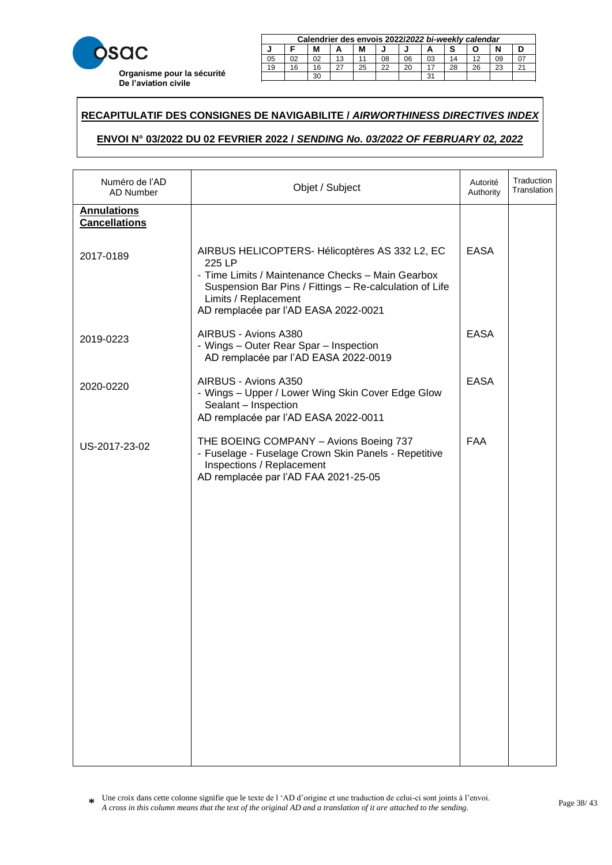

|    | Calendrier des envois 2022/2022 bi-weekly calendar |    |    |    |    |    |    |    |    |    |        |
|----|----------------------------------------------------|----|----|----|----|----|----|----|----|----|--------|
|    | М<br>М                                             |    |    |    |    |    |    |    |    |    |        |
| 05 |                                                    | 02 | 13 |    | 08 | 06 | 03 | 14 |    | 09 |        |
| 19 | 16                                                 | 16 |    | 25 | 22 | 20 |    | 28 | 26 | 23 | $\sim$ |
|    | ີ<br>30                                            |    |    |    |    |    |    |    |    |    |        |

23 20 20 21 22 22 23 24 25 26 27 28 29 20 21 22 23 24 25 26 27 27 27 28 29 29 29 20 21 22 23 24 25 26 27 27 27

### **RECAPITULATIF DES CONSIGNES DE NAVIGABILITE /** *AIRWORTHINESS DIRECTIVES INDEX*  21 18 18 15 27 24 22 19 16 28 25 23 29 30

# **ENVOI N° 03/2022 DU 02 FEVRIER 2022 /** *SENDING No. 03/2022 OF FEBRUARY 02, 2022* **Calendrier des envois 2017/***2017 bi-weekly calendar* **J F M A M J J A S O N D**

| Numéro de l'AD<br><b>AD Number</b>         | Objet / Subject                                                                                                                                                                                                                          | Autorité<br>Authority | Traduction<br>Translation |
|--------------------------------------------|------------------------------------------------------------------------------------------------------------------------------------------------------------------------------------------------------------------------------------------|-----------------------|---------------------------|
| <b>Annulations</b><br><b>Cancellations</b> |                                                                                                                                                                                                                                          |                       |                           |
| 2017-0189                                  | AIRBUS HELICOPTERS- Hélicoptères AS 332 L2, EC<br>225 LP<br>- Time Limits / Maintenance Checks - Main Gearbox<br>Suspension Bar Pins / Fittings - Re-calculation of Life<br>Limits / Replacement<br>AD remplacée par l'AD EASA 2022-0021 | <b>EASA</b>           |                           |
| 2019-0223                                  | AIRBUS - Avions A380<br>- Wings - Outer Rear Spar - Inspection<br>AD remplacée par l'AD EASA 2022-0019                                                                                                                                   | <b>EASA</b>           |                           |
| 2020-0220                                  | AIRBUS - Avions A350<br>- Wings - Upper / Lower Wing Skin Cover Edge Glow<br>Sealant - Inspection<br>AD remplacée par l'AD EASA 2022-0011                                                                                                | <b>EASA</b>           |                           |
| US-2017-23-02                              | THE BOEING COMPANY - Avions Boeing 737<br>- Fuselage - Fuselage Crown Skin Panels - Repetitive<br>Inspections / Replacement<br>AD remplacée par l'AD FAA 2021-25-05                                                                      | <b>FAA</b>            |                           |
|                                            |                                                                                                                                                                                                                                          |                       |                           |
|                                            |                                                                                                                                                                                                                                          |                       |                           |
|                                            |                                                                                                                                                                                                                                          |                       |                           |
|                                            |                                                                                                                                                                                                                                          |                       |                           |
|                                            |                                                                                                                                                                                                                                          |                       |                           |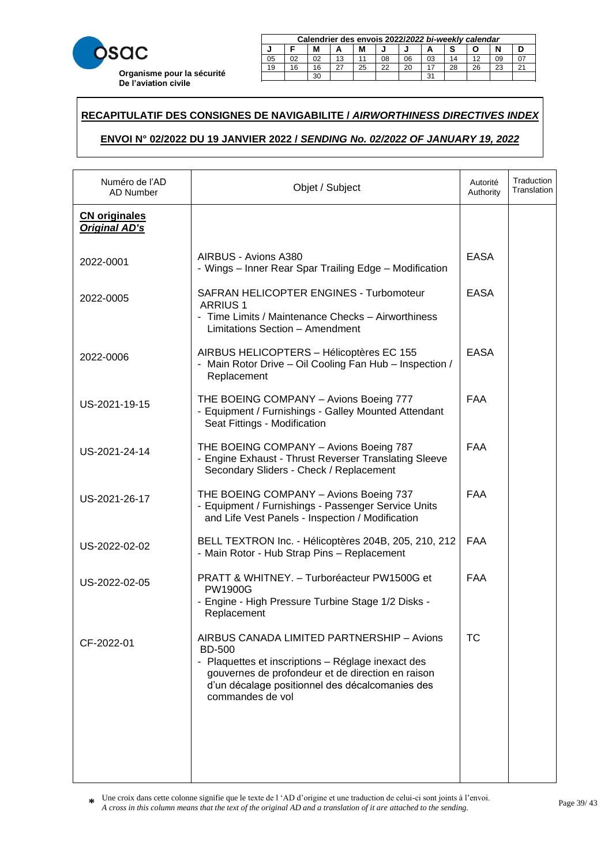

|    | Calendrier des envois 2022/2022 bi-weekly calendar |    |    |    |    |    |    |    |    |    |  |
|----|----------------------------------------------------|----|----|----|----|----|----|----|----|----|--|
|    | М<br>М                                             |    |    |    |    |    |    |    |    |    |  |
| 05 | 02                                                 | 02 | 13 |    | 08 | 06 | 03 |    | 10 | 09 |  |
| 19 | 16                                                 | 16 |    | 25 | 22 | 20 |    | 28 | 26 | 23 |  |
|    | 30<br>31                                           |    |    |    |    |    |    |    |    |    |  |

23 20 20 21 22 22 23 24 25 26 27 28 29 20 21 22 23 24 25 26 27 27 27 28 29 29 29 20 21 22 23 24 25 26 27 27 27

### **RECAPITULATIF DES CONSIGNES DE NAVIGABILITE /** *AIRWORTHINESS DIRECTIVES INDEX*  21 18 18 15 27 24 22 19 16 28 25 23 29 30

# **ENVOI N° 02/2022 DU 19 JANVIER 2022 /** *SENDING No. 02/2022 OF JANUARY 19, 2022* **Calendrier des envois 2017/***2017 bi-weekly calendar* **ZUZZ I SENDING NO. 02/2022 OF JANUARY 19, 2022**

| Numéro de l'AD<br>AD Number                  | Objet / Subject                                                                                                                                                                                                                               | Autorité<br>Authority | Traduction<br>Translation |
|----------------------------------------------|-----------------------------------------------------------------------------------------------------------------------------------------------------------------------------------------------------------------------------------------------|-----------------------|---------------------------|
| <b>CN</b> originales<br><b>Original AD's</b> |                                                                                                                                                                                                                                               |                       |                           |
| 2022-0001                                    | AIRBUS - Avions A380<br>- Wings - Inner Rear Spar Trailing Edge - Modification                                                                                                                                                                | <b>EASA</b>           |                           |
| 2022-0005                                    | SAFRAN HELICOPTER ENGINES - Turbomoteur<br><b>ARRIUS 1</b><br>- Time Limits / Maintenance Checks - Airworthiness<br>Limitations Section - Amendment                                                                                           | <b>EASA</b>           |                           |
| 2022-0006                                    | AIRBUS HELICOPTERS - Hélicoptères EC 155<br>- Main Rotor Drive - Oil Cooling Fan Hub - Inspection /<br>Replacement                                                                                                                            | <b>EASA</b>           |                           |
| US-2021-19-15                                | THE BOEING COMPANY - Avions Boeing 777<br>- Equipment / Furnishings - Galley Mounted Attendant<br>Seat Fittings - Modification                                                                                                                | <b>FAA</b>            |                           |
| US-2021-24-14                                | THE BOEING COMPANY - Avions Boeing 787<br>- Engine Exhaust - Thrust Reverser Translating Sleeve<br>Secondary Sliders - Check / Replacement                                                                                                    | <b>FAA</b>            |                           |
| US-2021-26-17                                | THE BOEING COMPANY - Avions Boeing 737<br>- Equipment / Furnishings - Passenger Service Units<br>and Life Vest Panels - Inspection / Modification                                                                                             | <b>FAA</b>            |                           |
| US-2022-02-02                                | BELL TEXTRON Inc. - Hélicoptères 204B, 205, 210, 212<br>- Main Rotor - Hub Strap Pins - Replacement                                                                                                                                           | <b>FAA</b>            |                           |
| US-2022-02-05                                | PRATT & WHITNEY. - Turboréacteur PW1500G et<br><b>PW1900G</b><br>- Engine - High Pressure Turbine Stage 1/2 Disks -<br>Replacement                                                                                                            | <b>FAA</b>            |                           |
| CF-2022-01                                   | AIRBUS CANADA LIMITED PARTNERSHIP - Avions<br><b>BD-500</b><br>- Plaquettes et inscriptions - Réglage inexact des<br>gouvernes de profondeur et de direction en raison<br>d'un décalage positionnel des décalcomanies des<br>commandes de vol | <b>TC</b>             |                           |
|                                              |                                                                                                                                                                                                                                               |                       |                           |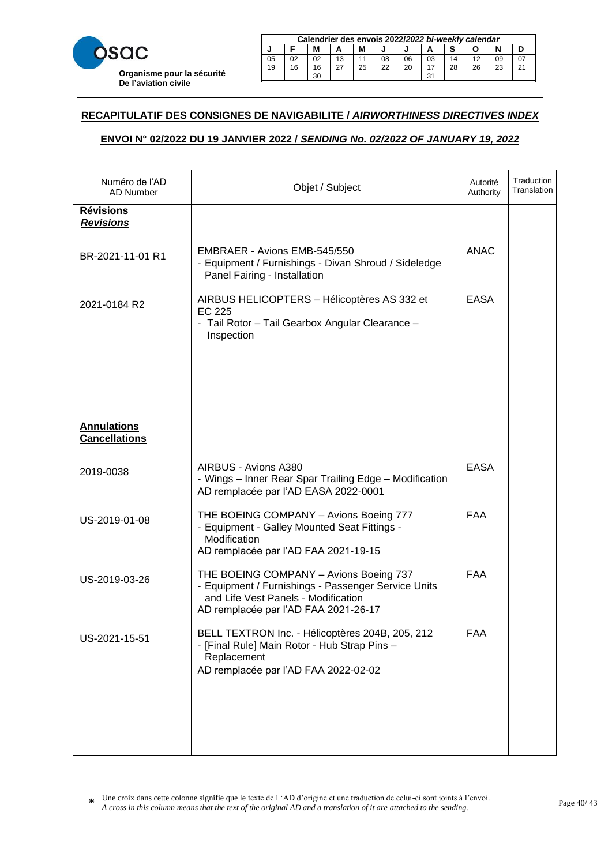

|    | Calendrier des envois 2022/2022 bi-weekly calendar |    |    |    |    |    |    |    |    |    |        |
|----|----------------------------------------------------|----|----|----|----|----|----|----|----|----|--------|
|    | M<br>М                                             |    |    |    |    |    |    |    |    |    |        |
| 05 | 02                                                 | 02 | 13 |    | 08 | 06 | 03 | 14 |    | 09 |        |
| 19 | 16                                                 | 16 |    | 25 | 22 | 20 |    | 28 | 26 | 23 | $\sim$ |
|    | 31<br>30                                           |    |    |    |    |    |    |    |    |    |        |

23 20 20 21 22 22 23 24 25 26 27 28 29 20 21 22 23 24 25 26 27 27 27 28 29 29 29 20 21 22 23 24 25 26 27 27 27

### **RECAPITULATIF DES CONSIGNES DE NAVIGABILITE /** *AIRWORTHINESS DIRECTIVES INDEX*  21 18 18 15 27 24 22 19 16 28 25 23 29 30

# **ENVOI N° 02/2022 DU 19 JANVIER 2022 /** *SENDING No. 02/2022 OF JANUARY 19, 2022* **Calendrier des envois 2017/***2017 bi-weekly calendar* **ZUZZ I SENDING NO. 02/2022 OF JANUARY 19, 2022**

| Numéro de l'AD<br>AD Number                | Objet / Subject                                                                                                                                                              | Autorité<br>Authority | Traduction<br>Translation |
|--------------------------------------------|------------------------------------------------------------------------------------------------------------------------------------------------------------------------------|-----------------------|---------------------------|
| <u>Révisions</u><br><b>Revisions</b>       |                                                                                                                                                                              |                       |                           |
| BR-2021-11-01 R1                           | EMBRAER - Avions EMB-545/550<br>- Equipment / Furnishings - Divan Shroud / Sideledge<br>Panel Fairing - Installation                                                         | <b>ANAC</b>           |                           |
| 2021-0184 R2                               | AIRBUS HELICOPTERS - Hélicoptères AS 332 et<br>EC 225<br>- Tail Rotor - Tail Gearbox Angular Clearance -<br>Inspection                                                       | <b>EASA</b>           |                           |
| <b>Annulations</b><br><b>Cancellations</b> |                                                                                                                                                                              |                       |                           |
| 2019-0038                                  | AIRBUS - Avions A380<br>- Wings - Inner Rear Spar Trailing Edge - Modification<br>AD remplacée par l'AD EASA 2022-0001                                                       | <b>EASA</b>           |                           |
| US-2019-01-08                              | THE BOEING COMPANY - Avions Boeing 777<br>- Equipment - Galley Mounted Seat Fittings -<br>Modification<br>AD remplacée par l'AD FAA 2021-19-15                               | <b>FAA</b>            |                           |
| US-2019-03-26                              | THE BOEING COMPANY - Avions Boeing 737<br>- Equipment / Furnishings - Passenger Service Units<br>and Life Vest Panels - Modification<br>AD remplacée par l'AD FAA 2021-26-17 | <b>FAA</b>            |                           |
| US-2021-15-51                              | BELL TEXTRON Inc. - Hélicoptères 204B, 205, 212<br>- [Final Rule] Main Rotor - Hub Strap Pins -<br>Replacement<br>AD remplacée par l'AD FAA 2022-02-02                       | <b>FAA</b>            |                           |
|                                            |                                                                                                                                                                              |                       |                           |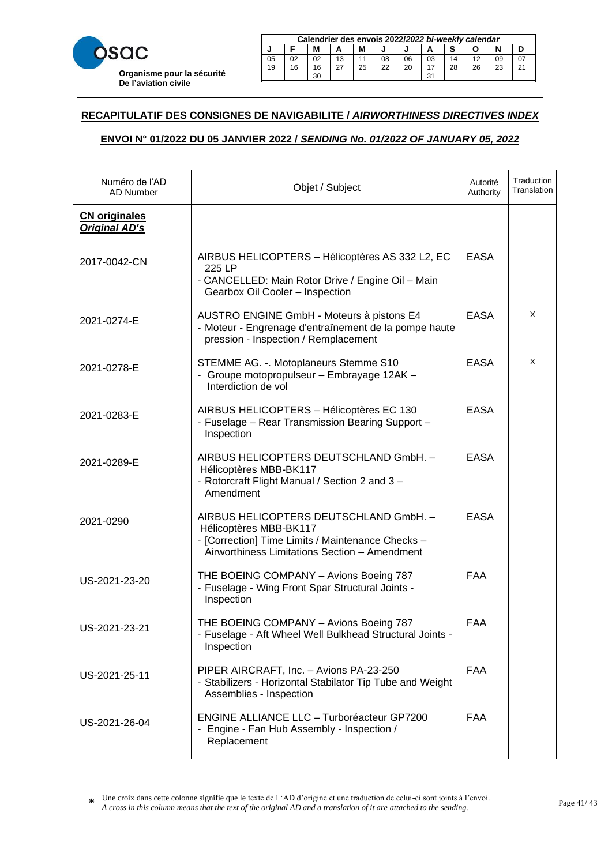

|    | Calendrier des envois 2022/2022 bi-weekly calendar |    |    |    |    |    |    |    |    |    |        |
|----|----------------------------------------------------|----|----|----|----|----|----|----|----|----|--------|
|    | M<br>М                                             |    |    |    |    |    |    |    |    |    |        |
| 05 | 02                                                 | 02 | 13 |    | 08 | 06 | 03 | 14 |    | 09 |        |
| 19 | 16                                                 | 16 |    | 25 | 22 | 20 |    | 28 | 26 | 23 | $\sim$ |
|    | 31<br>30                                           |    |    |    |    |    |    |    |    |    |        |

23 20 20 21 22 22 23 24 25 26 27 28 29 20 21 22 23 24 25 26 27 27 27 28 29 29 29 20 21 22 23 24 25 26 27 27 27

### **RECAPITULATIF DES CONSIGNES DE NAVIGABILITE /** *AIRWORTHINESS DIRECTIVES INDEX*  21 18 18 15 27 24 22 19 16 28 25 23 29 30

# **ENVOI N° 01/2022 DU 05 JANVIER 2022 /** *SENDING No. 01/2022 OF JANUARY 05, 2022* **Calendrier des envois 2017/***2017 bi-weekly calendar* **ZUZZ I SENDING NO. 01/2022 OF JANUARY 05, 2022**

| Numéro de l'AD<br><b>AD Number</b>           | Objet / Subject                                                                                                                                                        | Autorité<br>Authority | Traduction<br>Translation |
|----------------------------------------------|------------------------------------------------------------------------------------------------------------------------------------------------------------------------|-----------------------|---------------------------|
| <b>CN</b> originales<br><b>Original AD's</b> |                                                                                                                                                                        |                       |                           |
| 2017-0042-CN                                 | AIRBUS HELICOPTERS - Hélicoptères AS 332 L2, EC<br>225 LP<br>- CANCELLED: Main Rotor Drive / Engine Oil - Main<br>Gearbox Oil Cooler - Inspection                      | <b>EASA</b>           |                           |
| 2021-0274-E                                  | AUSTRO ENGINE GmbH - Moteurs à pistons E4<br>- Moteur - Engrenage d'entraînement de la pompe haute<br>pression - Inspection / Remplacement                             | <b>EASA</b>           | X                         |
| 2021-0278-E                                  | STEMME AG. -. Motoplaneurs Stemme S10<br>- Groupe motopropulseur - Embrayage 12AK -<br>Interdiction de vol                                                             | <b>EASA</b>           | Χ                         |
| 2021-0283-E                                  | AIRBUS HELICOPTERS - Hélicoptères EC 130<br>- Fuselage - Rear Transmission Bearing Support -<br>Inspection                                                             | <b>EASA</b>           |                           |
| 2021-0289-E                                  | AIRBUS HELICOPTERS DEUTSCHLAND GmbH. -<br>Hélicoptères MBB-BK117<br>- Rotorcraft Flight Manual / Section 2 and 3 -<br>Amendment                                        | <b>EASA</b>           |                           |
| 2021-0290                                    | AIRBUS HELICOPTERS DEUTSCHLAND GmbH. -<br>Hélicoptères MBB-BK117<br>- [Correction] Time Limits / Maintenance Checks -<br>Airworthiness Limitations Section - Amendment | <b>EASA</b>           |                           |
| US-2021-23-20                                | THE BOEING COMPANY - Avions Boeing 787<br>- Fuselage - Wing Front Spar Structural Joints -<br>Inspection                                                               | <b>FAA</b>            |                           |
| US-2021-23-21                                | THE BOEING COMPANY - Avions Boeing 787<br>- Fuselage - Aft Wheel Well Bulkhead Structural Joints -<br>Inspection                                                       | <b>FAA</b>            |                           |
| US-2021-25-11                                | PIPER AIRCRAFT, Inc. - Avions PA-23-250<br>- Stabilizers - Horizontal Stabilator Tip Tube and Weight<br>Assemblies - Inspection                                        | <b>FAA</b>            |                           |
| US-2021-26-04                                | <b>ENGINE ALLIANCE LLC - Turboréacteur GP7200</b><br>- Engine - Fan Hub Assembly - Inspection /<br>Replacement                                                         | <b>FAA</b>            |                           |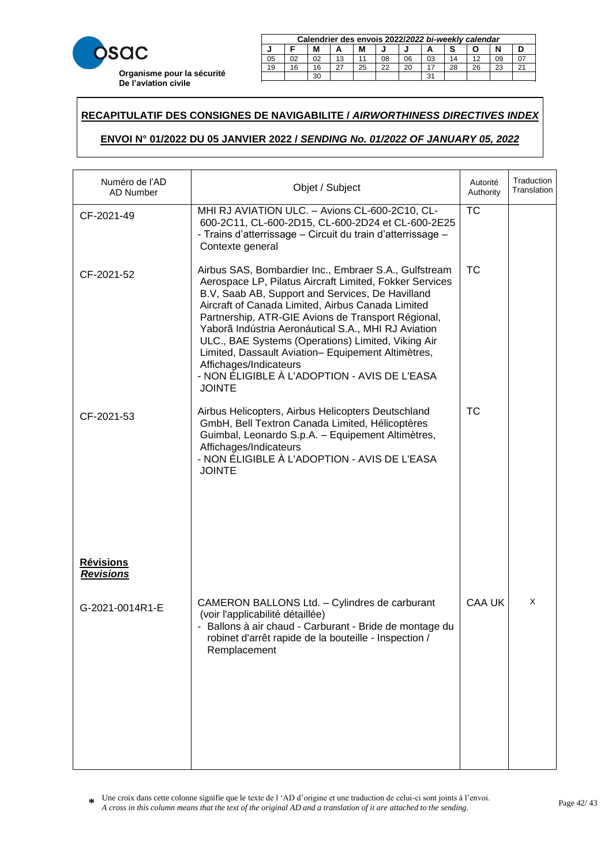

|    | Calendrier des envois 2022/2022 bi-weekly calendar |    |    |    |    |    |    |    |    |    |        |
|----|----------------------------------------------------|----|----|----|----|----|----|----|----|----|--------|
|    | M<br>М                                             |    |    |    |    |    |    |    |    |    |        |
| 05 | 02                                                 | 02 | 13 |    | 08 | 06 | 03 | 14 |    | 09 |        |
| 19 | 16                                                 | 16 |    | 25 | 22 | 20 |    | 28 | 26 | 23 | $\sim$ |
|    | 31<br>30                                           |    |    |    |    |    |    |    |    |    |        |

23 20 20 21 22 22 23 24 25 26 27 28 29 20 21 22 23 24 25 26 27 27 27 28 29 29 29 20 21 22 23 24 25 26 27 27 27

### **RECAPITULATIF DES CONSIGNES DE NAVIGABILITE /** *AIRWORTHINESS DIRECTIVES INDEX*  21 18 18 15 27 24 22 19 16 28 25 23 29 30

# **ENVOI N° 01/2022 DU 05 JANVIER 2022 /** *SENDING No. 01/2022 OF JANUARY 05, 2022* **Calendrier des envois 2017/***2017 bi-weekly calendar* **ZUZZ I SENDING NO. 01/2022 OF JANUARY 05, 2022**

| Numéro de l'AD<br>AD Number          | Objet / Subject                                                                                                                                                                                                                                                                                                                                                                                                                                                                                                                               | Autorité<br>Authority | Traduction<br>Translation |
|--------------------------------------|-----------------------------------------------------------------------------------------------------------------------------------------------------------------------------------------------------------------------------------------------------------------------------------------------------------------------------------------------------------------------------------------------------------------------------------------------------------------------------------------------------------------------------------------------|-----------------------|---------------------------|
| CF-2021-49                           | MHI RJ AVIATION ULC. - Avions CL-600-2C10, CL-<br>600-2C11, CL-600-2D15, CL-600-2D24 et CL-600-2E25<br>- Trains d'atterrissage - Circuit du train d'atterrissage -<br>Contexte general                                                                                                                                                                                                                                                                                                                                                        | <b>TC</b>             |                           |
| CF-2021-52                           | Airbus SAS, Bombardier Inc., Embraer S.A., Gulfstream<br>Aerospace LP, Pilatus Aircraft Limited, Fokker Services<br>B.V, Saab AB, Support and Services, De Havilland<br>Aircraft of Canada Limited, Airbus Canada Limited<br>Partnership, ATR-GIE Avions de Transport Régional,<br>Yaborã Indústria Aeronáutical S.A., MHI RJ Aviation<br>ULC., BAE Systems (Operations) Limited, Viking Air<br>Limited, Dassault Aviation- Equipement Altimètres,<br>Affichages/Indicateurs<br>- NON ÉLIGIBLE À L'ADOPTION - AVIS DE L'EASA<br><b>JOINTE</b> | <b>TC</b>             |                           |
| CF-2021-53                           | Airbus Helicopters, Airbus Helicopters Deutschland<br>GmbH, Bell Textron Canada Limited, Hélicoptères<br>Guimbal, Leonardo S.p.A. - Equipement Altimètres,<br>Affichages/Indicateurs<br>- NON ÉLIGIBLE À L'ADOPTION - AVIS DE L'EASA<br><b>JOINTE</b>                                                                                                                                                                                                                                                                                         | <b>TC</b>             |                           |
| <b>Révisions</b><br><b>Revisions</b> |                                                                                                                                                                                                                                                                                                                                                                                                                                                                                                                                               |                       |                           |
| G-2021-0014R1-E                      | CAMERON BALLONS Ltd. - Cylindres de carburant<br>(voir l'applicabilité détaillée)<br>Ballons à air chaud - Carburant - Bride de montage du<br>robinet d'arrêt rapide de la bouteille - Inspection /<br>Remplacement                                                                                                                                                                                                                                                                                                                           | <b>CAA UK</b>         | X                         |
|                                      |                                                                                                                                                                                                                                                                                                                                                                                                                                                                                                                                               |                       |                           |